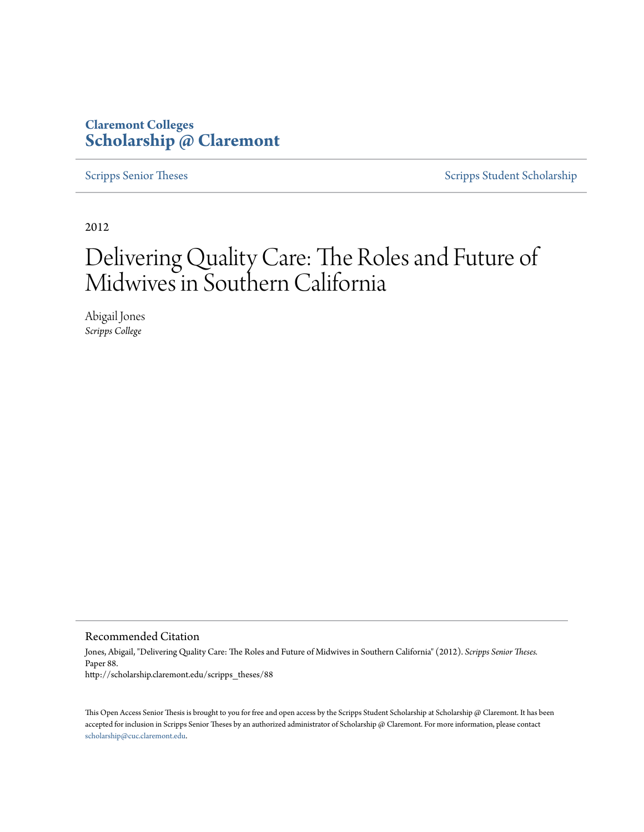### **Claremont Colleges [Scholarship @ Claremont](http://scholarship.claremont.edu)**

[Scripps Senior Theses](http://scholarship.claremont.edu/scripps_theses) [Scripps Student Scholarship](http://scholarship.claremont.edu/scripps_student)

2012

# Delivering Quality Care: The Roles and Future of Midwives in Southern California

Abigail Jones *Scripps College*

Recommended Citation

Jones, Abigail, "Delivering Quality Care: The Roles and Future of Midwives in Southern California" (2012). *Scripps Senior Theses.* Paper 88. http://scholarship.claremont.edu/scripps\_theses/88

This Open Access Senior Thesis is brought to you for free and open access by the Scripps Student Scholarship at Scholarship @ Claremont. It has been accepted for inclusion in Scripps Senior Theses by an authorized administrator of Scholarship @ Claremont. For more information, please contact [scholarship@cuc.claremont.edu.](mailto:scholarship@cuc.claremont.edu)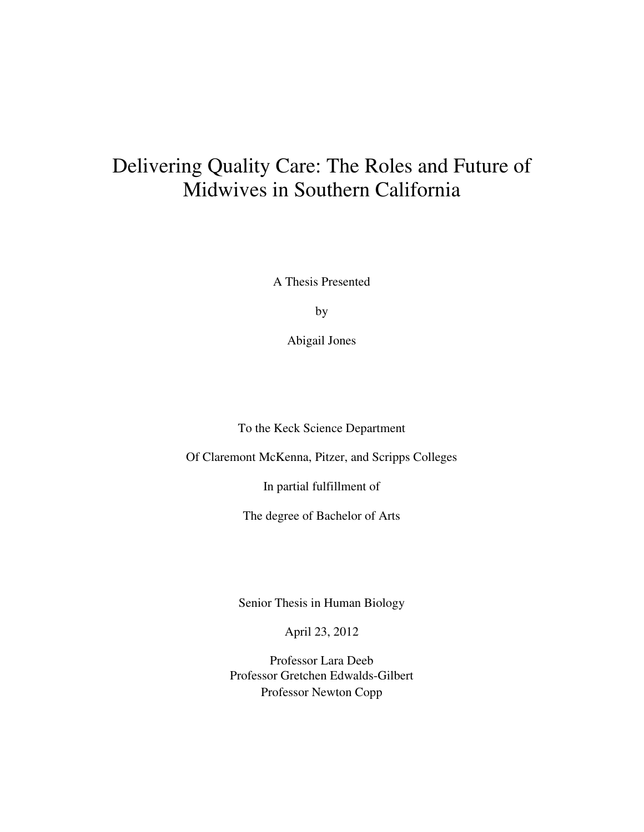## Delivering Quality Care: The Roles and Future of Midwives in Southern California

A Thesis Presented

by

Abigail Jones

To the Keck Science Department

Of Claremont McKenna, Pitzer, and Scripps Colleges

In partial fulfillment of

The degree of Bachelor of Arts

Senior Thesis in Human Biology

April 23, 2012

Professor Lara Deeb Professor Gretchen Edwalds-Gilbert Professor Newton Copp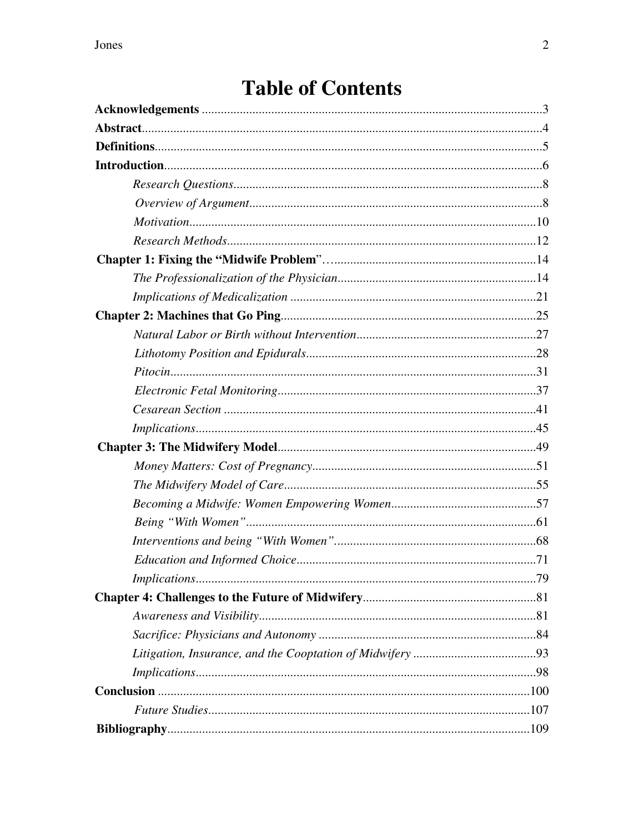# **Table of Contents**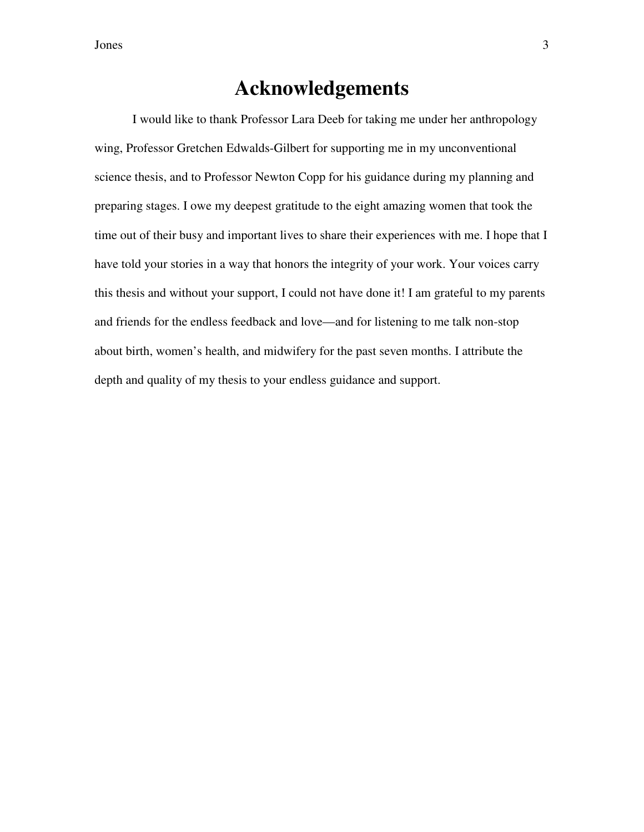### **Acknowledgements**

I would like to thank Professor Lara Deeb for taking me under her anthropology wing, Professor Gretchen Edwalds-Gilbert for supporting me in my unconventional science thesis, and to Professor Newton Copp for his guidance during my planning and preparing stages. I owe my deepest gratitude to the eight amazing women that took the time out of their busy and important lives to share their experiences with me. I hope that I have told your stories in a way that honors the integrity of your work. Your voices carry this thesis and without your support, I could not have done it! I am grateful to my parents and friends for the endless feedback and love—and for listening to me talk non-stop about birth, women's health, and midwifery for the past seven months. I attribute the depth and quality of my thesis to your endless guidance and support.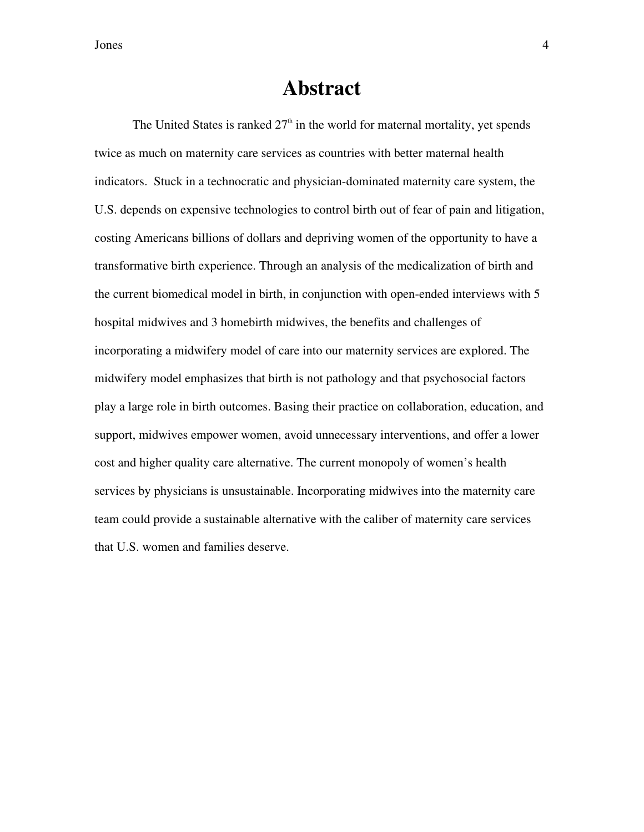### **Abstract**

The United States is ranked  $27<sup>th</sup>$  in the world for maternal mortality, yet spends twice as much on maternity care services as countries with better maternal health indicators. Stuck in a technocratic and physician-dominated maternity care system, the U.S. depends on expensive technologies to control birth out of fear of pain and litigation, costing Americans billions of dollars and depriving women of the opportunity to have a transformative birth experience. Through an analysis of the medicalization of birth and the current biomedical model in birth, in conjunction with open-ended interviews with 5 hospital midwives and 3 homebirth midwives, the benefits and challenges of incorporating a midwifery model of care into our maternity services are explored. The midwifery model emphasizes that birth is not pathology and that psychosocial factors play a large role in birth outcomes. Basing their practice on collaboration, education, and support, midwives empower women, avoid unnecessary interventions, and offer a lower cost and higher quality care alternative. The current monopoly of women's health services by physicians is unsustainable. Incorporating midwives into the maternity care team could provide a sustainable alternative with the caliber of maternity care services that U.S. women and families deserve.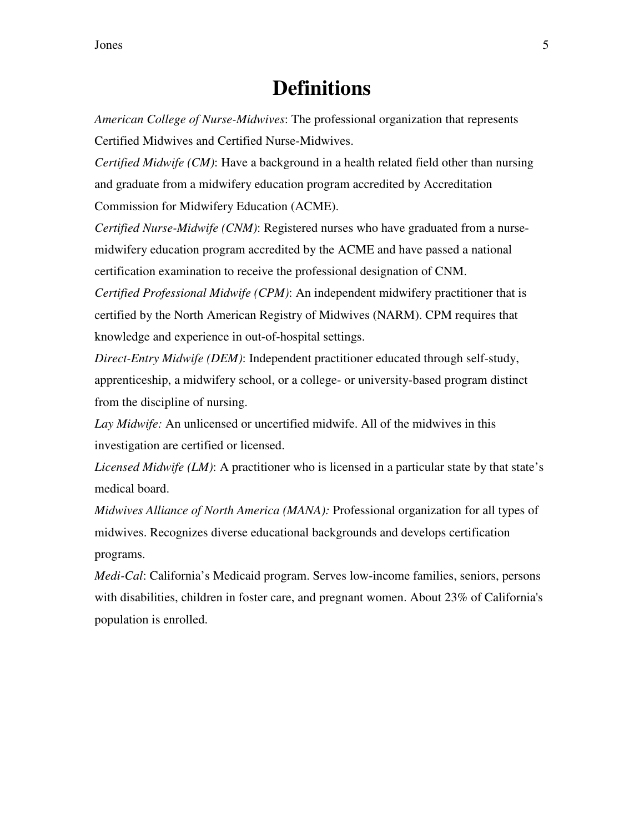### **Definitions**

*American College of Nurse-Midwives*: The professional organization that represents Certified Midwives and Certified Nurse-Midwives.

*Certified Midwife (CM)*: Have a background in a health related field other than nursing and graduate from a midwifery education program accredited by Accreditation Commission for Midwifery Education (ACME).

*Certified Nurse-Midwife (CNM)*: Registered nurses who have graduated from a nursemidwifery education program accredited by the ACME and have passed a national certification examination to receive the professional designation of CNM.

*Certified Professional Midwife (CPM)*: An independent midwifery practitioner that is certified by the North American Registry of Midwives (NARM). CPM requires that knowledge and experience in out-of-hospital settings.

*Direct-Entry Midwife (DEM)*: Independent practitioner educated through self-study, apprenticeship, a midwifery school, or a college- or university-based program distinct from the discipline of nursing.

*Lay Midwife:* An unlicensed or uncertified midwife. All of the midwives in this investigation are certified or licensed.

*Licensed Midwife (LM)*: A practitioner who is licensed in a particular state by that state's medical board.

*Midwives Alliance of North America (MANA):* Professional organization for all types of midwives. Recognizes diverse educational backgrounds and develops certification programs.

*Medi-Cal*: California's Medicaid program. Serves low-income families, seniors, persons with disabilities, children in foster care, and pregnant women. About 23% of California's population is enrolled.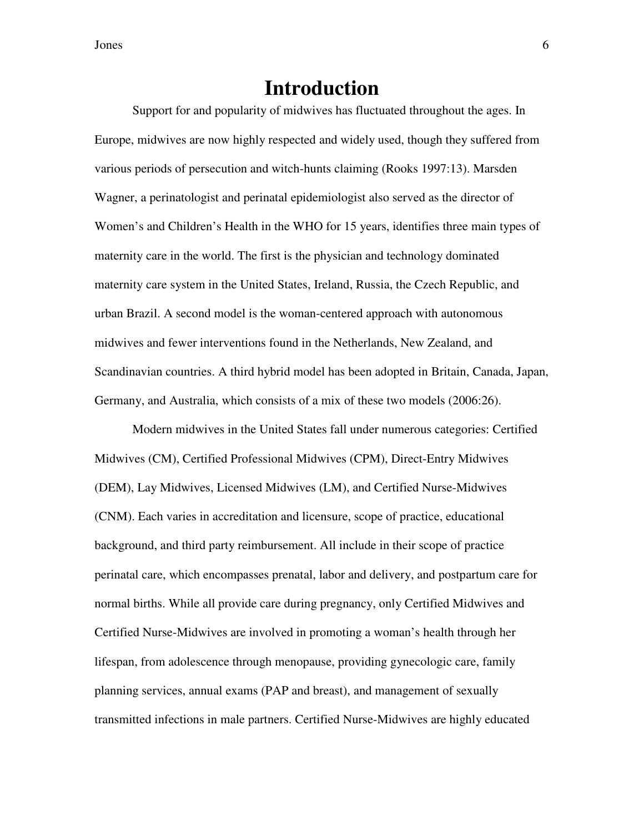### **Introduction**

Support for and popularity of midwives has fluctuated throughout the ages. In Europe, midwives are now highly respected and widely used, though they suffered from various periods of persecution and witch-hunts claiming (Rooks 1997:13). Marsden Wagner, a perinatologist and perinatal epidemiologist also served as the director of Women's and Children's Health in the WHO for 15 years, identifies three main types of maternity care in the world. The first is the physician and technology dominated maternity care system in the United States, Ireland, Russia, the Czech Republic, and urban Brazil. A second model is the woman-centered approach with autonomous midwives and fewer interventions found in the Netherlands, New Zealand, and Scandinavian countries. A third hybrid model has been adopted in Britain, Canada, Japan, Germany, and Australia, which consists of a mix of these two models (2006:26).

Modern midwives in the United States fall under numerous categories: Certified Midwives (CM), Certified Professional Midwives (CPM), Direct-Entry Midwives (DEM), Lay Midwives, Licensed Midwives (LM), and Certified Nurse-Midwives (CNM). Each varies in accreditation and licensure, scope of practice, educational background, and third party reimbursement. All include in their scope of practice perinatal care, which encompasses prenatal, labor and delivery, and postpartum care for normal births. While all provide care during pregnancy, only Certified Midwives and Certified Nurse-Midwives are involved in promoting a woman's health through her lifespan, from adolescence through menopause, providing gynecologic care, family planning services, annual exams (PAP and breast), and management of sexually transmitted infections in male partners. Certified Nurse-Midwives are highly educated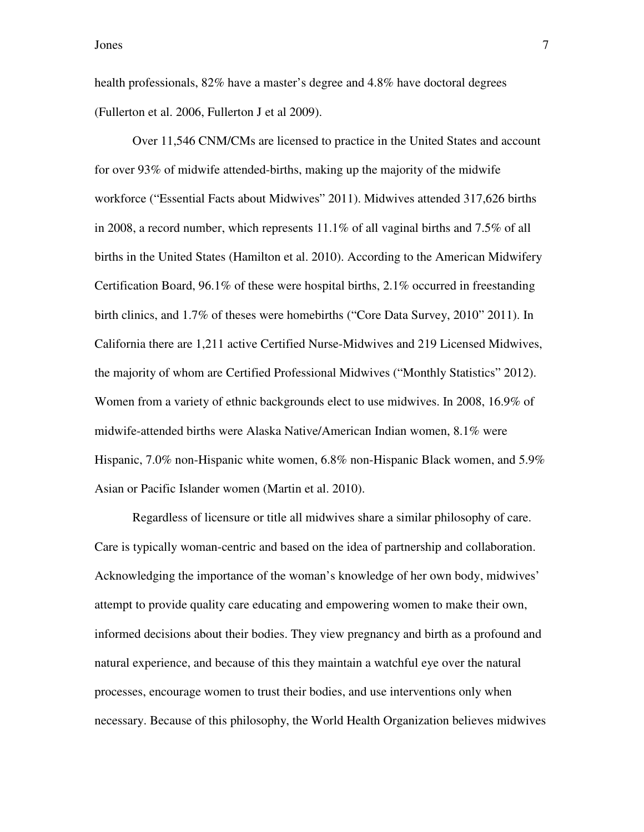health professionals, 82% have a master's degree and 4.8% have doctoral degrees (Fullerton et al. 2006, Fullerton J et al 2009).

Over 11,546 CNM/CMs are licensed to practice in the United States and account for over 93% of midwife attended-births, making up the majority of the midwife workforce ("Essential Facts about Midwives" 2011). Midwives attended 317,626 births in 2008, a record number, which represents 11.1% of all vaginal births and 7.5% of all births in the United States (Hamilton et al. 2010). According to the American Midwifery Certification Board,  $96.1\%$  of these were hospital births,  $2.1\%$  occurred in freestanding birth clinics, and 1.7% of theses were homebirths ("Core Data Survey, 2010" 2011). In California there are 1,211 active Certified Nurse-Midwives and 219 Licensed Midwives, the majority of whom are Certified Professional Midwives ("Monthly Statistics" 2012). Women from a variety of ethnic backgrounds elect to use midwives. In 2008, 16.9% of midwife-attended births were Alaska Native/American Indian women, 8.1% were Hispanic, 7.0% non-Hispanic white women, 6.8% non-Hispanic Black women, and 5.9% Asian or Pacific Islander women (Martin et al. 2010).

Regardless of licensure or title all midwives share a similar philosophy of care. Care is typically woman-centric and based on the idea of partnership and collaboration. Acknowledging the importance of the woman's knowledge of her own body, midwives' attempt to provide quality care educating and empowering women to make their own, informed decisions about their bodies. They view pregnancy and birth as a profound and natural experience, and because of this they maintain a watchful eye over the natural processes, encourage women to trust their bodies, and use interventions only when necessary. Because of this philosophy, the World Health Organization believes midwives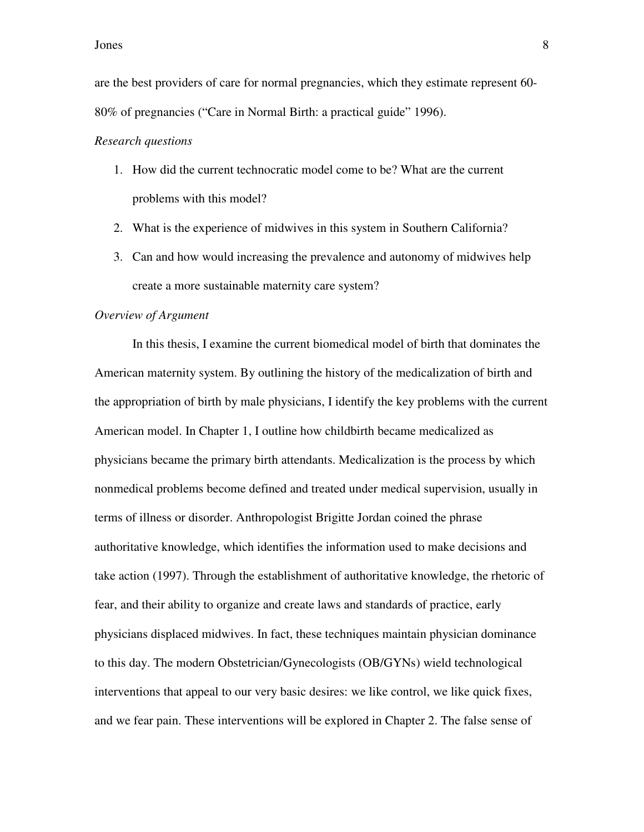are the best providers of care for normal pregnancies, which they estimate represent 60- 80% of pregnancies ("Care in Normal Birth: a practical guide" 1996).

#### *Research questions*

- 1. How did the current technocratic model come to be? What are the current problems with this model?
- 2. What is the experience of midwives in this system in Southern California?
- 3. Can and how would increasing the prevalence and autonomy of midwives help create a more sustainable maternity care system?

#### *Overview of Argument*

In this thesis, I examine the current biomedical model of birth that dominates the American maternity system. By outlining the history of the medicalization of birth and the appropriation of birth by male physicians, I identify the key problems with the current American model. In Chapter 1, I outline how childbirth became medicalized as physicians became the primary birth attendants. Medicalization is the process by which nonmedical problems become defined and treated under medical supervision, usually in terms of illness or disorder. Anthropologist Brigitte Jordan coined the phrase authoritative knowledge, which identifies the information used to make decisions and take action (1997). Through the establishment of authoritative knowledge, the rhetoric of fear, and their ability to organize and create laws and standards of practice, early physicians displaced midwives. In fact, these techniques maintain physician dominance to this day. The modern Obstetrician/Gynecologists (OB/GYNs) wield technological interventions that appeal to our very basic desires: we like control, we like quick fixes, and we fear pain. These interventions will be explored in Chapter 2. The false sense of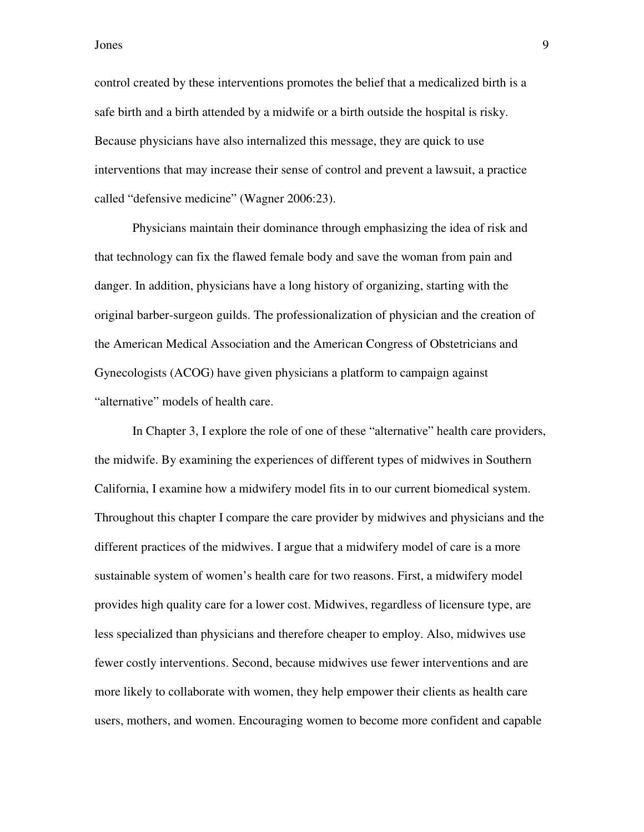control created by these interventions promotes the belief that a medicalized birth is a safe birth and a birth attended by a midwife or a birth outside the hospital is risky. Because physicians have also internalized this message, they are quick to use interventions that may increase their sense of control and prevent a lawsuit, a practice called "defensive medicine" (Wagner 2006:23).

Physicians maintain their dominance through emphasizing the idea of risk and that technology can fix the flawed female body and save the woman from pain and danger. In addition, physicians have a long history of organizing, starting with the original barber-surgeon guilds. The professionalization of physician and the creation of the American Medical Association and the American Congress of Obstetricians and Gynecologists (ACOG) have given physicians a platform to campaign against "alternative" models of health care.

In Chapter 3, I explore the role of one of these "alternative" health care providers, the midwife. By examining the experiences of different types of midwives in Southern California, I examine how a midwifery model fits in to our current biomedical system. Throughout this chapter I compare the care provider by midwives and physicians and the different practices of the midwives. I argue that a midwifery model of care is a more sustainable system of women's health care for two reasons. First, a midwifery model provides high quality care for a lower cost. Midwives, regardless of licensure type, are less specialized than physicians and therefore cheaper to employ. Also, midwives use fewer costly interventions. Second, because midwives use fewer interventions and are more likely to collaborate with women, they help empower their clients as health care users, mothers, and women. Encouraging women to become more confident and capable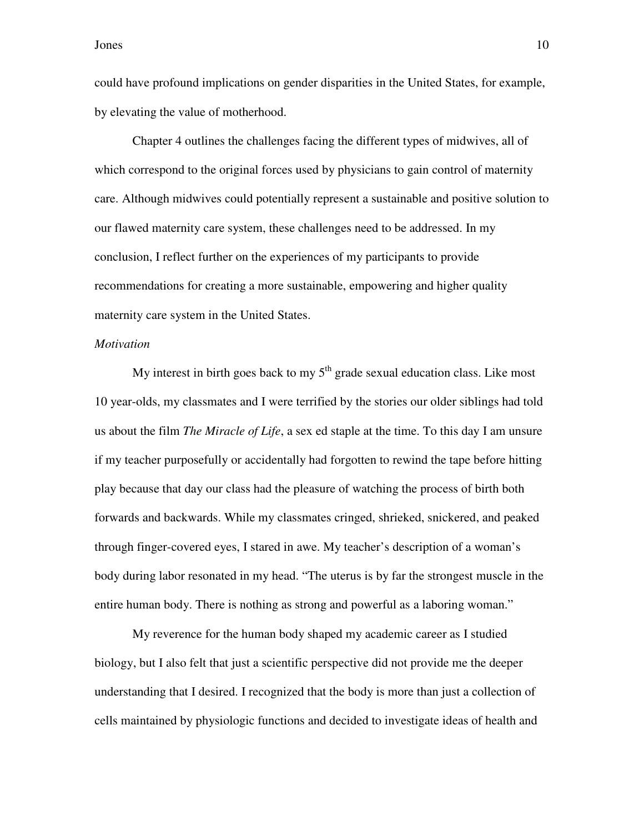could have profound implications on gender disparities in the United States, for example, by elevating the value of motherhood.

Chapter 4 outlines the challenges facing the different types of midwives, all of which correspond to the original forces used by physicians to gain control of maternity care. Although midwives could potentially represent a sustainable and positive solution to our flawed maternity care system, these challenges need to be addressed. In my conclusion, I reflect further on the experiences of my participants to provide recommendations for creating a more sustainable, empowering and higher quality maternity care system in the United States.

#### *Motivation*

My interest in birth goes back to my  $5<sup>th</sup>$  grade sexual education class. Like most 10 year-olds, my classmates and I were terrified by the stories our older siblings had told us about the film *The Miracle of Life*, a sex ed staple at the time. To this day I am unsure if my teacher purposefully or accidentally had forgotten to rewind the tape before hitting play because that day our class had the pleasure of watching the process of birth both forwards and backwards. While my classmates cringed, shrieked, snickered, and peaked through finger-covered eyes, I stared in awe. My teacher's description of a woman's body during labor resonated in my head. "The uterus is by far the strongest muscle in the entire human body. There is nothing as strong and powerful as a laboring woman."

My reverence for the human body shaped my academic career as I studied biology, but I also felt that just a scientific perspective did not provide me the deeper understanding that I desired. I recognized that the body is more than just a collection of cells maintained by physiologic functions and decided to investigate ideas of health and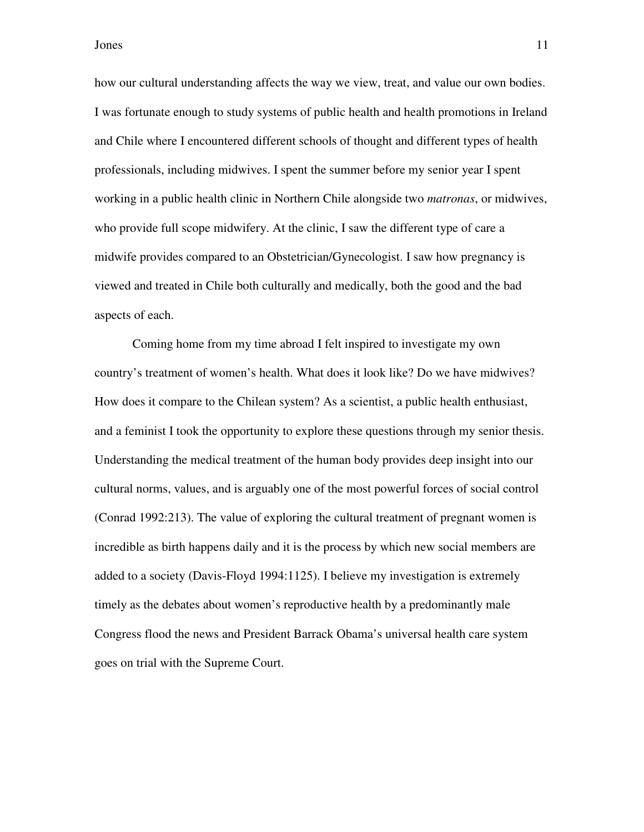how our cultural understanding affects the way we view, treat, and value our own bodies. I was fortunate enough to study systems of public health and health promotions in Ireland and Chile where I encountered different schools of thought and different types of health professionals, including midwives. I spent the summer before my senior year I spent working in a public health clinic in Northern Chile alongside two *matronas*, or midwives, who provide full scope midwifery. At the clinic, I saw the different type of care a midwife provides compared to an Obstetrician/Gynecologist. I saw how pregnancy is viewed and treated in Chile both culturally and medically, both the good and the bad aspects of each.

Coming home from my time abroad I felt inspired to investigate my own country's treatment of women's health. What does it look like? Do we have midwives? How does it compare to the Chilean system? As a scientist, a public health enthusiast, and a feminist I took the opportunity to explore these questions through my senior thesis. Understanding the medical treatment of the human body provides deep insight into our cultural norms, values, and is arguably one of the most powerful forces of social control (Conrad 1992:213). The value of exploring the cultural treatment of pregnant women is incredible as birth happens daily and it is the process by which new social members are added to a society (Davis-Floyd 1994:1125). I believe my investigation is extremely timely as the debates about women's reproductive health by a predominantly male Congress flood the news and President Barrack Obama's universal health care system goes on trial with the Supreme Court.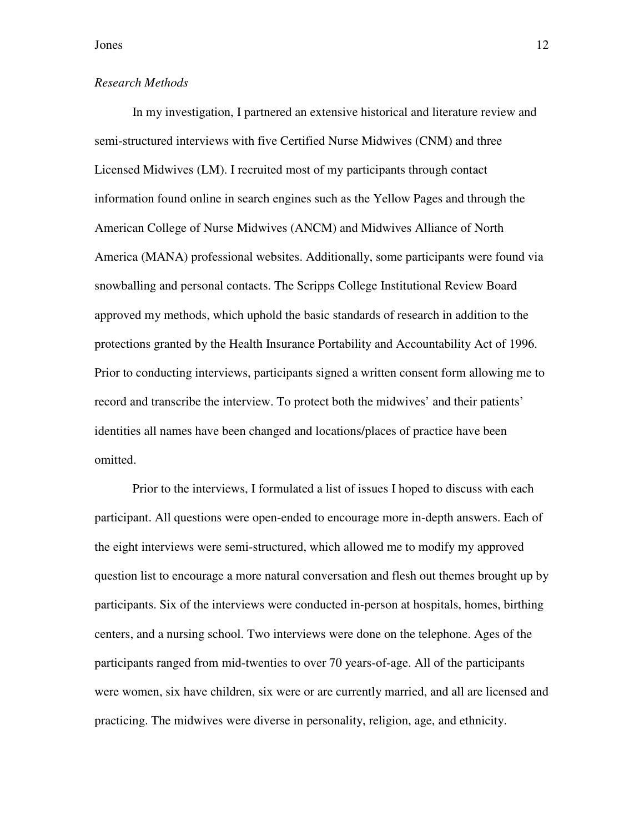#### *Research Methods*

In my investigation, I partnered an extensive historical and literature review and semi-structured interviews with five Certified Nurse Midwives (CNM) and three Licensed Midwives (LM). I recruited most of my participants through contact information found online in search engines such as the Yellow Pages and through the American College of Nurse Midwives (ANCM) and Midwives Alliance of North America (MANA) professional websites. Additionally, some participants were found via snowballing and personal contacts. The Scripps College Institutional Review Board approved my methods, which uphold the basic standards of research in addition to the protections granted by the Health Insurance Portability and Accountability Act of 1996. Prior to conducting interviews, participants signed a written consent form allowing me to record and transcribe the interview. To protect both the midwives' and their patients' identities all names have been changed and locations/places of practice have been omitted.

Prior to the interviews, I formulated a list of issues I hoped to discuss with each participant. All questions were open-ended to encourage more in-depth answers. Each of the eight interviews were semi-structured, which allowed me to modify my approved question list to encourage a more natural conversation and flesh out themes brought up by participants. Six of the interviews were conducted in-person at hospitals, homes, birthing centers, and a nursing school. Two interviews were done on the telephone. Ages of the participants ranged from mid-twenties to over 70 years-of-age. All of the participants were women, six have children, six were or are currently married, and all are licensed and practicing. The midwives were diverse in personality, religion, age, and ethnicity.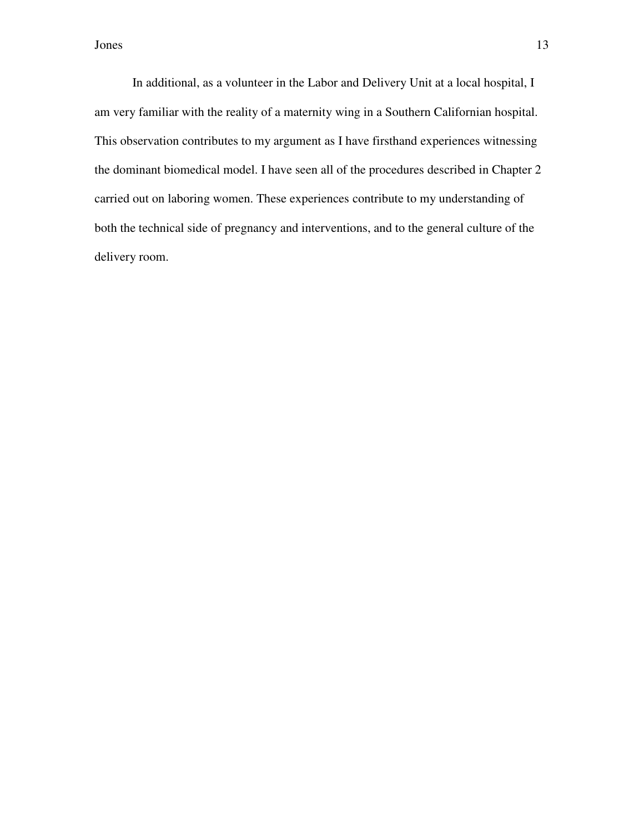In additional, as a volunteer in the Labor and Delivery Unit at a local hospital, I am very familiar with the reality of a maternity wing in a Southern Californian hospital. This observation contributes to my argument as I have firsthand experiences witnessing the dominant biomedical model. I have seen all of the procedures described in Chapter 2 carried out on laboring women. These experiences contribute to my understanding of both the technical side of pregnancy and interventions, and to the general culture of the delivery room.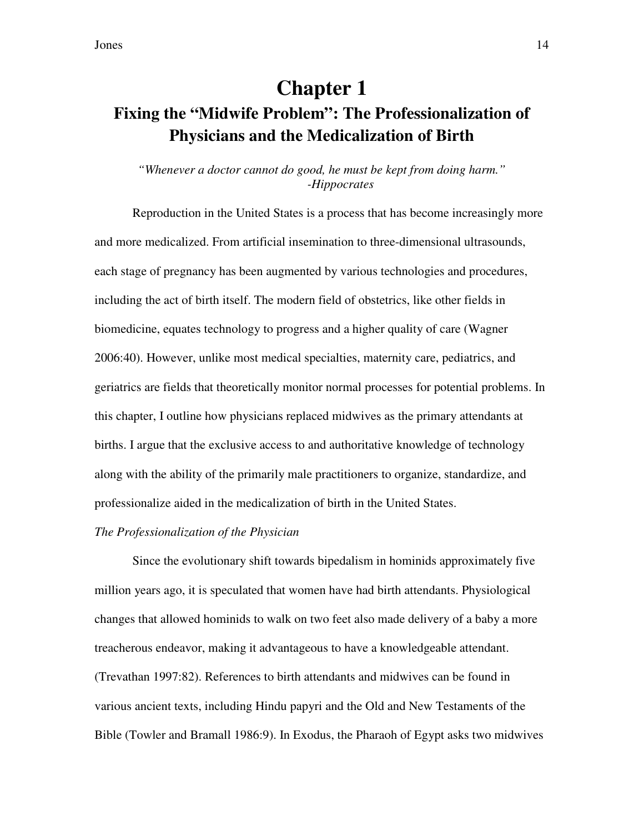## **Chapter 1 Fixing the "Midwife Problem": The Professionalization of Physicians and the Medicalization of Birth**

#### *"Whenever a doctor cannot do good, he must be kept from doing harm." -Hippocrates*

Reproduction in the United States is a process that has become increasingly more and more medicalized. From artificial insemination to three-dimensional ultrasounds, each stage of pregnancy has been augmented by various technologies and procedures, including the act of birth itself. The modern field of obstetrics, like other fields in biomedicine, equates technology to progress and a higher quality of care (Wagner 2006:40). However, unlike most medical specialties, maternity care, pediatrics, and geriatrics are fields that theoretically monitor normal processes for potential problems. In this chapter, I outline how physicians replaced midwives as the primary attendants at births. I argue that the exclusive access to and authoritative knowledge of technology along with the ability of the primarily male practitioners to organize, standardize, and professionalize aided in the medicalization of birth in the United States.

#### *The Professionalization of the Physician*

Since the evolutionary shift towards bipedalism in hominids approximately five million years ago, it is speculated that women have had birth attendants. Physiological changes that allowed hominids to walk on two feet also made delivery of a baby a more treacherous endeavor, making it advantageous to have a knowledgeable attendant. (Trevathan 1997:82). References to birth attendants and midwives can be found in various ancient texts, including Hindu papyri and the Old and New Testaments of the Bible (Towler and Bramall 1986:9). In Exodus, the Pharaoh of Egypt asks two midwives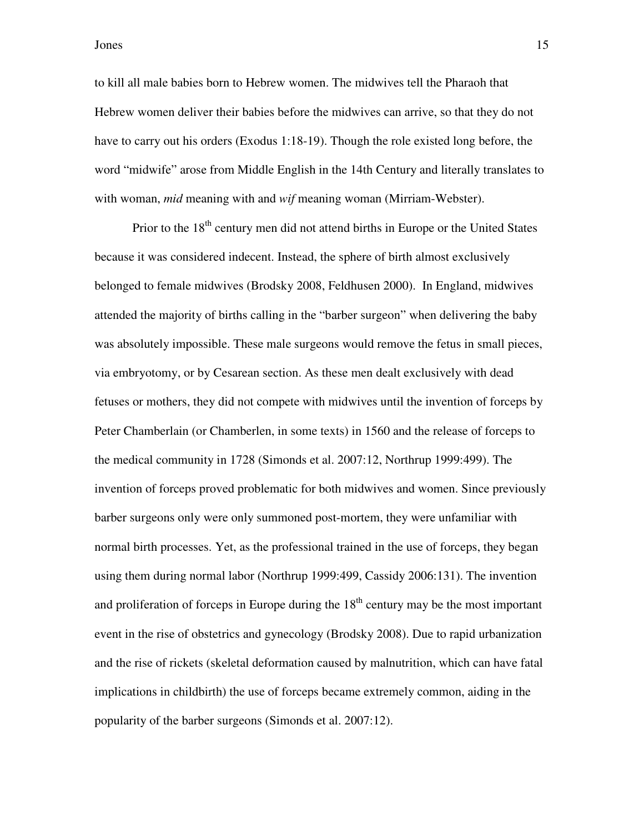to kill all male babies born to Hebrew women. The midwives tell the Pharaoh that Hebrew women deliver their babies before the midwives can arrive, so that they do not have to carry out his orders (Exodus 1:18-19). Though the role existed long before, the word "midwife" arose from Middle English in the 14th Century and literally translates to with woman, *mid* meaning with and *wif* meaning woman (Mirriam-Webster).

Prior to the 18<sup>th</sup> century men did not attend births in Europe or the United States because it was considered indecent. Instead, the sphere of birth almost exclusively belonged to female midwives (Brodsky 2008, Feldhusen 2000). In England, midwives attended the majority of births calling in the "barber surgeon" when delivering the baby was absolutely impossible. These male surgeons would remove the fetus in small pieces, via embryotomy, or by Cesarean section. As these men dealt exclusively with dead fetuses or mothers, they did not compete with midwives until the invention of forceps by Peter Chamberlain (or Chamberlen, in some texts) in 1560 and the release of forceps to the medical community in 1728 (Simonds et al. 2007:12, Northrup 1999:499). The invention of forceps proved problematic for both midwives and women. Since previously barber surgeons only were only summoned post-mortem, they were unfamiliar with normal birth processes. Yet, as the professional trained in the use of forceps, they began using them during normal labor (Northrup 1999:499, Cassidy 2006:131). The invention and proliferation of forceps in Europe during the  $18<sup>th</sup>$  century may be the most important event in the rise of obstetrics and gynecology (Brodsky 2008). Due to rapid urbanization and the rise of rickets (skeletal deformation caused by malnutrition, which can have fatal implications in childbirth) the use of forceps became extremely common, aiding in the popularity of the barber surgeons (Simonds et al. 2007:12).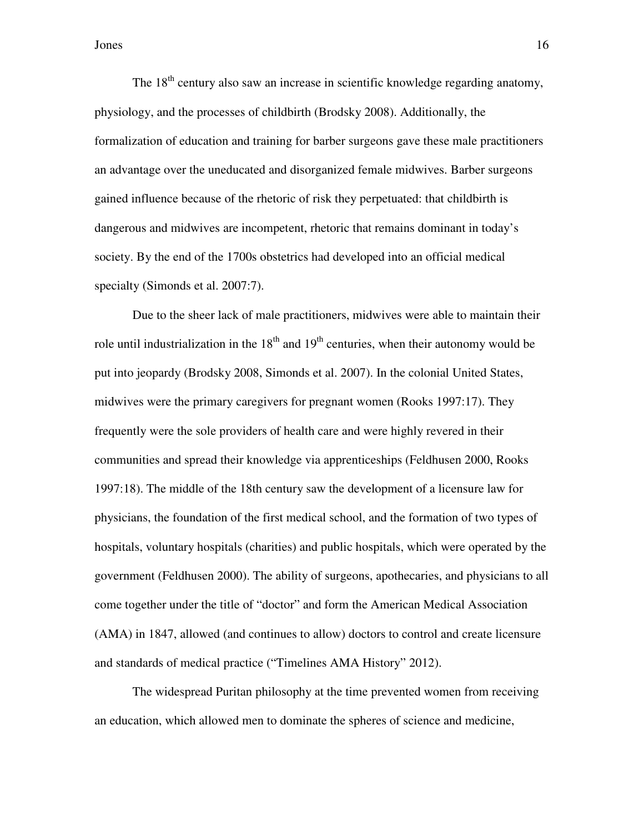The  $18<sup>th</sup>$  century also saw an increase in scientific knowledge regarding anatomy, physiology, and the processes of childbirth (Brodsky 2008). Additionally, the formalization of education and training for barber surgeons gave these male practitioners an advantage over the uneducated and disorganized female midwives. Barber surgeons gained influence because of the rhetoric of risk they perpetuated: that childbirth is dangerous and midwives are incompetent, rhetoric that remains dominant in today's society. By the end of the 1700s obstetrics had developed into an official medical specialty (Simonds et al. 2007:7).

Due to the sheer lack of male practitioners, midwives were able to maintain their role until industrialization in the  $18<sup>th</sup>$  and  $19<sup>th</sup>$  centuries, when their autonomy would be put into jeopardy (Brodsky 2008, Simonds et al. 2007). In the colonial United States, midwives were the primary caregivers for pregnant women (Rooks 1997:17). They frequently were the sole providers of health care and were highly revered in their communities and spread their knowledge via apprenticeships (Feldhusen 2000, Rooks 1997:18). The middle of the 18th century saw the development of a licensure law for physicians, the foundation of the first medical school, and the formation of two types of hospitals, voluntary hospitals (charities) and public hospitals, which were operated by the government (Feldhusen 2000). The ability of surgeons, apothecaries, and physicians to all come together under the title of "doctor" and form the American Medical Association (AMA) in 1847, allowed (and continues to allow) doctors to control and create licensure and standards of medical practice ("Timelines AMA History" 2012).

The widespread Puritan philosophy at the time prevented women from receiving an education, which allowed men to dominate the spheres of science and medicine,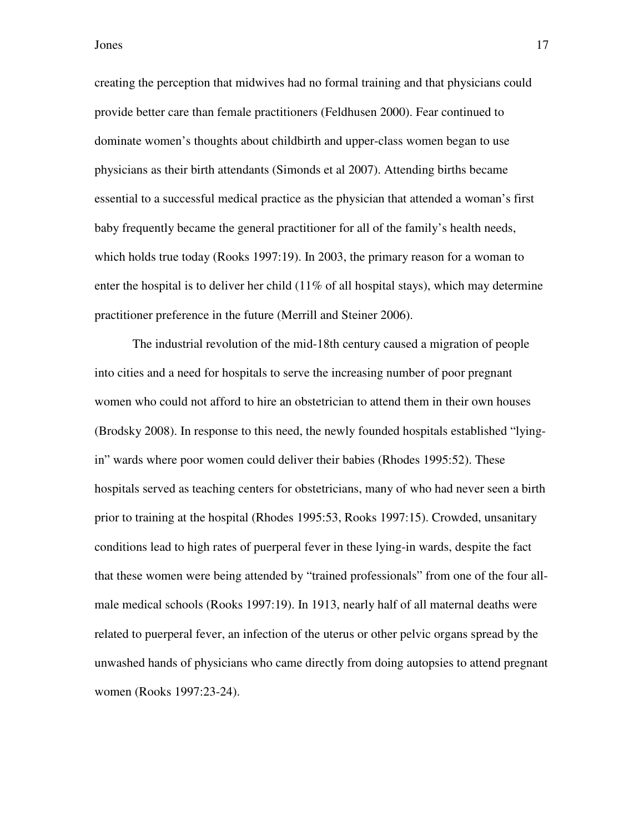creating the perception that midwives had no formal training and that physicians could provide better care than female practitioners (Feldhusen 2000). Fear continued to dominate women's thoughts about childbirth and upper-class women began to use physicians as their birth attendants (Simonds et al 2007). Attending births became essential to a successful medical practice as the physician that attended a woman's first baby frequently became the general practitioner for all of the family's health needs, which holds true today (Rooks 1997:19). In 2003, the primary reason for a woman to enter the hospital is to deliver her child  $(11\%$  of all hospital stays), which may determine practitioner preference in the future (Merrill and Steiner 2006).

The industrial revolution of the mid-18th century caused a migration of people into cities and a need for hospitals to serve the increasing number of poor pregnant women who could not afford to hire an obstetrician to attend them in their own houses (Brodsky 2008). In response to this need, the newly founded hospitals established "lyingin" wards where poor women could deliver their babies (Rhodes 1995:52). These hospitals served as teaching centers for obstetricians, many of who had never seen a birth prior to training at the hospital (Rhodes 1995:53, Rooks 1997:15). Crowded, unsanitary conditions lead to high rates of puerperal fever in these lying-in wards, despite the fact that these women were being attended by "trained professionals" from one of the four allmale medical schools (Rooks 1997:19). In 1913, nearly half of all maternal deaths were related to puerperal fever, an infection of the uterus or other pelvic organs spread by the unwashed hands of physicians who came directly from doing autopsies to attend pregnant women (Rooks 1997:23-24).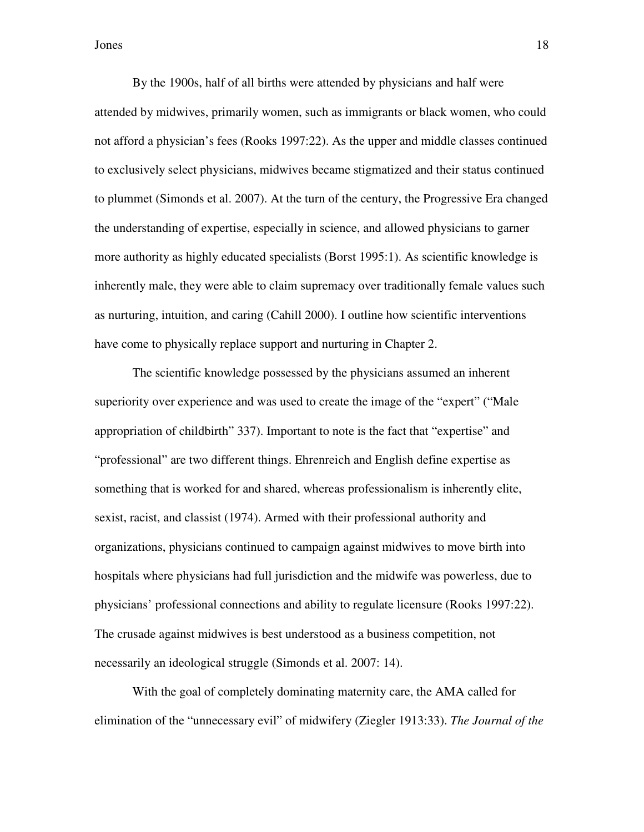By the 1900s, half of all births were attended by physicians and half were attended by midwives, primarily women, such as immigrants or black women, who could not afford a physician's fees (Rooks 1997:22). As the upper and middle classes continued to exclusively select physicians, midwives became stigmatized and their status continued to plummet (Simonds et al. 2007). At the turn of the century, the Progressive Era changed the understanding of expertise, especially in science, and allowed physicians to garner more authority as highly educated specialists (Borst 1995:1). As scientific knowledge is inherently male, they were able to claim supremacy over traditionally female values such as nurturing, intuition, and caring (Cahill 2000). I outline how scientific interventions have come to physically replace support and nurturing in Chapter 2.

The scientific knowledge possessed by the physicians assumed an inherent superiority over experience and was used to create the image of the "expert" ("Male appropriation of childbirth" 337). Important to note is the fact that "expertise" and "professional" are two different things. Ehrenreich and English define expertise as something that is worked for and shared, whereas professionalism is inherently elite, sexist, racist, and classist (1974). Armed with their professional authority and organizations, physicians continued to campaign against midwives to move birth into hospitals where physicians had full jurisdiction and the midwife was powerless, due to physicians' professional connections and ability to regulate licensure (Rooks 1997:22). The crusade against midwives is best understood as a business competition, not necessarily an ideological struggle (Simonds et al. 2007: 14).

With the goal of completely dominating maternity care, the AMA called for elimination of the "unnecessary evil" of midwifery (Ziegler 1913:33). *The Journal of the*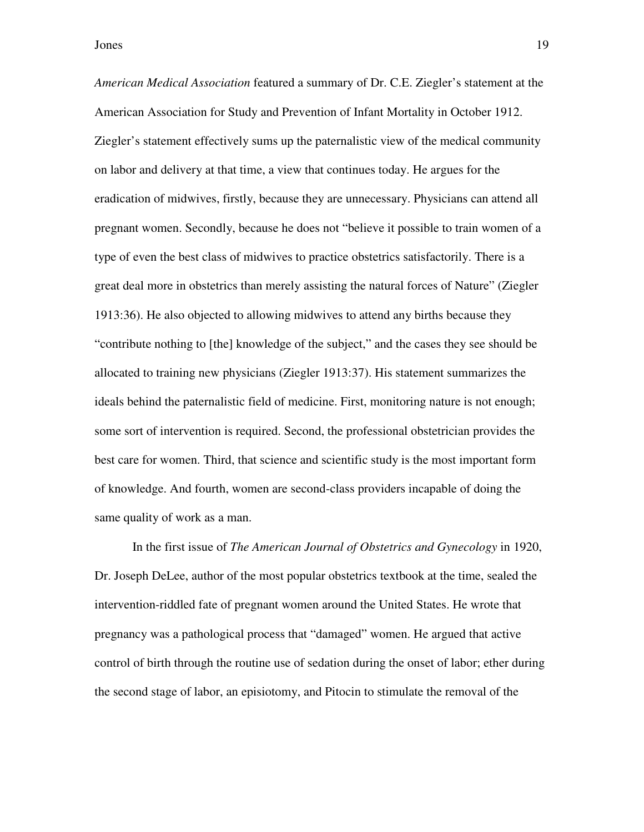*American Medical Association* featured a summary of Dr. C.E. Ziegler's statement at the American Association for Study and Prevention of Infant Mortality in October 1912. Ziegler's statement effectively sums up the paternalistic view of the medical community on labor and delivery at that time, a view that continues today. He argues for the eradication of midwives, firstly, because they are unnecessary. Physicians can attend all pregnant women. Secondly, because he does not "believe it possible to train women of a type of even the best class of midwives to practice obstetrics satisfactorily. There is a great deal more in obstetrics than merely assisting the natural forces of Nature" (Ziegler 1913:36). He also objected to allowing midwives to attend any births because they "contribute nothing to [the] knowledge of the subject," and the cases they see should be allocated to training new physicians (Ziegler 1913:37). His statement summarizes the ideals behind the paternalistic field of medicine. First, monitoring nature is not enough; some sort of intervention is required. Second, the professional obstetrician provides the best care for women. Third, that science and scientific study is the most important form of knowledge. And fourth, women are second-class providers incapable of doing the same quality of work as a man.

In the first issue of *The American Journal of Obstetrics and Gynecology* in 1920, Dr. Joseph DeLee, author of the most popular obstetrics textbook at the time, sealed the intervention-riddled fate of pregnant women around the United States. He wrote that pregnancy was a pathological process that "damaged" women. He argued that active control of birth through the routine use of sedation during the onset of labor; ether during the second stage of labor, an episiotomy, and Pitocin to stimulate the removal of the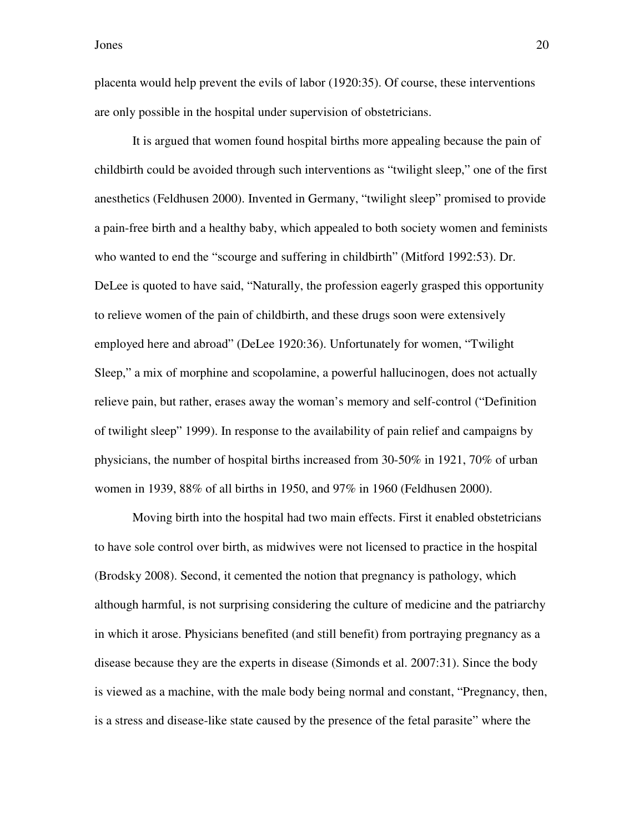placenta would help prevent the evils of labor (1920:35). Of course, these interventions are only possible in the hospital under supervision of obstetricians.

It is argued that women found hospital births more appealing because the pain of childbirth could be avoided through such interventions as "twilight sleep," one of the first anesthetics (Feldhusen 2000). Invented in Germany, "twilight sleep" promised to provide a pain-free birth and a healthy baby, which appealed to both society women and feminists who wanted to end the "scourge and suffering in childbirth" (Mitford 1992:53). Dr. DeLee is quoted to have said, "Naturally, the profession eagerly grasped this opportunity to relieve women of the pain of childbirth, and these drugs soon were extensively employed here and abroad" (DeLee 1920:36). Unfortunately for women, "Twilight Sleep," a mix of morphine and scopolamine, a powerful hallucinogen, does not actually relieve pain, but rather, erases away the woman's memory and self-control ("Definition of twilight sleep" 1999). In response to the availability of pain relief and campaigns by physicians, the number of hospital births increased from 30-50% in 1921, 70% of urban women in 1939, 88% of all births in 1950, and 97% in 1960 (Feldhusen 2000).

Moving birth into the hospital had two main effects. First it enabled obstetricians to have sole control over birth, as midwives were not licensed to practice in the hospital (Brodsky 2008). Second, it cemented the notion that pregnancy is pathology, which although harmful, is not surprising considering the culture of medicine and the patriarchy in which it arose. Physicians benefited (and still benefit) from portraying pregnancy as a disease because they are the experts in disease (Simonds et al. 2007:31). Since the body is viewed as a machine, with the male body being normal and constant, "Pregnancy, then, is a stress and disease-like state caused by the presence of the fetal parasite" where the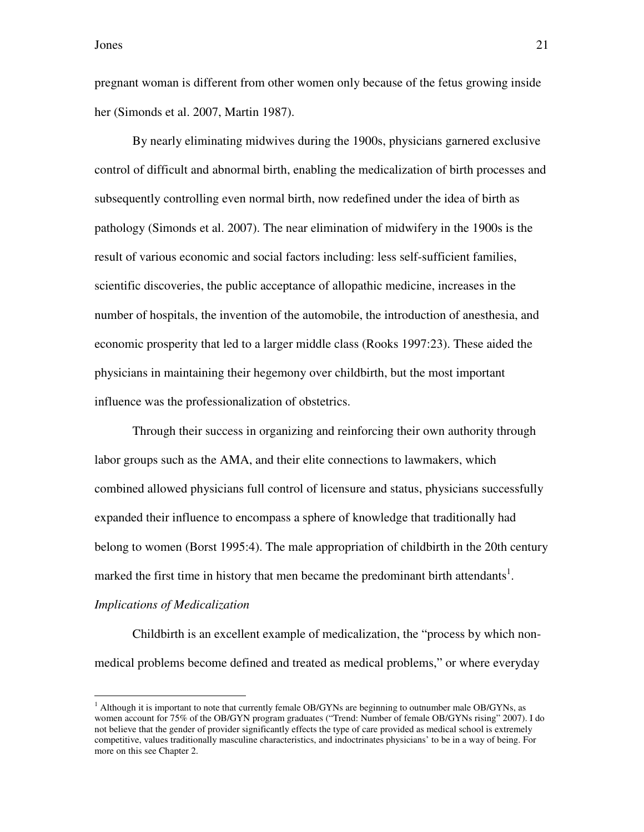pregnant woman is different from other women only because of the fetus growing inside her (Simonds et al. 2007, Martin 1987).

By nearly eliminating midwives during the 1900s, physicians garnered exclusive control of difficult and abnormal birth, enabling the medicalization of birth processes and subsequently controlling even normal birth, now redefined under the idea of birth as pathology (Simonds et al. 2007). The near elimination of midwifery in the 1900s is the result of various economic and social factors including: less self-sufficient families, scientific discoveries, the public acceptance of allopathic medicine, increases in the number of hospitals, the invention of the automobile, the introduction of anesthesia, and economic prosperity that led to a larger middle class (Rooks 1997:23). These aided the physicians in maintaining their hegemony over childbirth, but the most important influence was the professionalization of obstetrics.

Through their success in organizing and reinforcing their own authority through labor groups such as the AMA, and their elite connections to lawmakers, which combined allowed physicians full control of licensure and status, physicians successfully expanded their influence to encompass a sphere of knowledge that traditionally had belong to women (Borst 1995:4). The male appropriation of childbirth in the 20th century marked the first time in history that men became the predominant birth attendants<sup>1</sup>.

#### *Implications of Medicalization*

 $\overline{a}$ 

Childbirth is an excellent example of medicalization, the "process by which nonmedical problems become defined and treated as medical problems," or where everyday

<sup>&</sup>lt;sup>1</sup> Although it is important to note that currently female OB/GYNs are beginning to outnumber male OB/GYNs, as women account for 75% of the OB/GYN program graduates ("Trend: Number of female OB/GYNs rising" 2007). I do not believe that the gender of provider significantly effects the type of care provided as medical school is extremely competitive, values traditionally masculine characteristics, and indoctrinates physicians' to be in a way of being. For more on this see Chapter 2.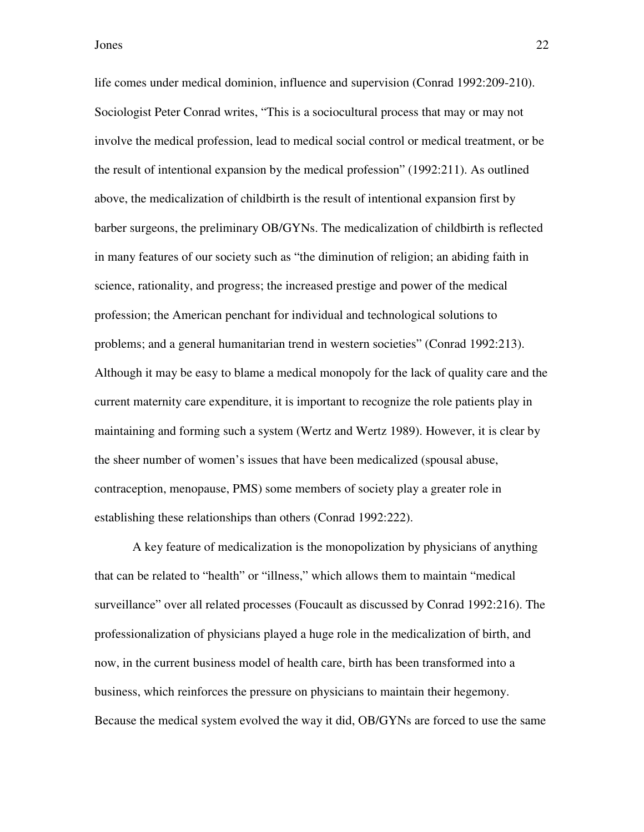life comes under medical dominion, influence and supervision (Conrad 1992:209-210). Sociologist Peter Conrad writes, "This is a sociocultural process that may or may not involve the medical profession, lead to medical social control or medical treatment, or be the result of intentional expansion by the medical profession" (1992:211). As outlined above, the medicalization of childbirth is the result of intentional expansion first by barber surgeons, the preliminary OB/GYNs. The medicalization of childbirth is reflected in many features of our society such as "the diminution of religion; an abiding faith in science, rationality, and progress; the increased prestige and power of the medical profession; the American penchant for individual and technological solutions to problems; and a general humanitarian trend in western societies" (Conrad 1992:213). Although it may be easy to blame a medical monopoly for the lack of quality care and the current maternity care expenditure, it is important to recognize the role patients play in maintaining and forming such a system (Wertz and Wertz 1989). However, it is clear by the sheer number of women's issues that have been medicalized (spousal abuse, contraception, menopause, PMS) some members of society play a greater role in establishing these relationships than others (Conrad 1992:222).

A key feature of medicalization is the monopolization by physicians of anything that can be related to "health" or "illness," which allows them to maintain "medical surveillance" over all related processes (Foucault as discussed by Conrad 1992:216). The professionalization of physicians played a huge role in the medicalization of birth, and now, in the current business model of health care, birth has been transformed into a business, which reinforces the pressure on physicians to maintain their hegemony. Because the medical system evolved the way it did, OB/GYNs are forced to use the same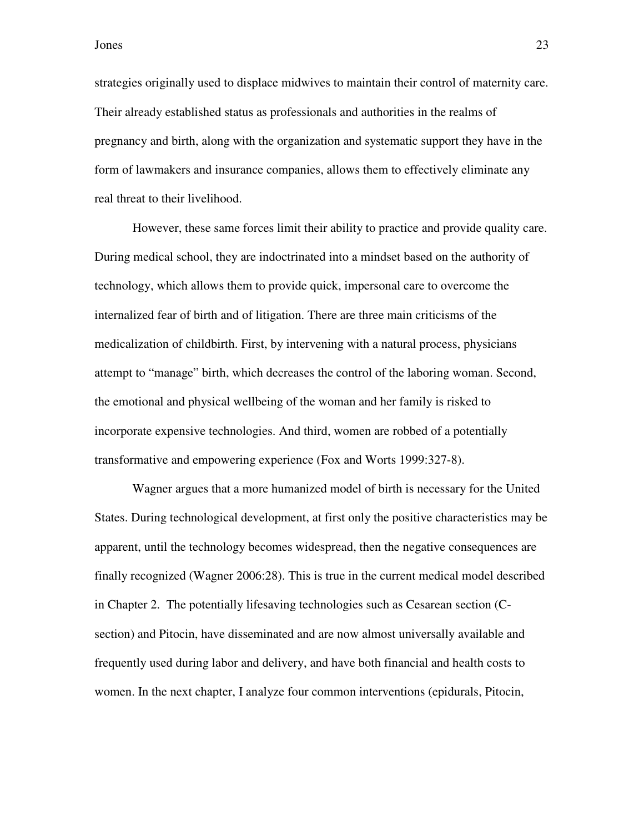strategies originally used to displace midwives to maintain their control of maternity care. Their already established status as professionals and authorities in the realms of pregnancy and birth, along with the organization and systematic support they have in the form of lawmakers and insurance companies, allows them to effectively eliminate any real threat to their livelihood.

However, these same forces limit their ability to practice and provide quality care. During medical school, they are indoctrinated into a mindset based on the authority of technology, which allows them to provide quick, impersonal care to overcome the internalized fear of birth and of litigation. There are three main criticisms of the medicalization of childbirth. First, by intervening with a natural process, physicians attempt to "manage" birth, which decreases the control of the laboring woman. Second, the emotional and physical wellbeing of the woman and her family is risked to incorporate expensive technologies. And third, women are robbed of a potentially transformative and empowering experience (Fox and Worts 1999:327-8).

Wagner argues that a more humanized model of birth is necessary for the United States. During technological development, at first only the positive characteristics may be apparent, until the technology becomes widespread, then the negative consequences are finally recognized (Wagner 2006:28). This is true in the current medical model described in Chapter 2. The potentially lifesaving technologies such as Cesarean section (Csection) and Pitocin, have disseminated and are now almost universally available and frequently used during labor and delivery, and have both financial and health costs to women. In the next chapter, I analyze four common interventions (epidurals, Pitocin,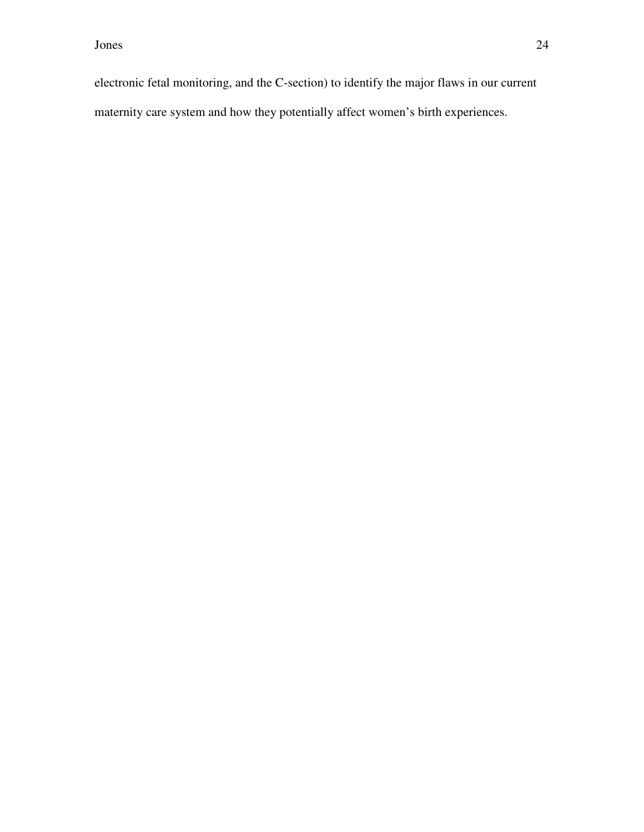electronic fetal monitoring, and the C-section) to identify the major flaws in our current maternity care system and how they potentially affect women's birth experiences.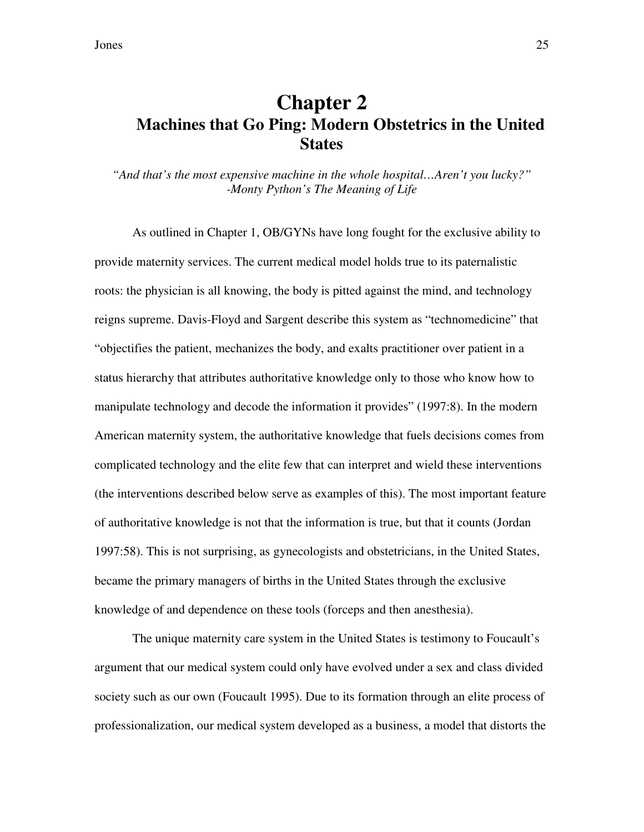### **Chapter 2 Machines that Go Ping: Modern Obstetrics in the United States**

*"And that's the most expensive machine in the whole hospital…Aren't you lucky?" -Monty Python's The Meaning of Life* 

As outlined in Chapter 1, OB/GYNs have long fought for the exclusive ability to provide maternity services. The current medical model holds true to its paternalistic roots: the physician is all knowing, the body is pitted against the mind, and technology reigns supreme. Davis-Floyd and Sargent describe this system as "technomedicine" that "objectifies the patient, mechanizes the body, and exalts practitioner over patient in a status hierarchy that attributes authoritative knowledge only to those who know how to manipulate technology and decode the information it provides" (1997:8). In the modern American maternity system, the authoritative knowledge that fuels decisions comes from complicated technology and the elite few that can interpret and wield these interventions (the interventions described below serve as examples of this). The most important feature of authoritative knowledge is not that the information is true, but that it counts (Jordan 1997:58). This is not surprising, as gynecologists and obstetricians, in the United States, became the primary managers of births in the United States through the exclusive knowledge of and dependence on these tools (forceps and then anesthesia).

The unique maternity care system in the United States is testimony to Foucault's argument that our medical system could only have evolved under a sex and class divided society such as our own (Foucault 1995). Due to its formation through an elite process of professionalization, our medical system developed as a business, a model that distorts the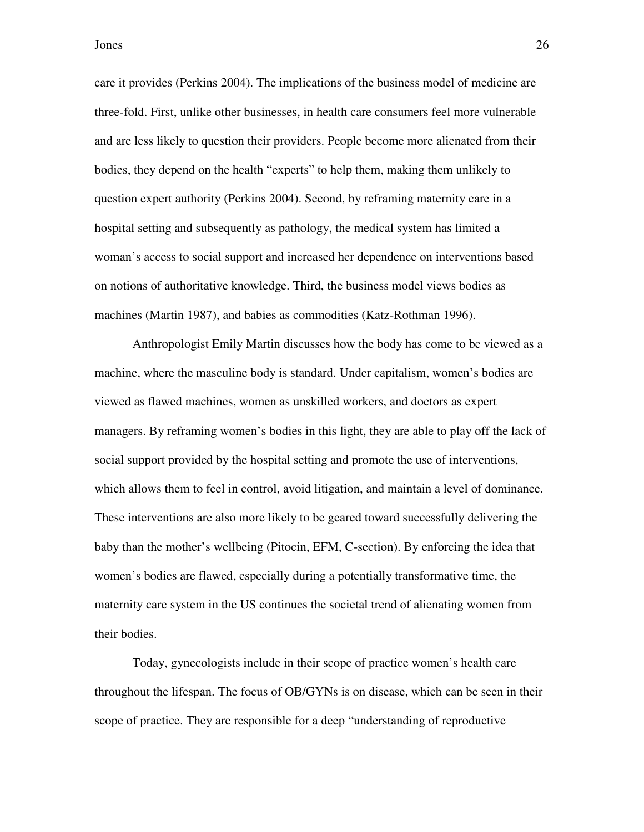care it provides (Perkins 2004). The implications of the business model of medicine are three-fold. First, unlike other businesses, in health care consumers feel more vulnerable and are less likely to question their providers. People become more alienated from their bodies, they depend on the health "experts" to help them, making them unlikely to question expert authority (Perkins 2004). Second, by reframing maternity care in a hospital setting and subsequently as pathology, the medical system has limited a woman's access to social support and increased her dependence on interventions based on notions of authoritative knowledge. Third, the business model views bodies as machines (Martin 1987), and babies as commodities (Katz-Rothman 1996).

Anthropologist Emily Martin discusses how the body has come to be viewed as a machine, where the masculine body is standard. Under capitalism, women's bodies are viewed as flawed machines, women as unskilled workers, and doctors as expert managers. By reframing women's bodies in this light, they are able to play off the lack of social support provided by the hospital setting and promote the use of interventions, which allows them to feel in control, avoid litigation, and maintain a level of dominance. These interventions are also more likely to be geared toward successfully delivering the baby than the mother's wellbeing (Pitocin, EFM, C-section). By enforcing the idea that women's bodies are flawed, especially during a potentially transformative time, the maternity care system in the US continues the societal trend of alienating women from their bodies.

Today, gynecologists include in their scope of practice women's health care throughout the lifespan. The focus of OB/GYNs is on disease, which can be seen in their scope of practice. They are responsible for a deep "understanding of reproductive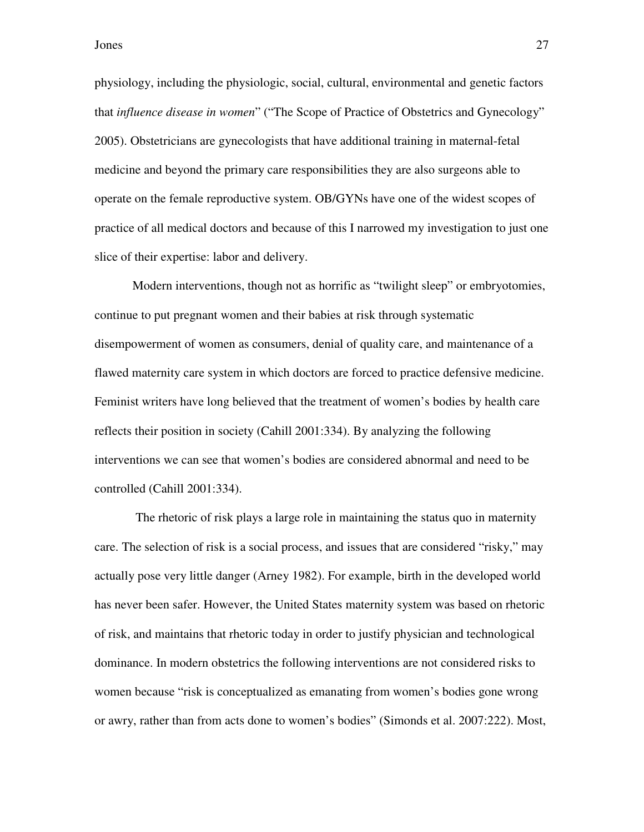physiology, including the physiologic, social, cultural, environmental and genetic factors that *influence disease in women*" ("The Scope of Practice of Obstetrics and Gynecology" 2005). Obstetricians are gynecologists that have additional training in maternal-fetal medicine and beyond the primary care responsibilities they are also surgeons able to operate on the female reproductive system. OB/GYNs have one of the widest scopes of practice of all medical doctors and because of this I narrowed my investigation to just one slice of their expertise: labor and delivery.

Modern interventions, though not as horrific as "twilight sleep" or embryotomies, continue to put pregnant women and their babies at risk through systematic disempowerment of women as consumers, denial of quality care, and maintenance of a flawed maternity care system in which doctors are forced to practice defensive medicine. Feminist writers have long believed that the treatment of women's bodies by health care reflects their position in society (Cahill 2001:334). By analyzing the following interventions we can see that women's bodies are considered abnormal and need to be controlled (Cahill 2001:334).

 The rhetoric of risk plays a large role in maintaining the status quo in maternity care. The selection of risk is a social process, and issues that are considered "risky," may actually pose very little danger (Arney 1982). For example, birth in the developed world has never been safer. However, the United States maternity system was based on rhetoric of risk, and maintains that rhetoric today in order to justify physician and technological dominance. In modern obstetrics the following interventions are not considered risks to women because "risk is conceptualized as emanating from women's bodies gone wrong or awry, rather than from acts done to women's bodies" (Simonds et al. 2007:222). Most,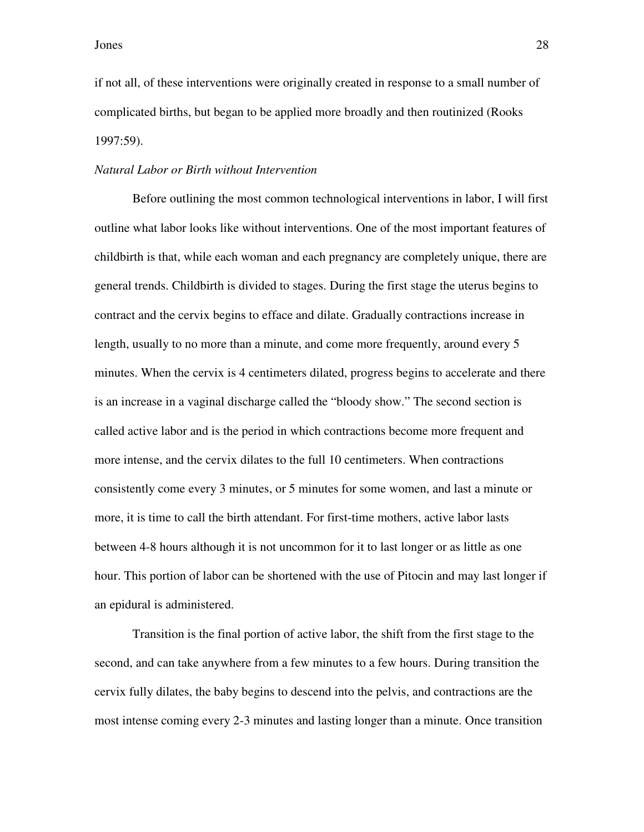if not all, of these interventions were originally created in response to a small number of complicated births, but began to be applied more broadly and then routinized (Rooks 1997:59).

#### *Natural Labor or Birth without Intervention*

Before outlining the most common technological interventions in labor, I will first outline what labor looks like without interventions. One of the most important features of childbirth is that, while each woman and each pregnancy are completely unique, there are general trends. Childbirth is divided to stages. During the first stage the uterus begins to contract and the cervix begins to efface and dilate. Gradually contractions increase in length, usually to no more than a minute, and come more frequently, around every 5 minutes. When the cervix is 4 centimeters dilated, progress begins to accelerate and there is an increase in a vaginal discharge called the "bloody show." The second section is called active labor and is the period in which contractions become more frequent and more intense, and the cervix dilates to the full 10 centimeters. When contractions consistently come every 3 minutes, or 5 minutes for some women, and last a minute or more, it is time to call the birth attendant. For first-time mothers, active labor lasts between 4-8 hours although it is not uncommon for it to last longer or as little as one hour. This portion of labor can be shortened with the use of Pitocin and may last longer if an epidural is administered.

Transition is the final portion of active labor, the shift from the first stage to the second, and can take anywhere from a few minutes to a few hours. During transition the cervix fully dilates, the baby begins to descend into the pelvis, and contractions are the most intense coming every 2-3 minutes and lasting longer than a minute. Once transition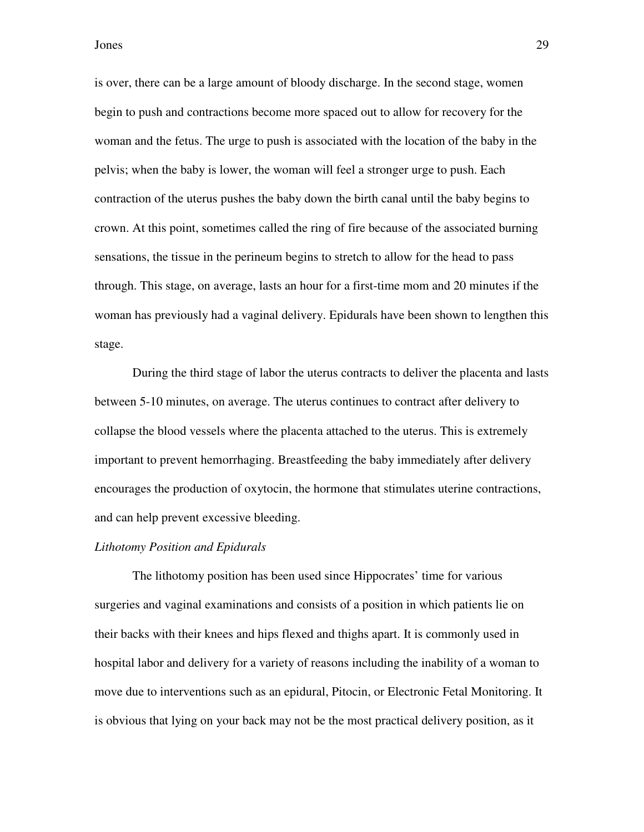is over, there can be a large amount of bloody discharge. In the second stage, women begin to push and contractions become more spaced out to allow for recovery for the woman and the fetus. The urge to push is associated with the location of the baby in the pelvis; when the baby is lower, the woman will feel a stronger urge to push. Each contraction of the uterus pushes the baby down the birth canal until the baby begins to crown. At this point, sometimes called the ring of fire because of the associated burning sensations, the tissue in the perineum begins to stretch to allow for the head to pass through. This stage, on average, lasts an hour for a first-time mom and 20 minutes if the woman has previously had a vaginal delivery. Epidurals have been shown to lengthen this stage.

During the third stage of labor the uterus contracts to deliver the placenta and lasts between 5-10 minutes, on average. The uterus continues to contract after delivery to collapse the blood vessels where the placenta attached to the uterus. This is extremely important to prevent hemorrhaging. Breastfeeding the baby immediately after delivery encourages the production of oxytocin, the hormone that stimulates uterine contractions, and can help prevent excessive bleeding.

#### *Lithotomy Position and Epidurals*

The lithotomy position has been used since Hippocrates' time for various surgeries and vaginal examinations and consists of a position in which patients lie on their backs with their knees and hips flexed and thighs apart. It is commonly used in hospital labor and delivery for a variety of reasons including the inability of a woman to move due to interventions such as an epidural, Pitocin, or Electronic Fetal Monitoring. It is obvious that lying on your back may not be the most practical delivery position, as it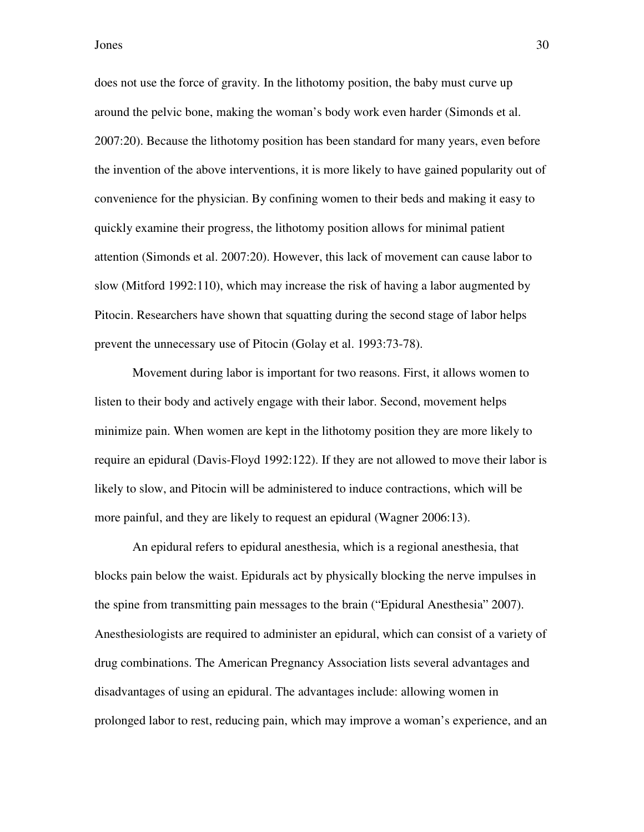does not use the force of gravity. In the lithotomy position, the baby must curve up around the pelvic bone, making the woman's body work even harder (Simonds et al. 2007:20). Because the lithotomy position has been standard for many years, even before the invention of the above interventions, it is more likely to have gained popularity out of convenience for the physician. By confining women to their beds and making it easy to quickly examine their progress, the lithotomy position allows for minimal patient attention (Simonds et al. 2007:20). However, this lack of movement can cause labor to slow (Mitford 1992:110), which may increase the risk of having a labor augmented by Pitocin. Researchers have shown that squatting during the second stage of labor helps prevent the unnecessary use of Pitocin (Golay et al. 1993:73-78).

Movement during labor is important for two reasons. First, it allows women to listen to their body and actively engage with their labor. Second, movement helps minimize pain. When women are kept in the lithotomy position they are more likely to require an epidural (Davis-Floyd 1992:122). If they are not allowed to move their labor is likely to slow, and Pitocin will be administered to induce contractions, which will be more painful, and they are likely to request an epidural (Wagner 2006:13).

An epidural refers to epidural anesthesia, which is a regional anesthesia, that blocks pain below the waist. Epidurals act by physically blocking the nerve impulses in the spine from transmitting pain messages to the brain ("Epidural Anesthesia" 2007). Anesthesiologists are required to administer an epidural, which can consist of a variety of drug combinations. The American Pregnancy Association lists several advantages and disadvantages of using an epidural. The advantages include: allowing women in prolonged labor to rest, reducing pain, which may improve a woman's experience, and an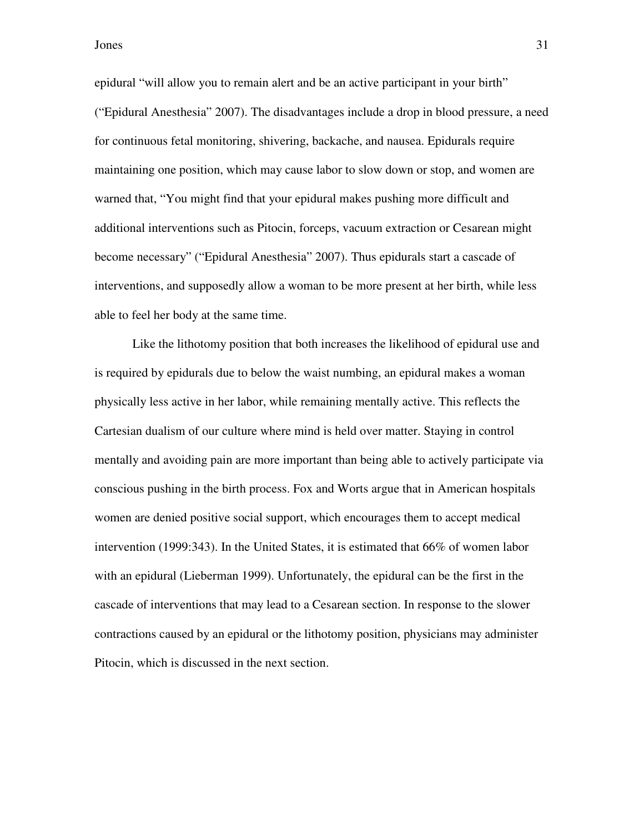epidural "will allow you to remain alert and be an active participant in your birth" ("Epidural Anesthesia" 2007). The disadvantages include a drop in blood pressure, a need for continuous fetal monitoring, shivering, backache, and nausea. Epidurals require maintaining one position, which may cause labor to slow down or stop, and women are warned that, "You might find that your epidural makes pushing more difficult and additional interventions such as Pitocin, forceps, vacuum extraction or Cesarean might become necessary" ("Epidural Anesthesia" 2007). Thus epidurals start a cascade of interventions, and supposedly allow a woman to be more present at her birth, while less able to feel her body at the same time.

Like the lithotomy position that both increases the likelihood of epidural use and is required by epidurals due to below the waist numbing, an epidural makes a woman physically less active in her labor, while remaining mentally active. This reflects the Cartesian dualism of our culture where mind is held over matter. Staying in control mentally and avoiding pain are more important than being able to actively participate via conscious pushing in the birth process. Fox and Worts argue that in American hospitals women are denied positive social support, which encourages them to accept medical intervention (1999:343). In the United States, it is estimated that 66% of women labor with an epidural (Lieberman 1999). Unfortunately, the epidural can be the first in the cascade of interventions that may lead to a Cesarean section. In response to the slower contractions caused by an epidural or the lithotomy position, physicians may administer Pitocin, which is discussed in the next section.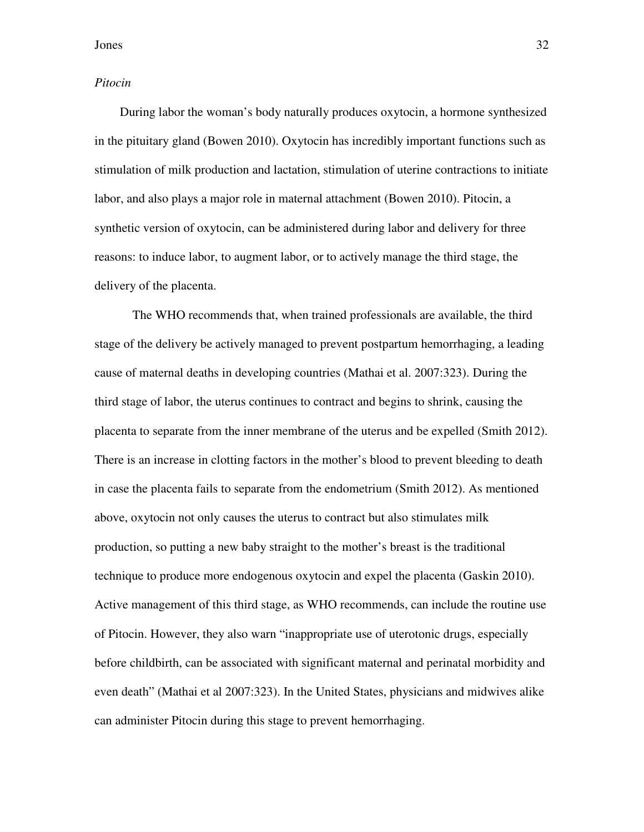#### *Pitocin*

 During labor the woman's body naturally produces oxytocin, a hormone synthesized in the pituitary gland (Bowen 2010). Oxytocin has incredibly important functions such as stimulation of milk production and lactation, stimulation of uterine contractions to initiate labor, and also plays a major role in maternal attachment (Bowen 2010). Pitocin, a synthetic version of oxytocin, can be administered during labor and delivery for three reasons: to induce labor, to augment labor, or to actively manage the third stage, the delivery of the placenta.

The WHO recommends that, when trained professionals are available, the third stage of the delivery be actively managed to prevent postpartum hemorrhaging, a leading cause of maternal deaths in developing countries (Mathai et al. 2007:323). During the third stage of labor, the uterus continues to contract and begins to shrink, causing the placenta to separate from the inner membrane of the uterus and be expelled (Smith 2012). There is an increase in clotting factors in the mother's blood to prevent bleeding to death in case the placenta fails to separate from the endometrium (Smith 2012). As mentioned above, oxytocin not only causes the uterus to contract but also stimulates milk production, so putting a new baby straight to the mother's breast is the traditional technique to produce more endogenous oxytocin and expel the placenta (Gaskin 2010). Active management of this third stage, as WHO recommends, can include the routine use of Pitocin. However, they also warn "inappropriate use of uterotonic drugs, especially before childbirth, can be associated with significant maternal and perinatal morbidity and even death" (Mathai et al 2007:323). In the United States, physicians and midwives alike can administer Pitocin during this stage to prevent hemorrhaging.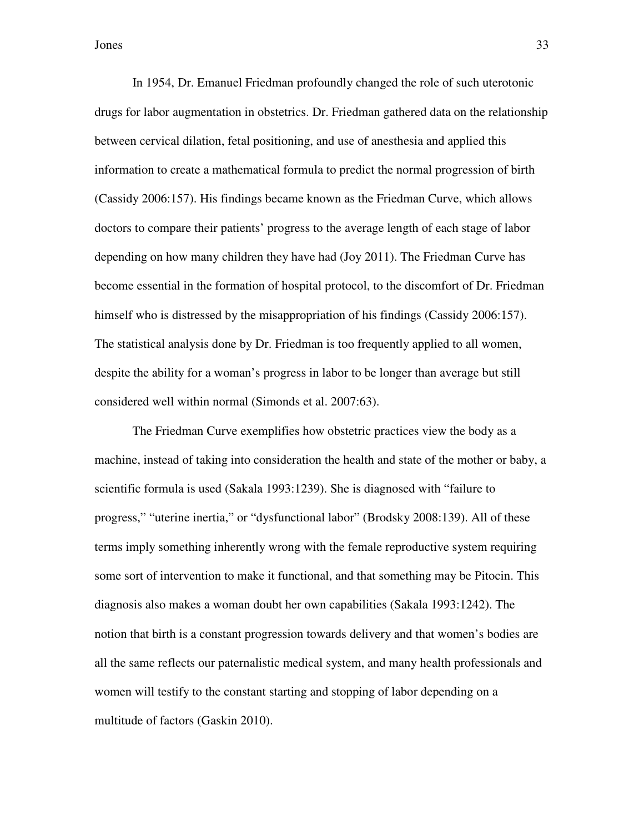In 1954, Dr. Emanuel Friedman profoundly changed the role of such uterotonic drugs for labor augmentation in obstetrics. Dr. Friedman gathered data on the relationship between cervical dilation, fetal positioning, and use of anesthesia and applied this information to create a mathematical formula to predict the normal progression of birth (Cassidy 2006:157). His findings became known as the Friedman Curve, which allows doctors to compare their patients' progress to the average length of each stage of labor depending on how many children they have had (Joy 2011). The Friedman Curve has become essential in the formation of hospital protocol, to the discomfort of Dr. Friedman himself who is distressed by the misappropriation of his findings (Cassidy 2006:157). The statistical analysis done by Dr. Friedman is too frequently applied to all women, despite the ability for a woman's progress in labor to be longer than average but still considered well within normal (Simonds et al. 2007:63).

The Friedman Curve exemplifies how obstetric practices view the body as a machine, instead of taking into consideration the health and state of the mother or baby, a scientific formula is used (Sakala 1993:1239). She is diagnosed with "failure to progress," "uterine inertia," or "dysfunctional labor" (Brodsky 2008:139). All of these terms imply something inherently wrong with the female reproductive system requiring some sort of intervention to make it functional, and that something may be Pitocin. This diagnosis also makes a woman doubt her own capabilities (Sakala 1993:1242). The notion that birth is a constant progression towards delivery and that women's bodies are all the same reflects our paternalistic medical system, and many health professionals and women will testify to the constant starting and stopping of labor depending on a multitude of factors (Gaskin 2010).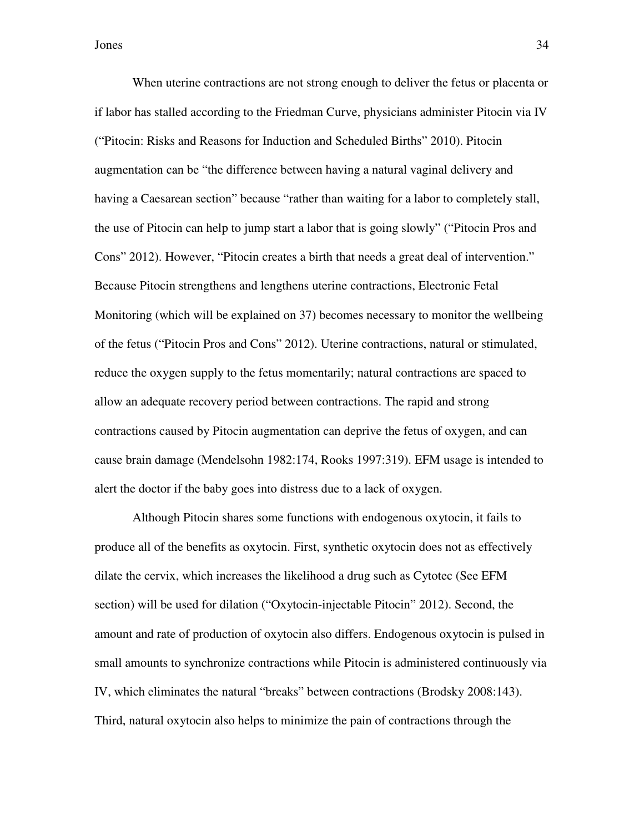When uterine contractions are not strong enough to deliver the fetus or placenta or if labor has stalled according to the Friedman Curve, physicians administer Pitocin via IV ("Pitocin: Risks and Reasons for Induction and Scheduled Births" 2010). Pitocin augmentation can be "the difference between having a natural vaginal delivery and having a Caesarean section" because "rather than waiting for a labor to completely stall, the use of Pitocin can help to jump start a labor that is going slowly" ("Pitocin Pros and Cons" 2012). However, "Pitocin creates a birth that needs a great deal of intervention." Because Pitocin strengthens and lengthens uterine contractions, Electronic Fetal Monitoring (which will be explained on 37) becomes necessary to monitor the wellbeing of the fetus ("Pitocin Pros and Cons" 2012). Uterine contractions, natural or stimulated, reduce the oxygen supply to the fetus momentarily; natural contractions are spaced to allow an adequate recovery period between contractions. The rapid and strong contractions caused by Pitocin augmentation can deprive the fetus of oxygen, and can cause brain damage (Mendelsohn 1982:174, Rooks 1997:319). EFM usage is intended to alert the doctor if the baby goes into distress due to a lack of oxygen.

Although Pitocin shares some functions with endogenous oxytocin, it fails to produce all of the benefits as oxytocin. First, synthetic oxytocin does not as effectively dilate the cervix, which increases the likelihood a drug such as Cytotec (See EFM section) will be used for dilation ("Oxytocin-injectable Pitocin" 2012). Second, the amount and rate of production of oxytocin also differs. Endogenous oxytocin is pulsed in small amounts to synchronize contractions while Pitocin is administered continuously via IV, which eliminates the natural "breaks" between contractions (Brodsky 2008:143). Third, natural oxytocin also helps to minimize the pain of contractions through the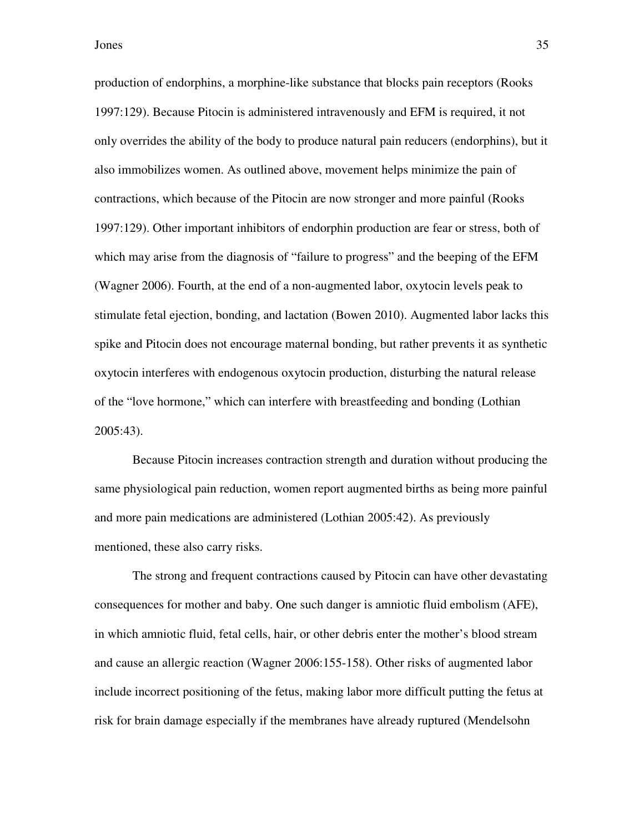production of endorphins, a morphine-like substance that blocks pain receptors (Rooks 1997:129). Because Pitocin is administered intravenously and EFM is required, it not only overrides the ability of the body to produce natural pain reducers (endorphins), but it also immobilizes women. As outlined above, movement helps minimize the pain of contractions, which because of the Pitocin are now stronger and more painful (Rooks 1997:129). Other important inhibitors of endorphin production are fear or stress, both of which may arise from the diagnosis of "failure to progress" and the beeping of the EFM (Wagner 2006). Fourth, at the end of a non-augmented labor, oxytocin levels peak to stimulate fetal ejection, bonding, and lactation (Bowen 2010). Augmented labor lacks this spike and Pitocin does not encourage maternal bonding, but rather prevents it as synthetic oxytocin interferes with endogenous oxytocin production, disturbing the natural release of the "love hormone," which can interfere with breastfeeding and bonding (Lothian 2005:43).

Because Pitocin increases contraction strength and duration without producing the same physiological pain reduction, women report augmented births as being more painful and more pain medications are administered (Lothian 2005:42). As previously mentioned, these also carry risks.

The strong and frequent contractions caused by Pitocin can have other devastating consequences for mother and baby. One such danger is amniotic fluid embolism (AFE), in which amniotic fluid, fetal cells, hair, or other debris enter the mother's blood stream and cause an allergic reaction (Wagner 2006:155-158). Other risks of augmented labor include incorrect positioning of the fetus, making labor more difficult putting the fetus at risk for brain damage especially if the membranes have already ruptured (Mendelsohn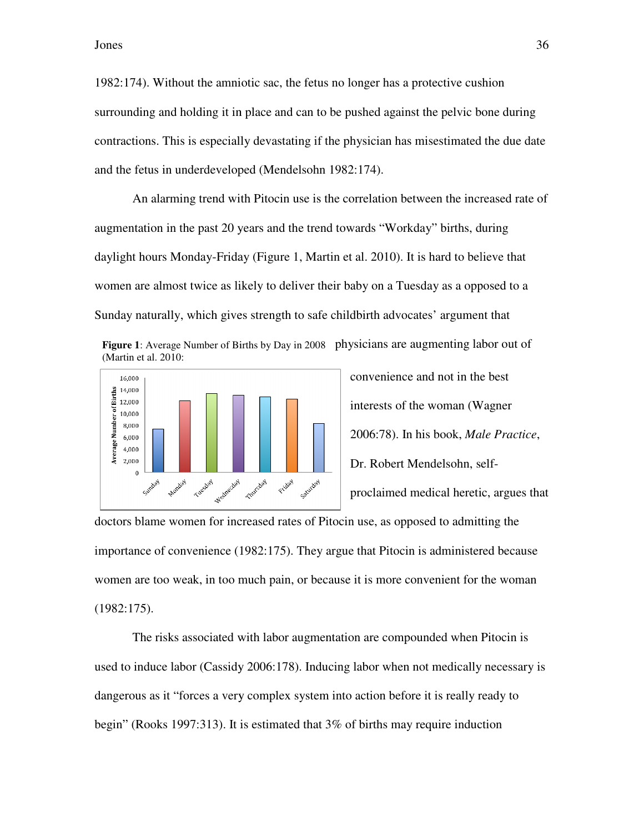1982:174). Without the amniotic sac, the fetus no longer has a protective cushion surrounding and holding it in place and can to be pushed against the pelvic bone during contractions. This is especially devastating if the physician has misestimated the due date and the fetus in underdeveloped (Mendelsohn 1982:174). and the fetus in underdeveloped (Mendelsohn 1982:174).

An alarming trend with Pitocin use is the correlation between the increased rate of augmentation in the past 20 years and the trend towards "Workday" births, during daylight hours Monday-Friday (Figure 1, Martin et al. 2010). It is hard to believe that women are almost twice as likely to deliver their baby on a Tuesday as a opposed to a Sunday naturally, which gives strength to safe childbirth advocates' argument that Figure 1: Average Number of Births by Day in 2008 Physicians are augmenting labor out of Figure 1: Average Number of Births by Day in 2008 Physicians are augmenting labor out of tus no longer has a protective cushion<br>to be pushed against the pelvic bone during<br>if the physician has misestimated the due da<br>hn 1982:174).<br>is the correlation between the increased rate<br>rend towards "Workday" births, dur

(Martin et al. 2010:



convenience and not in the best interests of the woman (Wagner interests of the woman (Wagner<br>2006:78). In his book, *Male Practice*, Dr. Robert Mendelsohn, selfproclaimed medical heretic, argues that

doctors blame women for increased rates of Pitocin use, as opposed to admitting the importance of convenience (1982:175). They argue that Pitocin is administered because women are too weak, in too much pain, or because it is more convenient for the woman (1982:175).

The risks associated with labor augmentation are compounded when Pitocin is The risks associated with labor augmentation are compounded when Pitocin is<br>used to induce labor (Cassidy 2006:178). Inducing labor when not medically necessary is dangerous as it "forces a very complex system into action before it is really ready to begin" (Rooks 1997:313). It is estimated that  $3\%$  of births may require induction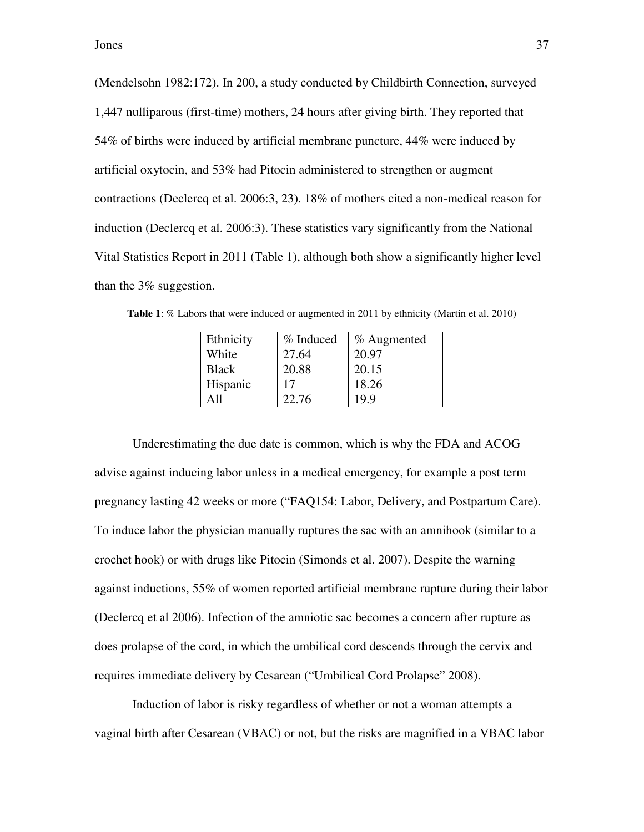(Mendelsohn 1982:172). In 200, a study conducted by Childbirth Connection, surveyed 1,447 nulliparous (first-time) mothers, 24 hours after giving birth. They reported that 54% of births were induced by artificial membrane puncture, 44% were induced by artificial oxytocin, and 53% had Pitocin administered to strengthen or augment contractions (Declercq et al. 2006:3, 23). 18% of mothers cited a non-medical reason for induction (Declercq et al. 2006:3). These statistics vary significantly from the National Vital Statistics Report in 2011 (Table 1), although both show a significantly higher level than the 3% suggestion.

| Ethnicity    | % Induced | % Augmented |
|--------------|-----------|-------------|
| White        | 27.64     | 20.97       |
| <b>Black</b> | 20.88     | 20.15       |
| Hispanic     |           | 18.26       |
| A 11         | 22.76     | 19.9        |
|              |           |             |

**Table 1**: % Labors that were induced or augmented in 2011 by ethnicity (Martin et al. 2010)

Underestimating the due date is common, which is why the FDA and ACOG advise against inducing labor unless in a medical emergency, for example a post term pregnancy lasting 42 weeks or more ("FAQ154: Labor, Delivery, and Postpartum Care). To induce labor the physician manually ruptures the sac with an amnihook (similar to a crochet hook) or with drugs like Pitocin (Simonds et al. 2007). Despite the warning against inductions, 55% of women reported artificial membrane rupture during their labor (Declercq et al 2006). Infection of the amniotic sac becomes a concern after rupture as does prolapse of the cord, in which the umbilical cord descends through the cervix and requires immediate delivery by Cesarean ("Umbilical Cord Prolapse" 2008).

Induction of labor is risky regardless of whether or not a woman attempts a vaginal birth after Cesarean (VBAC) or not, but the risks are magnified in a VBAC labor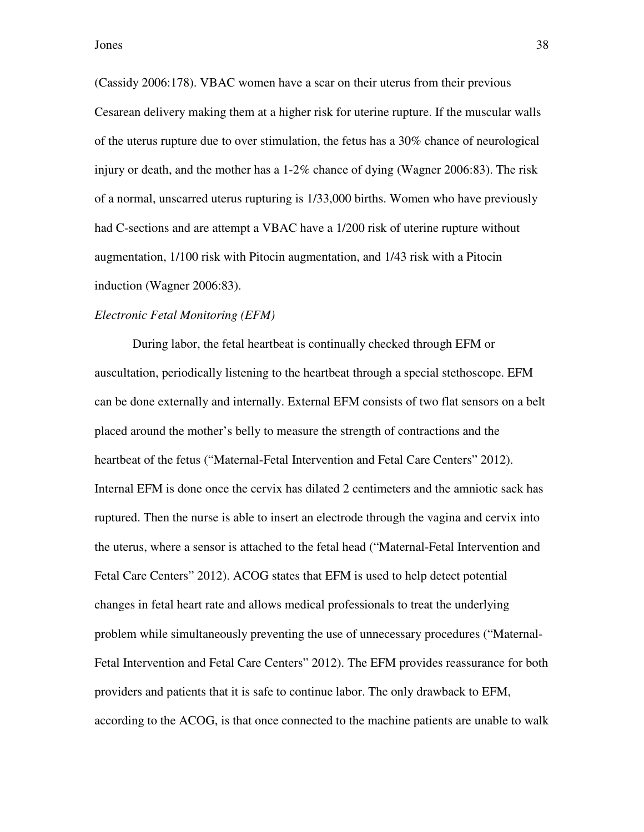(Cassidy 2006:178). VBAC women have a scar on their uterus from their previous Cesarean delivery making them at a higher risk for uterine rupture. If the muscular walls of the uterus rupture due to over stimulation, the fetus has a 30% chance of neurological injury or death, and the mother has a 1-2% chance of dying (Wagner 2006:83). The risk of a normal, unscarred uterus rupturing is 1/33,000 births. Women who have previously had C-sections and are attempt a VBAC have a  $1/200$  risk of uterine rupture without augmentation, 1/100 risk with Pitocin augmentation, and 1/43 risk with a Pitocin induction (Wagner 2006:83).

# *Electronic Fetal Monitoring (EFM)*

During labor, the fetal heartbeat is continually checked through EFM or auscultation, periodically listening to the heartbeat through a special stethoscope. EFM can be done externally and internally. External EFM consists of two flat sensors on a belt placed around the mother's belly to measure the strength of contractions and the heartbeat of the fetus ("Maternal-Fetal Intervention and Fetal Care Centers" 2012). Internal EFM is done once the cervix has dilated 2 centimeters and the amniotic sack has ruptured. Then the nurse is able to insert an electrode through the vagina and cervix into the uterus, where a sensor is attached to the fetal head ("Maternal-Fetal Intervention and Fetal Care Centers" 2012). ACOG states that EFM is used to help detect potential changes in fetal heart rate and allows medical professionals to treat the underlying problem while simultaneously preventing the use of unnecessary procedures ("Maternal-Fetal Intervention and Fetal Care Centers" 2012). The EFM provides reassurance for both providers and patients that it is safe to continue labor. The only drawback to EFM, according to the ACOG, is that once connected to the machine patients are unable to walk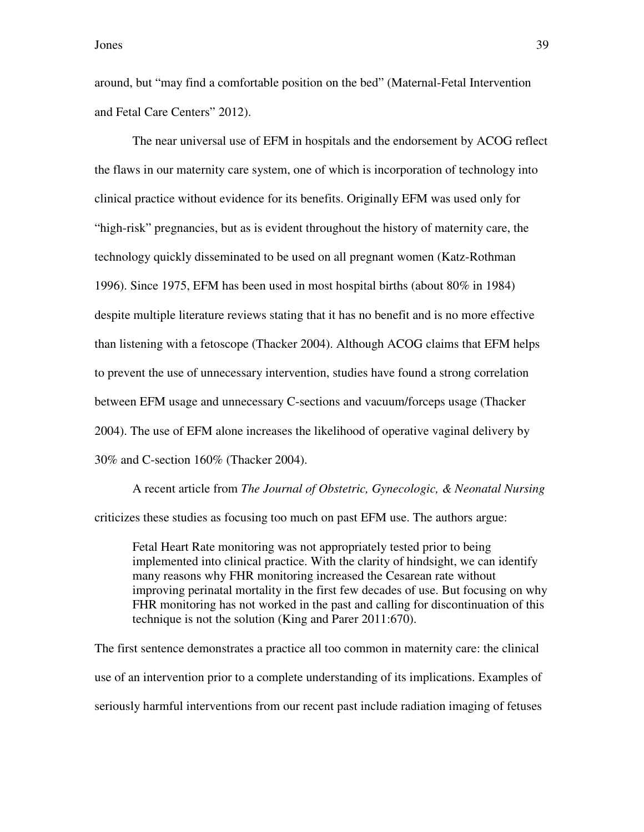around, but "may find a comfortable position on the bed" (Maternal-Fetal Intervention and Fetal Care Centers" 2012).

The near universal use of EFM in hospitals and the endorsement by ACOG reflect the flaws in our maternity care system, one of which is incorporation of technology into clinical practice without evidence for its benefits. Originally EFM was used only for "high-risk" pregnancies, but as is evident throughout the history of maternity care, the technology quickly disseminated to be used on all pregnant women (Katz-Rothman 1996). Since 1975, EFM has been used in most hospital births (about 80% in 1984) despite multiple literature reviews stating that it has no benefit and is no more effective than listening with a fetoscope (Thacker 2004). Although ACOG claims that EFM helps to prevent the use of unnecessary intervention, studies have found a strong correlation between EFM usage and unnecessary C-sections and vacuum/forceps usage (Thacker 2004). The use of EFM alone increases the likelihood of operative vaginal delivery by 30% and C-section 160% (Thacker 2004).

A recent article from *The Journal of Obstetric, Gynecologic, & Neonatal Nursing* criticizes these studies as focusing too much on past EFM use. The authors argue:

Fetal Heart Rate monitoring was not appropriately tested prior to being implemented into clinical practice. With the clarity of hindsight, we can identify many reasons why FHR monitoring increased the Cesarean rate without improving perinatal mortality in the first few decades of use. But focusing on why FHR monitoring has not worked in the past and calling for discontinuation of this technique is not the solution (King and Parer 2011:670).

The first sentence demonstrates a practice all too common in maternity care: the clinical use of an intervention prior to a complete understanding of its implications. Examples of seriously harmful interventions from our recent past include radiation imaging of fetuses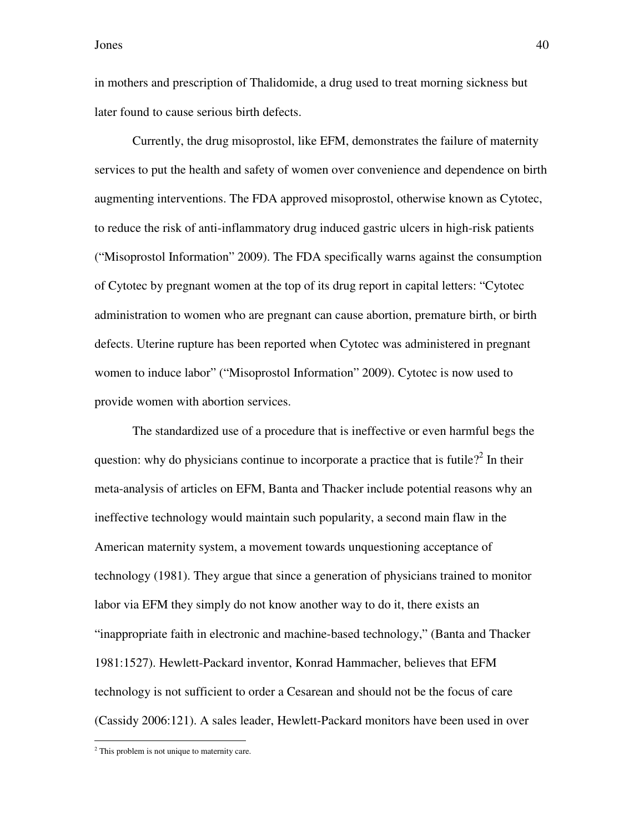in mothers and prescription of Thalidomide, a drug used to treat morning sickness but later found to cause serious birth defects.

Currently, the drug misoprostol, like EFM, demonstrates the failure of maternity services to put the health and safety of women over convenience and dependence on birth augmenting interventions. The FDA approved misoprostol, otherwise known as Cytotec, to reduce the risk of anti-inflammatory drug induced gastric ulcers in high-risk patients ("Misoprostol Information" 2009). The FDA specifically warns against the consumption of Cytotec by pregnant women at the top of its drug report in capital letters: "Cytotec administration to women who are pregnant can cause abortion, premature birth, or birth defects. Uterine rupture has been reported when Cytotec was administered in pregnant women to induce labor" ("Misoprostol Information" 2009). Cytotec is now used to provide women with abortion services.

The standardized use of a procedure that is ineffective or even harmful begs the question: why do physicians continue to incorporate a practice that is futile?<sup>2</sup> In their meta-analysis of articles on EFM, Banta and Thacker include potential reasons why an ineffective technology would maintain such popularity, a second main flaw in the American maternity system, a movement towards unquestioning acceptance of technology (1981). They argue that since a generation of physicians trained to monitor labor via EFM they simply do not know another way to do it, there exists an "inappropriate faith in electronic and machine-based technology," (Banta and Thacker 1981:1527). Hewlett-Packard inventor, Konrad Hammacher, believes that EFM technology is not sufficient to order a Cesarean and should not be the focus of care (Cassidy 2006:121). A sales leader, Hewlett-Packard monitors have been used in over

 $\overline{a}$ 

<sup>&</sup>lt;sup>2</sup> This problem is not unique to maternity care.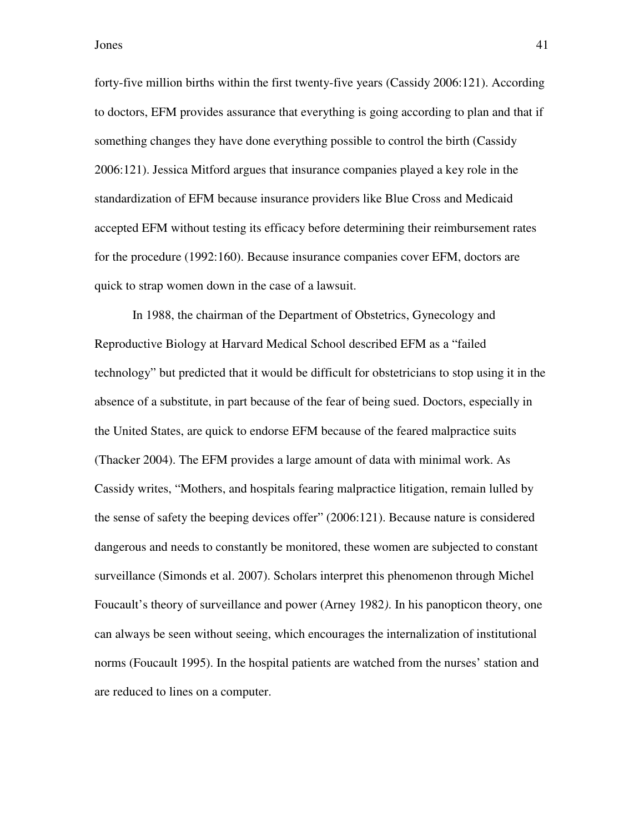forty-five million births within the first twenty-five years (Cassidy 2006:121). According to doctors, EFM provides assurance that everything is going according to plan and that if something changes they have done everything possible to control the birth (Cassidy 2006:121). Jessica Mitford argues that insurance companies played a key role in the standardization of EFM because insurance providers like Blue Cross and Medicaid accepted EFM without testing its efficacy before determining their reimbursement rates for the procedure (1992:160). Because insurance companies cover EFM, doctors are quick to strap women down in the case of a lawsuit.

In 1988, the chairman of the Department of Obstetrics, Gynecology and Reproductive Biology at Harvard Medical School described EFM as a "failed technology" but predicted that it would be difficult for obstetricians to stop using it in the absence of a substitute, in part because of the fear of being sued. Doctors, especially in the United States, are quick to endorse EFM because of the feared malpractice suits (Thacker 2004). The EFM provides a large amount of data with minimal work. As Cassidy writes, "Mothers, and hospitals fearing malpractice litigation, remain lulled by the sense of safety the beeping devices offer" (2006:121). Because nature is considered dangerous and needs to constantly be monitored, these women are subjected to constant surveillance (Simonds et al. 2007). Scholars interpret this phenomenon through Michel Foucault's theory of surveillance and power (Arney 1982*)*. In his panopticon theory, one can always be seen without seeing, which encourages the internalization of institutional norms (Foucault 1995). In the hospital patients are watched from the nurses' station and are reduced to lines on a computer.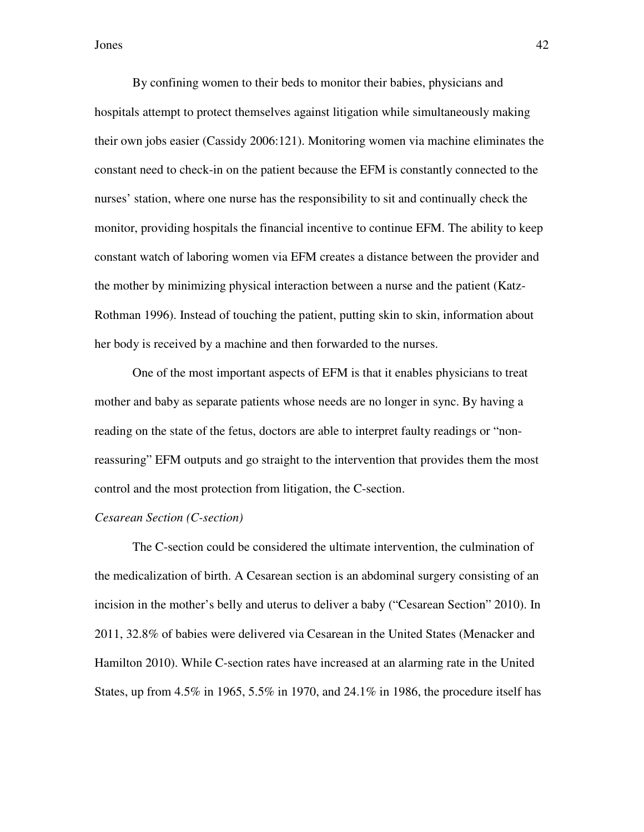By confining women to their beds to monitor their babies, physicians and hospitals attempt to protect themselves against litigation while simultaneously making their own jobs easier (Cassidy 2006:121). Monitoring women via machine eliminates the constant need to check-in on the patient because the EFM is constantly connected to the nurses' station, where one nurse has the responsibility to sit and continually check the monitor, providing hospitals the financial incentive to continue EFM. The ability to keep constant watch of laboring women via EFM creates a distance between the provider and the mother by minimizing physical interaction between a nurse and the patient (Katz-Rothman 1996). Instead of touching the patient, putting skin to skin, information about her body is received by a machine and then forwarded to the nurses.

One of the most important aspects of EFM is that it enables physicians to treat mother and baby as separate patients whose needs are no longer in sync. By having a reading on the state of the fetus, doctors are able to interpret faulty readings or "nonreassuring" EFM outputs and go straight to the intervention that provides them the most control and the most protection from litigation, the C-section.

#### *Cesarean Section (C-section)*

The C-section could be considered the ultimate intervention, the culmination of the medicalization of birth. A Cesarean section is an abdominal surgery consisting of an incision in the mother's belly and uterus to deliver a baby ("Cesarean Section" 2010). In 2011, 32.8% of babies were delivered via Cesarean in the United States (Menacker and Hamilton 2010). While C-section rates have increased at an alarming rate in the United States, up from 4.5% in 1965, 5.5% in 1970, and 24.1% in 1986, the procedure itself has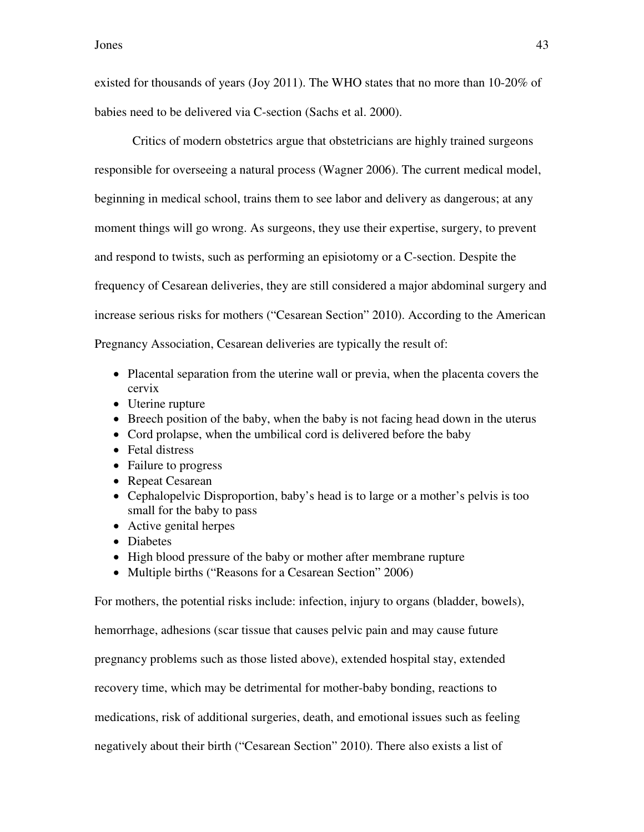existed for thousands of years (Joy 2011). The WHO states that no more than 10-20% of babies need to be delivered via C-section (Sachs et al. 2000).

Critics of modern obstetrics argue that obstetricians are highly trained surgeons responsible for overseeing a natural process (Wagner 2006). The current medical model, beginning in medical school, trains them to see labor and delivery as dangerous; at any moment things will go wrong. As surgeons, they use their expertise, surgery, to prevent and respond to twists, such as performing an episiotomy or a C-section. Despite the frequency of Cesarean deliveries, they are still considered a major abdominal surgery and increase serious risks for mothers ("Cesarean Section" 2010). According to the American Pregnancy Association, Cesarean deliveries are typically the result of:

- Placental separation from the uterine wall or previa, when the placenta covers the cervix
- Uterine rupture
- Breech position of the baby, when the baby is not facing head down in the uterus
- Cord prolapse, when the umbilical cord is delivered before the baby
- Fetal distress
- Failure to progress
- Repeat Cesarean
- Cephalopelvic Disproportion, baby's head is to large or a mother's pelvis is too small for the baby to pass
- Active genital herpes
- Diabetes
- High blood pressure of the baby or mother after membrane rupture
- Multiple births ("Reasons for a Cesarean Section" 2006)

For mothers, the potential risks include: infection, injury to organs (bladder, bowels), hemorrhage, adhesions (scar tissue that causes pelvic pain and may cause future pregnancy problems such as those listed above), extended hospital stay, extended

recovery time, which may be detrimental for mother-baby bonding, reactions to

medications, risk of additional surgeries, death, and emotional issues such as feeling

negatively about their birth ("Cesarean Section" 2010). There also exists a list of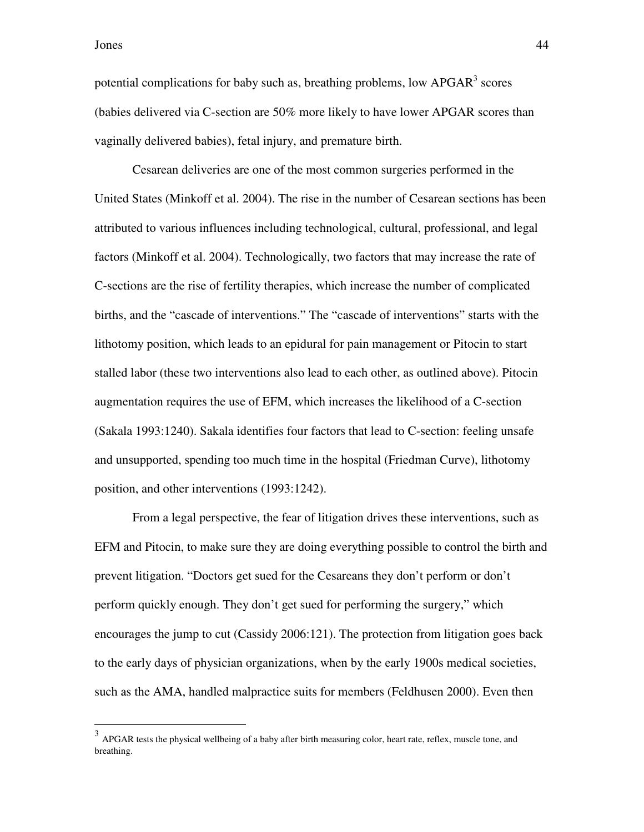potential complications for baby such as, breathing problems, low  $APGAR<sup>3</sup>$  scores (babies delivered via C-section are 50% more likely to have lower APGAR scores than vaginally delivered babies), fetal injury, and premature birth.

Cesarean deliveries are one of the most common surgeries performed in the United States (Minkoff et al. 2004). The rise in the number of Cesarean sections has been attributed to various influences including technological, cultural, professional, and legal factors (Minkoff et al. 2004). Technologically, two factors that may increase the rate of C-sections are the rise of fertility therapies, which increase the number of complicated births, and the "cascade of interventions." The "cascade of interventions" starts with the lithotomy position, which leads to an epidural for pain management or Pitocin to start stalled labor (these two interventions also lead to each other, as outlined above). Pitocin augmentation requires the use of EFM, which increases the likelihood of a C-section (Sakala 1993:1240). Sakala identifies four factors that lead to C-section: feeling unsafe and unsupported, spending too much time in the hospital (Friedman Curve), lithotomy position, and other interventions (1993:1242).

From a legal perspective, the fear of litigation drives these interventions, such as EFM and Pitocin, to make sure they are doing everything possible to control the birth and prevent litigation. "Doctors get sued for the Cesareans they don't perform or don't perform quickly enough. They don't get sued for performing the surgery," which encourages the jump to cut (Cassidy 2006:121). The protection from litigation goes back to the early days of physician organizations, when by the early 1900s medical societies, such as the AMA, handled malpractice suits for members (Feldhusen 2000). Even then

<sup>&</sup>lt;sup>3</sup> APGAR tests the physical wellbeing of a baby after birth measuring color, heart rate, reflex, muscle tone, and breathing.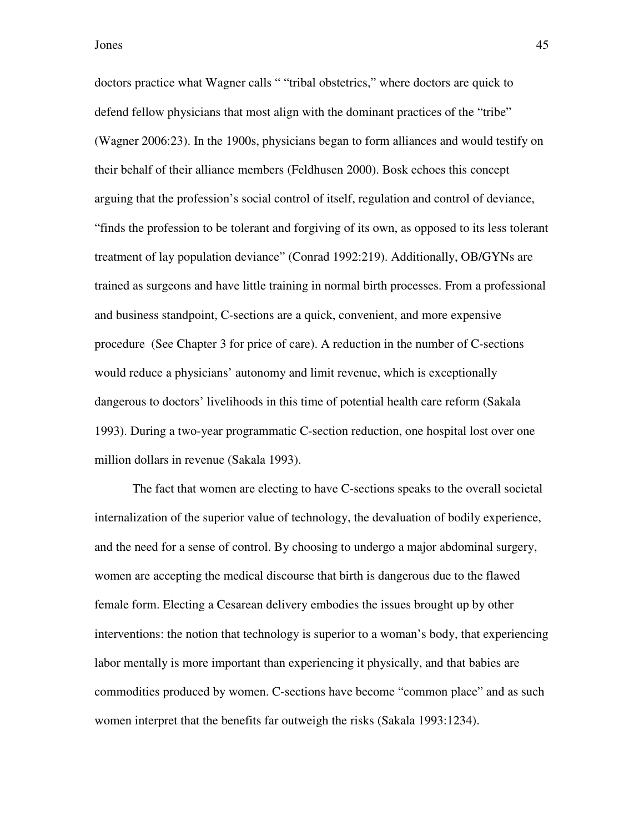doctors practice what Wagner calls " "tribal obstetrics," where doctors are quick to defend fellow physicians that most align with the dominant practices of the "tribe" (Wagner 2006:23). In the 1900s, physicians began to form alliances and would testify on their behalf of their alliance members (Feldhusen 2000). Bosk echoes this concept arguing that the profession's social control of itself, regulation and control of deviance, "finds the profession to be tolerant and forgiving of its own, as opposed to its less tolerant treatment of lay population deviance" (Conrad 1992:219). Additionally, OB/GYNs are trained as surgeons and have little training in normal birth processes. From a professional and business standpoint, C-sections are a quick, convenient, and more expensive procedure (See Chapter 3 for price of care). A reduction in the number of C-sections would reduce a physicians' autonomy and limit revenue, which is exceptionally dangerous to doctors' livelihoods in this time of potential health care reform (Sakala 1993). During a two-year programmatic C-section reduction, one hospital lost over one million dollars in revenue (Sakala 1993).

The fact that women are electing to have C-sections speaks to the overall societal internalization of the superior value of technology, the devaluation of bodily experience, and the need for a sense of control. By choosing to undergo a major abdominal surgery, women are accepting the medical discourse that birth is dangerous due to the flawed female form. Electing a Cesarean delivery embodies the issues brought up by other interventions: the notion that technology is superior to a woman's body, that experiencing labor mentally is more important than experiencing it physically, and that babies are commodities produced by women. C-sections have become "common place" and as such women interpret that the benefits far outweigh the risks (Sakala 1993:1234).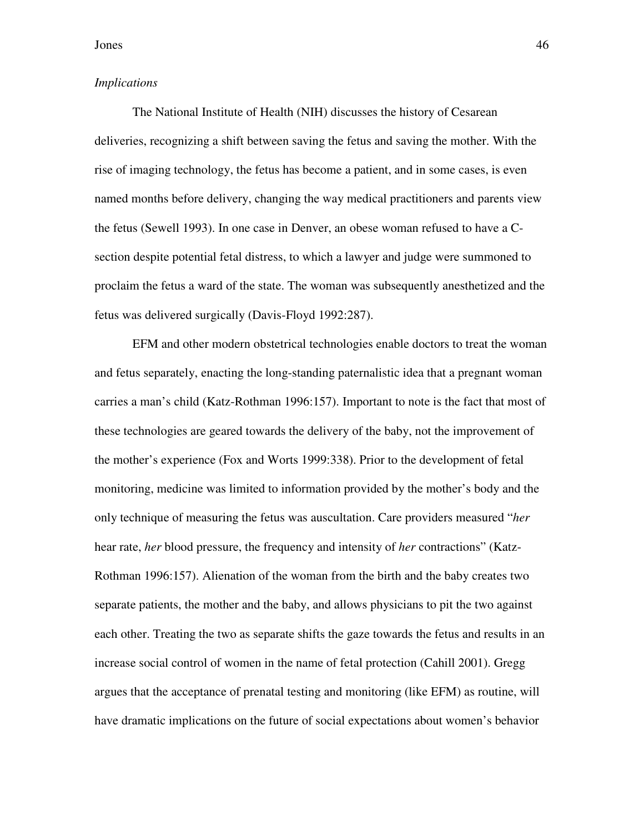## *Implications*

The National Institute of Health (NIH) discusses the history of Cesarean deliveries, recognizing a shift between saving the fetus and saving the mother. With the rise of imaging technology, the fetus has become a patient, and in some cases, is even named months before delivery, changing the way medical practitioners and parents view the fetus (Sewell 1993). In one case in Denver, an obese woman refused to have a Csection despite potential fetal distress, to which a lawyer and judge were summoned to proclaim the fetus a ward of the state. The woman was subsequently anesthetized and the fetus was delivered surgically (Davis-Floyd 1992:287).

EFM and other modern obstetrical technologies enable doctors to treat the woman and fetus separately, enacting the long-standing paternalistic idea that a pregnant woman carries a man's child (Katz-Rothman 1996:157). Important to note is the fact that most of these technologies are geared towards the delivery of the baby, not the improvement of the mother's experience (Fox and Worts 1999:338). Prior to the development of fetal monitoring, medicine was limited to information provided by the mother's body and the only technique of measuring the fetus was auscultation. Care providers measured "*her* hear rate, *her* blood pressure, the frequency and intensity of *her* contractions" (Katz-Rothman 1996:157). Alienation of the woman from the birth and the baby creates two separate patients, the mother and the baby, and allows physicians to pit the two against each other. Treating the two as separate shifts the gaze towards the fetus and results in an increase social control of women in the name of fetal protection (Cahill 2001). Gregg argues that the acceptance of prenatal testing and monitoring (like EFM) as routine, will have dramatic implications on the future of social expectations about women's behavior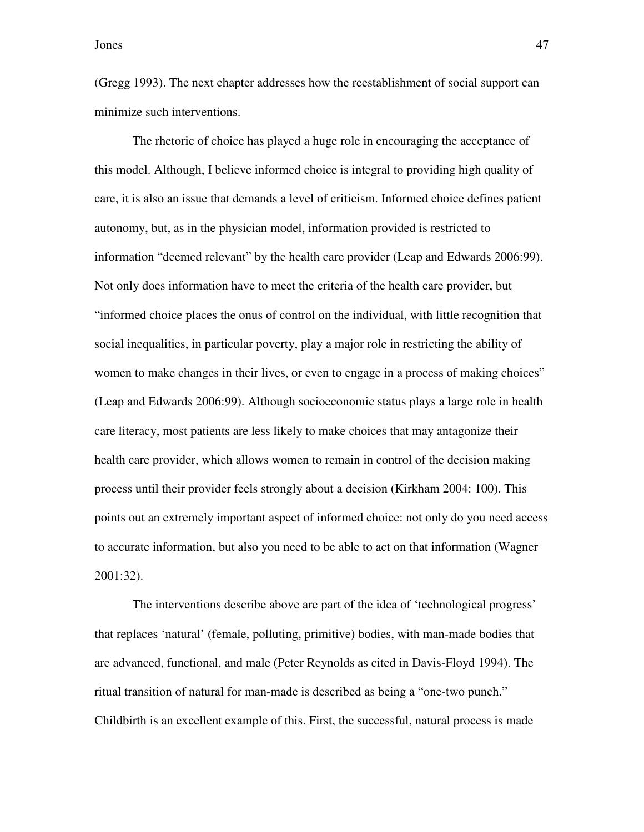(Gregg 1993). The next chapter addresses how the reestablishment of social support can minimize such interventions.

The rhetoric of choice has played a huge role in encouraging the acceptance of this model. Although, I believe informed choice is integral to providing high quality of care, it is also an issue that demands a level of criticism. Informed choice defines patient autonomy, but, as in the physician model, information provided is restricted to information "deemed relevant" by the health care provider (Leap and Edwards 2006:99). Not only does information have to meet the criteria of the health care provider, but "informed choice places the onus of control on the individual, with little recognition that social inequalities, in particular poverty, play a major role in restricting the ability of women to make changes in their lives, or even to engage in a process of making choices" (Leap and Edwards 2006:99). Although socioeconomic status plays a large role in health care literacy, most patients are less likely to make choices that may antagonize their health care provider, which allows women to remain in control of the decision making process until their provider feels strongly about a decision (Kirkham 2004: 100). This points out an extremely important aspect of informed choice: not only do you need access to accurate information, but also you need to be able to act on that information (Wagner 2001:32).

The interventions describe above are part of the idea of 'technological progress' that replaces 'natural' (female, polluting, primitive) bodies, with man-made bodies that are advanced, functional, and male (Peter Reynolds as cited in Davis-Floyd 1994). The ritual transition of natural for man-made is described as being a "one-two punch." Childbirth is an excellent example of this. First, the successful, natural process is made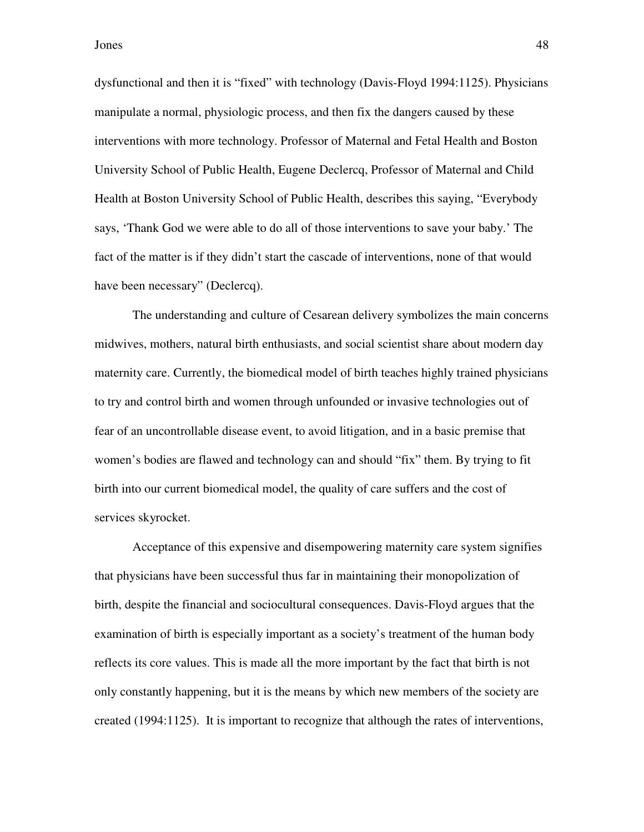dysfunctional and then it is "fixed" with technology (Davis-Floyd 1994:1125). Physicians manipulate a normal, physiologic process, and then fix the dangers caused by these interventions with more technology. Professor of Maternal and Fetal Health and Boston University School of Public Health, Eugene Declercq, Professor of Maternal and Child Health at Boston University School of Public Health, describes this saying, "Everybody says, 'Thank God we were able to do all of those interventions to save your baby.' The fact of the matter is if they didn't start the cascade of interventions, none of that would have been necessary" (Declercq).

The understanding and culture of Cesarean delivery symbolizes the main concerns midwives, mothers, natural birth enthusiasts, and social scientist share about modern day maternity care. Currently, the biomedical model of birth teaches highly trained physicians to try and control birth and women through unfounded or invasive technologies out of fear of an uncontrollable disease event, to avoid litigation, and in a basic premise that women's bodies are flawed and technology can and should "fix" them. By trying to fit birth into our current biomedical model, the quality of care suffers and the cost of services skyrocket.

Acceptance of this expensive and disempowering maternity care system signifies that physicians have been successful thus far in maintaining their monopolization of birth, despite the financial and sociocultural consequences. Davis-Floyd argues that the examination of birth is especially important as a society's treatment of the human body reflects its core values. This is made all the more important by the fact that birth is not only constantly happening, but it is the means by which new members of the society are created (1994:1125). It is important to recognize that although the rates of interventions,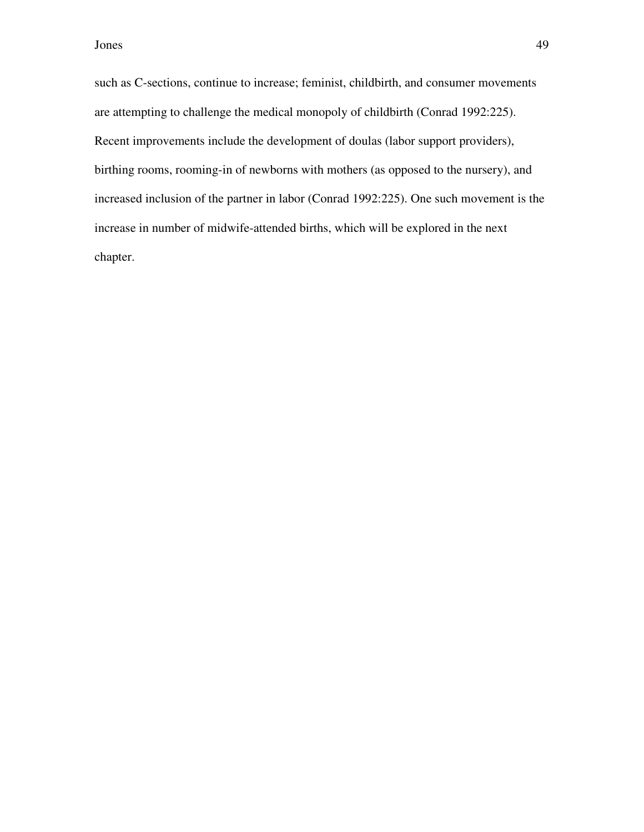such as C-sections, continue to increase; feminist, childbirth, and consumer movements are attempting to challenge the medical monopoly of childbirth (Conrad 1992:225). Recent improvements include the development of doulas (labor support providers), birthing rooms, rooming-in of newborns with mothers (as opposed to the nursery), and increased inclusion of the partner in labor (Conrad 1992:225). One such movement is the increase in number of midwife-attended births, which will be explored in the next chapter.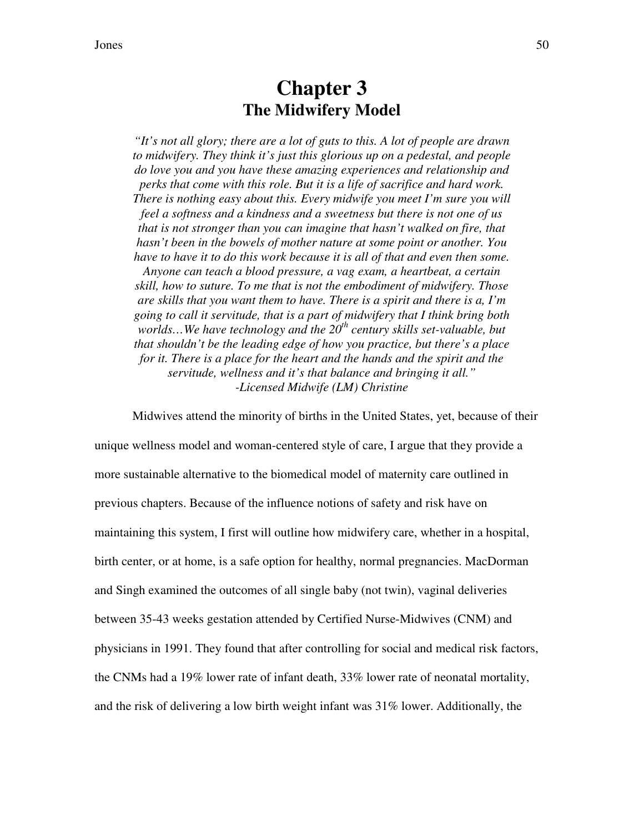# **Chapter 3 The Midwifery Model**

*"It's not all glory; there are a lot of guts to this. A lot of people are drawn to midwifery. They think it's just this glorious up on a pedestal, and people do love you and you have these amazing experiences and relationship and perks that come with this role. But it is a life of sacrifice and hard work. There is nothing easy about this. Every midwife you meet I'm sure you will feel a softness and a kindness and a sweetness but there is not one of us that is not stronger than you can imagine that hasn't walked on fire, that hasn't been in the bowels of mother nature at some point or another. You have to have it to do this work because it is all of that and even then some. Anyone can teach a blood pressure, a vag exam, a heartbeat, a certain skill, how to suture. To me that is not the embodiment of midwifery. Those are skills that you want them to have. There is a spirit and there is a, I'm going to call it servitude, that is a part of midwifery that I think bring both worlds…We have technology and the 20th century skills set-valuable, but that shouldn't be the leading edge of how you practice, but there's a place for it. There is a place for the heart and the hands and the spirit and the servitude, wellness and it's that balance and bringing it all." -Licensed Midwife (LM) Christine*

 Midwives attend the minority of births in the United States, yet, because of their unique wellness model and woman-centered style of care, I argue that they provide a more sustainable alternative to the biomedical model of maternity care outlined in previous chapters. Because of the influence notions of safety and risk have on maintaining this system, I first will outline how midwifery care, whether in a hospital, birth center, or at home, is a safe option for healthy, normal pregnancies. MacDorman and Singh examined the outcomes of all single baby (not twin), vaginal deliveries between 35-43 weeks gestation attended by Certified Nurse-Midwives (CNM) and physicians in 1991. They found that after controlling for social and medical risk factors, the CNMs had a 19% lower rate of infant death, 33% lower rate of neonatal mortality, and the risk of delivering a low birth weight infant was 31% lower. Additionally, the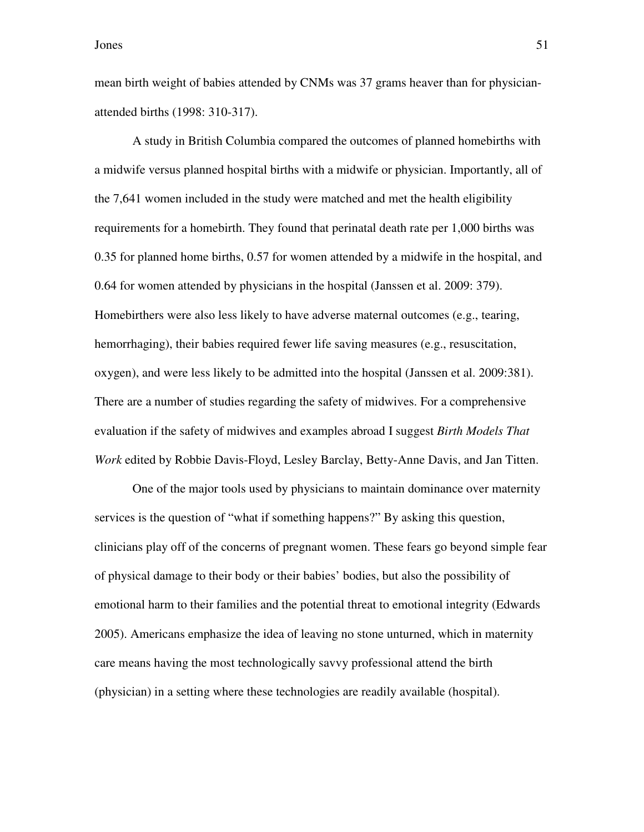mean birth weight of babies attended by CNMs was 37 grams heaver than for physicianattended births (1998: 310-317).

A study in British Columbia compared the outcomes of planned homebirths with a midwife versus planned hospital births with a midwife or physician. Importantly, all of the 7,641 women included in the study were matched and met the health eligibility requirements for a homebirth. They found that perinatal death rate per 1,000 births was 0.35 for planned home births, 0.57 for women attended by a midwife in the hospital, and 0.64 for women attended by physicians in the hospital (Janssen et al. 2009: 379). Homebirthers were also less likely to have adverse maternal outcomes (e.g., tearing, hemorrhaging), their babies required fewer life saving measures (e.g., resuscitation, oxygen), and were less likely to be admitted into the hospital (Janssen et al. 2009:381). There are a number of studies regarding the safety of midwives. For a comprehensive evaluation if the safety of midwives and examples abroad I suggest *Birth Models That Work* edited by Robbie Davis-Floyd, Lesley Barclay, Betty-Anne Davis, and Jan Titten.

One of the major tools used by physicians to maintain dominance over maternity services is the question of "what if something happens?" By asking this question, clinicians play off of the concerns of pregnant women. These fears go beyond simple fear of physical damage to their body or their babies' bodies, but also the possibility of emotional harm to their families and the potential threat to emotional integrity (Edwards 2005). Americans emphasize the idea of leaving no stone unturned, which in maternity care means having the most technologically savvy professional attend the birth (physician) in a setting where these technologies are readily available (hospital).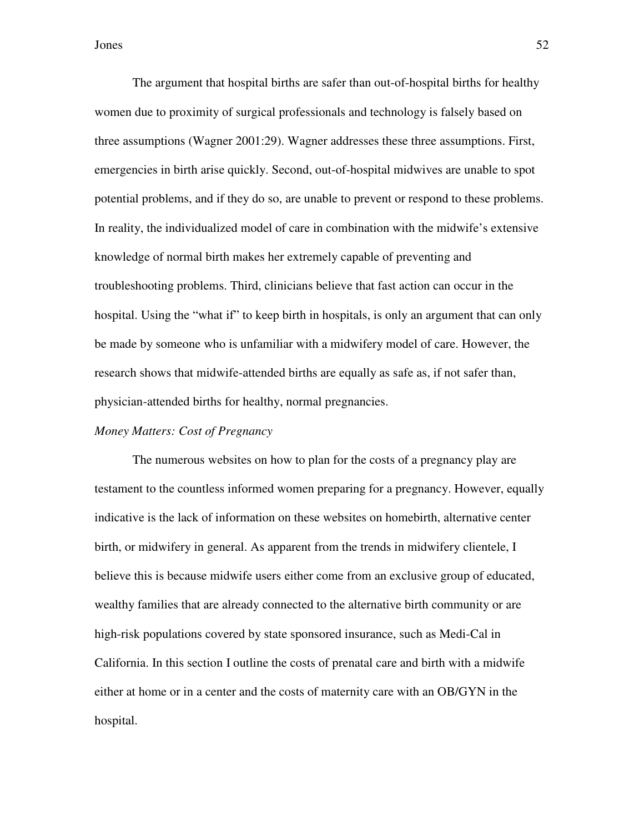The argument that hospital births are safer than out-of-hospital births for healthy women due to proximity of surgical professionals and technology is falsely based on three assumptions (Wagner 2001:29). Wagner addresses these three assumptions. First, emergencies in birth arise quickly. Second, out-of-hospital midwives are unable to spot potential problems, and if they do so, are unable to prevent or respond to these problems. In reality, the individualized model of care in combination with the midwife's extensive knowledge of normal birth makes her extremely capable of preventing and troubleshooting problems. Third, clinicians believe that fast action can occur in the hospital. Using the "what if" to keep birth in hospitals, is only an argument that can only be made by someone who is unfamiliar with a midwifery model of care. However, the research shows that midwife-attended births are equally as safe as, if not safer than, physician-attended births for healthy, normal pregnancies.

# *Money Matters: Cost of Pregnancy*

 The numerous websites on how to plan for the costs of a pregnancy play are testament to the countless informed women preparing for a pregnancy. However, equally indicative is the lack of information on these websites on homebirth, alternative center birth, or midwifery in general. As apparent from the trends in midwifery clientele, I believe this is because midwife users either come from an exclusive group of educated, wealthy families that are already connected to the alternative birth community or are high-risk populations covered by state sponsored insurance, such as Medi-Cal in California. In this section I outline the costs of prenatal care and birth with a midwife either at home or in a center and the costs of maternity care with an OB/GYN in the hospital.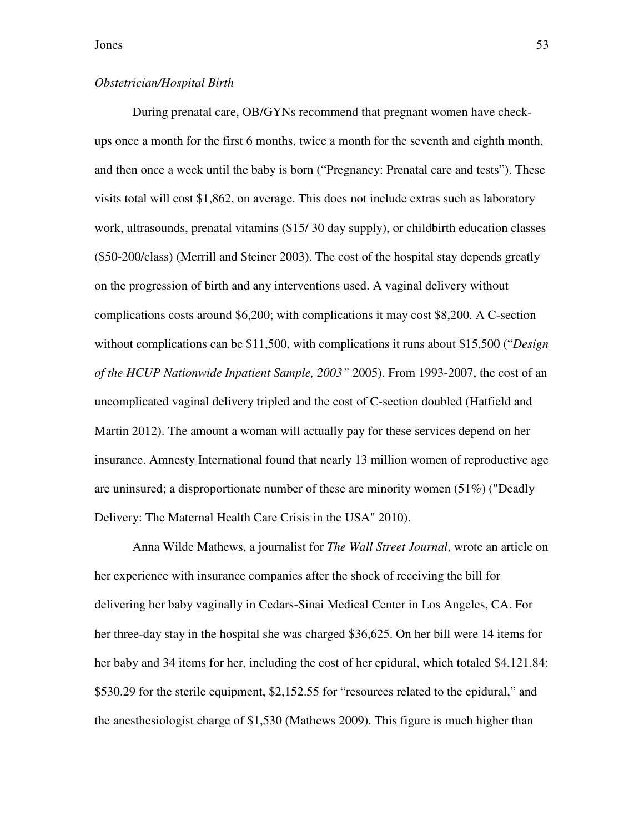# *Obstetrician/Hospital Birth*

During prenatal care, OB/GYNs recommend that pregnant women have checkups once a month for the first 6 months, twice a month for the seventh and eighth month, and then once a week until the baby is born ("Pregnancy: Prenatal care and tests"). These visits total will cost \$1,862, on average. This does not include extras such as laboratory work, ultrasounds, prenatal vitamins (\$15/ 30 day supply), or childbirth education classes (\$50-200/class) (Merrill and Steiner 2003). The cost of the hospital stay depends greatly on the progression of birth and any interventions used. A vaginal delivery without complications costs around \$6,200; with complications it may cost \$8,200. A C-section without complications can be \$11,500, with complications it runs about \$15,500 ("*Design of the HCUP Nationwide Inpatient Sample, 2003"* 2005). From 1993-2007, the cost of an uncomplicated vaginal delivery tripled and the cost of C-section doubled (Hatfield and Martin 2012). The amount a woman will actually pay for these services depend on her insurance. Amnesty International found that nearly 13 million women of reproductive age are uninsured; a disproportionate number of these are minority women (51%) ("Deadly Delivery: The Maternal Health Care Crisis in the USA" 2010).

Anna Wilde Mathews, a journalist for *The Wall Street Journal*, wrote an article on her experience with insurance companies after the shock of receiving the bill for delivering her baby vaginally in Cedars-Sinai Medical Center in Los Angeles, CA. For her three-day stay in the hospital she was charged \$36,625. On her bill were 14 items for her baby and 34 items for her, including the cost of her epidural, which totaled \$4,121.84: \$530.29 for the sterile equipment, \$2,152.55 for "resources related to the epidural," and the anesthesiologist charge of \$1,530 (Mathews 2009). This figure is much higher than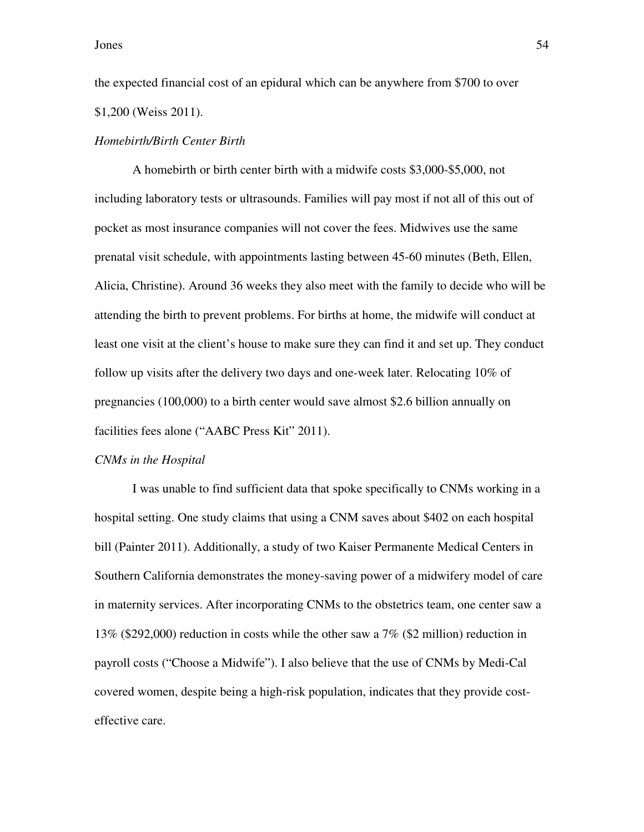the expected financial cost of an epidural which can be anywhere from \$700 to over \$1,200 (Weiss 2011).

# *Homebirth/Birth Center Birth*

A homebirth or birth center birth with a midwife costs \$3,000-\$5,000, not including laboratory tests or ultrasounds. Families will pay most if not all of this out of pocket as most insurance companies will not cover the fees. Midwives use the same prenatal visit schedule, with appointments lasting between 45-60 minutes (Beth, Ellen, Alicia, Christine). Around 36 weeks they also meet with the family to decide who will be attending the birth to prevent problems. For births at home, the midwife will conduct at least one visit at the client's house to make sure they can find it and set up. They conduct follow up visits after the delivery two days and one-week later. Relocating 10% of pregnancies (100,000) to a birth center would save almost \$2.6 billion annually on facilities fees alone ("AABC Press Kit" 2011).

#### *CNMs in the Hospital*

I was unable to find sufficient data that spoke specifically to CNMs working in a hospital setting. One study claims that using a CNM saves about \$402 on each hospital bill (Painter 2011). Additionally, a study of two Kaiser Permanente Medical Centers in Southern California demonstrates the money-saving power of a midwifery model of care in maternity services. After incorporating CNMs to the obstetrics team, one center saw a 13% (\$292,000) reduction in costs while the other saw a 7% (\$2 million) reduction in payroll costs ("Choose a Midwife"). I also believe that the use of CNMs by Medi-Cal covered women, despite being a high-risk population, indicates that they provide costeffective care.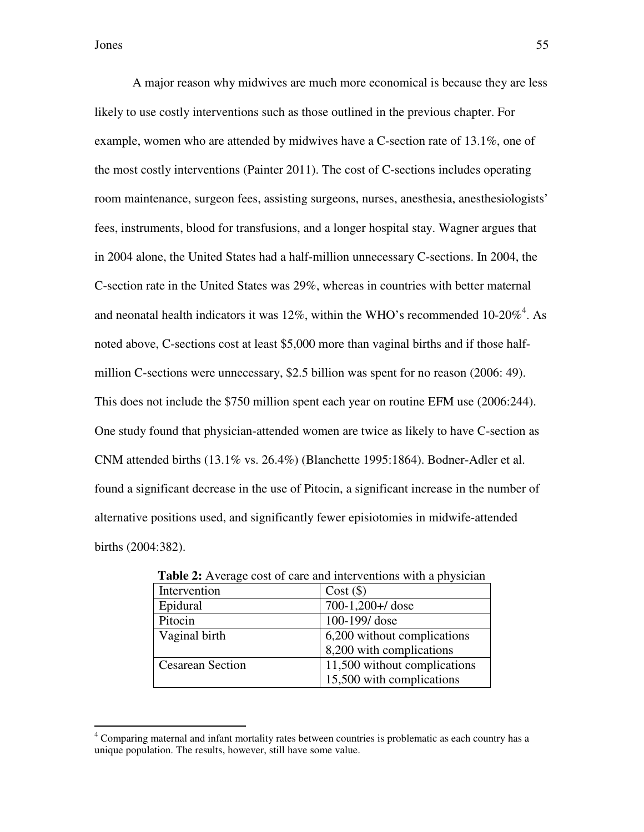A major reason why midwives are much more economical is because they are less likely to use costly interventions such as those outlined in the previous chapter. For example, women who are attended by midwives have a C-section rate of 13.1%, one of the most costly interventions (Painter 2011). The cost of C-sections includes operating room maintenance, surgeon fees, assisting surgeons, nurses, anesthesia, anesthesiologists' fees, instruments, blood for transfusions, and a longer hospital stay. Wagner argues that in 2004 alone, the United States had a half-million unnecessary C-sections. In 2004, the C-section rate in the United States was 29%, whereas in countries with better maternal and neonatal health indicators it was 12%, within the WHO's recommended 10-20%<sup>4</sup>. As noted above, C-sections cost at least \$5,000 more than vaginal births and if those halfmillion C-sections were unnecessary, \$2.5 billion was spent for no reason (2006: 49). This does not include the \$750 million spent each year on routine EFM use (2006:244). One study found that physician-attended women are twice as likely to have C-section as CNM attended births  $(13.1\% \text{ vs. } 26.4\%)$  (Blanchette 1995:1864). Bodner-Adler et al. found a significant decrease in the use of Pitocin, a significant increase in the number of alternative positions used, and significantly fewer episiotomies in midwife-attended births (2004:382).

| <b>Table 2.</b> Average cost of earl and microchuous with a physician |                              |  |
|-----------------------------------------------------------------------|------------------------------|--|
| Intervention                                                          | $Cost($ \$)                  |  |
| Epidural                                                              | 700-1,200+/ dose             |  |
| Pitocin                                                               | 100-199/dose                 |  |
| Vaginal birth                                                         | 6,200 without complications  |  |
|                                                                       | 8,200 with complications     |  |
| <b>Cesarean Section</b>                                               | 11,500 without complications |  |
|                                                                       | 15,500 with complications    |  |

**Table 2:** Average cost of care and interventions with a physician

 4 Comparing maternal and infant mortality rates between countries is problematic as each country has a unique population. The results, however, still have some value.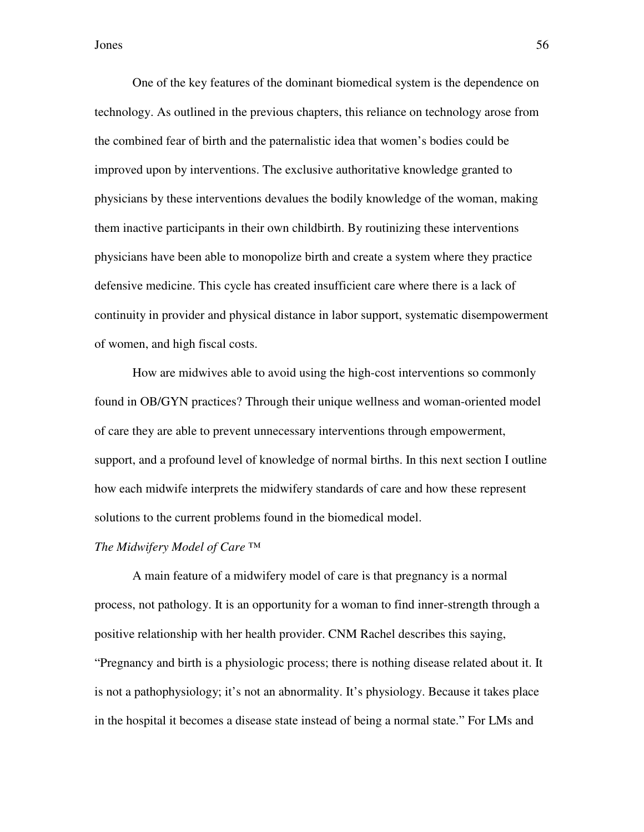One of the key features of the dominant biomedical system is the dependence on technology. As outlined in the previous chapters, this reliance on technology arose from the combined fear of birth and the paternalistic idea that women's bodies could be improved upon by interventions. The exclusive authoritative knowledge granted to physicians by these interventions devalues the bodily knowledge of the woman, making them inactive participants in their own childbirth. By routinizing these interventions physicians have been able to monopolize birth and create a system where they practice defensive medicine. This cycle has created insufficient care where there is a lack of continuity in provider and physical distance in labor support, systematic disempowerment of women, and high fiscal costs.

How are midwives able to avoid using the high-cost interventions so commonly found in OB/GYN practices? Through their unique wellness and woman-oriented model of care they are able to prevent unnecessary interventions through empowerment, support, and a profound level of knowledge of normal births. In this next section I outline how each midwife interprets the midwifery standards of care and how these represent solutions to the current problems found in the biomedical model.

## *The Midwifery Model of Care ™*

A main feature of a midwifery model of care is that pregnancy is a normal process, not pathology. It is an opportunity for a woman to find inner-strength through a positive relationship with her health provider. CNM Rachel describes this saying, "Pregnancy and birth is a physiologic process; there is nothing disease related about it. It is not a pathophysiology; it's not an abnormality. It's physiology. Because it takes place in the hospital it becomes a disease state instead of being a normal state." For LMs and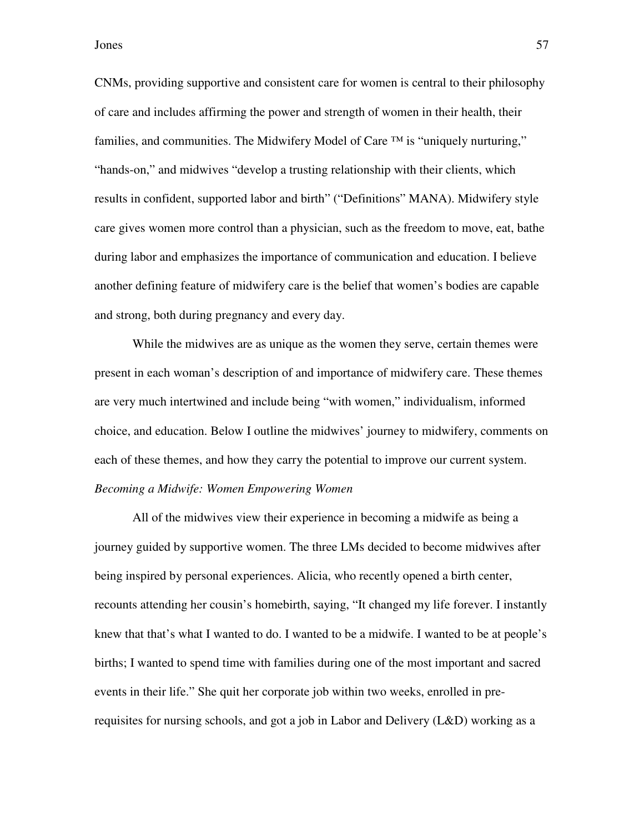CNMs, providing supportive and consistent care for women is central to their philosophy of care and includes affirming the power and strength of women in their health, their families, and communities. The Midwifery Model of Care  $TM$  is "uniquely nurturing," "hands-on," and midwives "develop a trusting relationship with their clients, which results in confident, supported labor and birth" ("Definitions" MANA). Midwifery style care gives women more control than a physician, such as the freedom to move, eat, bathe during labor and emphasizes the importance of communication and education. I believe another defining feature of midwifery care is the belief that women's bodies are capable and strong, both during pregnancy and every day.

 While the midwives are as unique as the women they serve, certain themes were present in each woman's description of and importance of midwifery care. These themes are very much intertwined and include being "with women," individualism, informed choice, and education. Below I outline the midwives' journey to midwifery, comments on each of these themes, and how they carry the potential to improve our current system. *Becoming a Midwife: Women Empowering Women* 

 All of the midwives view their experience in becoming a midwife as being a journey guided by supportive women. The three LMs decided to become midwives after being inspired by personal experiences. Alicia, who recently opened a birth center, recounts attending her cousin's homebirth, saying, "It changed my life forever. I instantly knew that that's what I wanted to do. I wanted to be a midwife. I wanted to be at people's births; I wanted to spend time with families during one of the most important and sacred events in their life." She quit her corporate job within two weeks, enrolled in prerequisites for nursing schools, and got a job in Labor and Delivery (L&D) working as a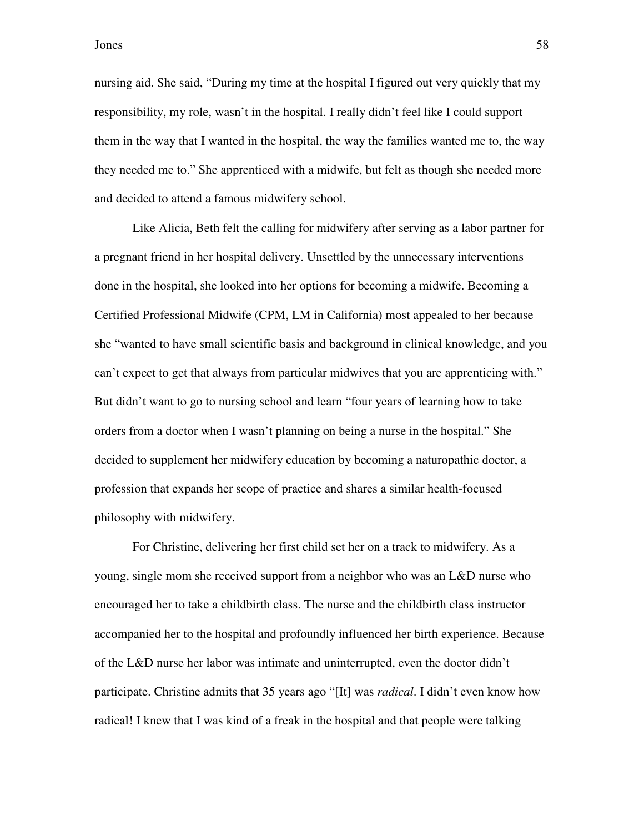nursing aid. She said, "During my time at the hospital I figured out very quickly that my responsibility, my role, wasn't in the hospital. I really didn't feel like I could support them in the way that I wanted in the hospital, the way the families wanted me to, the way they needed me to." She apprenticed with a midwife, but felt as though she needed more and decided to attend a famous midwifery school.

 Like Alicia, Beth felt the calling for midwifery after serving as a labor partner for a pregnant friend in her hospital delivery. Unsettled by the unnecessary interventions done in the hospital, she looked into her options for becoming a midwife. Becoming a Certified Professional Midwife (CPM, LM in California) most appealed to her because she "wanted to have small scientific basis and background in clinical knowledge, and you can't expect to get that always from particular midwives that you are apprenticing with." But didn't want to go to nursing school and learn "four years of learning how to take orders from a doctor when I wasn't planning on being a nurse in the hospital." She decided to supplement her midwifery education by becoming a naturopathic doctor, a profession that expands her scope of practice and shares a similar health-focused philosophy with midwifery.

For Christine, delivering her first child set her on a track to midwifery. As a young, single mom she received support from a neighbor who was an L&D nurse who encouraged her to take a childbirth class. The nurse and the childbirth class instructor accompanied her to the hospital and profoundly influenced her birth experience. Because of the L&D nurse her labor was intimate and uninterrupted, even the doctor didn't participate. Christine admits that 35 years ago "[It] was *radical*. I didn't even know how radical! I knew that I was kind of a freak in the hospital and that people were talking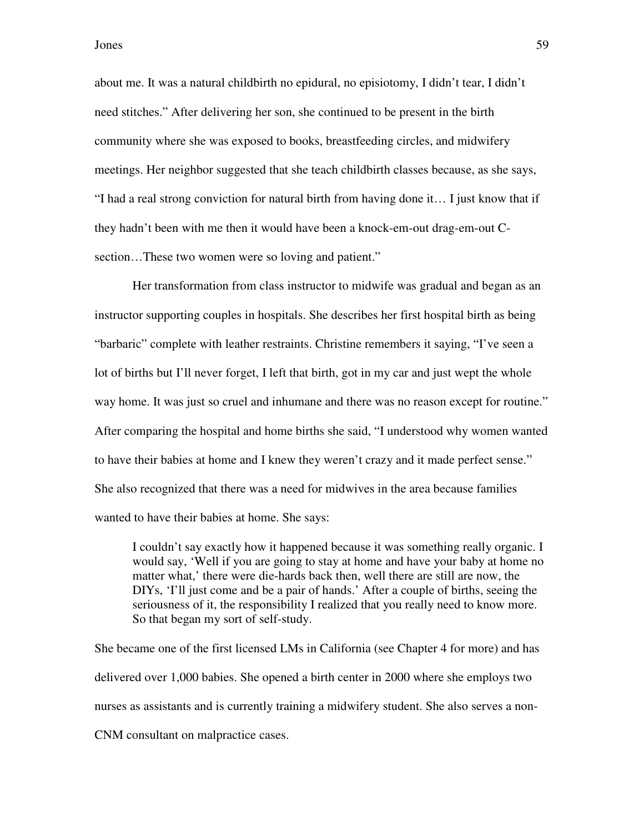about me. It was a natural childbirth no epidural, no episiotomy, I didn't tear, I didn't need stitches." After delivering her son, she continued to be present in the birth community where she was exposed to books, breastfeeding circles, and midwifery meetings. Her neighbor suggested that she teach childbirth classes because, as she says, "I had a real strong conviction for natural birth from having done it… I just know that if they hadn't been with me then it would have been a knock-em-out drag-em-out Csection…These two women were so loving and patient."

Her transformation from class instructor to midwife was gradual and began as an instructor supporting couples in hospitals. She describes her first hospital birth as being "barbaric" complete with leather restraints. Christine remembers it saying, "I've seen a lot of births but I'll never forget, I left that birth, got in my car and just wept the whole way home. It was just so cruel and inhumane and there was no reason except for routine." After comparing the hospital and home births she said, "I understood why women wanted to have their babies at home and I knew they weren't crazy and it made perfect sense." She also recognized that there was a need for midwives in the area because families wanted to have their babies at home. She says:

I couldn't say exactly how it happened because it was something really organic. I would say, 'Well if you are going to stay at home and have your baby at home no matter what,' there were die-hards back then, well there are still are now, the DIYs, 'I'll just come and be a pair of hands.' After a couple of births, seeing the seriousness of it, the responsibility I realized that you really need to know more. So that began my sort of self-study.

She became one of the first licensed LMs in California (see Chapter 4 for more) and has delivered over 1,000 babies. She opened a birth center in 2000 where she employs two nurses as assistants and is currently training a midwifery student. She also serves a non-CNM consultant on malpractice cases.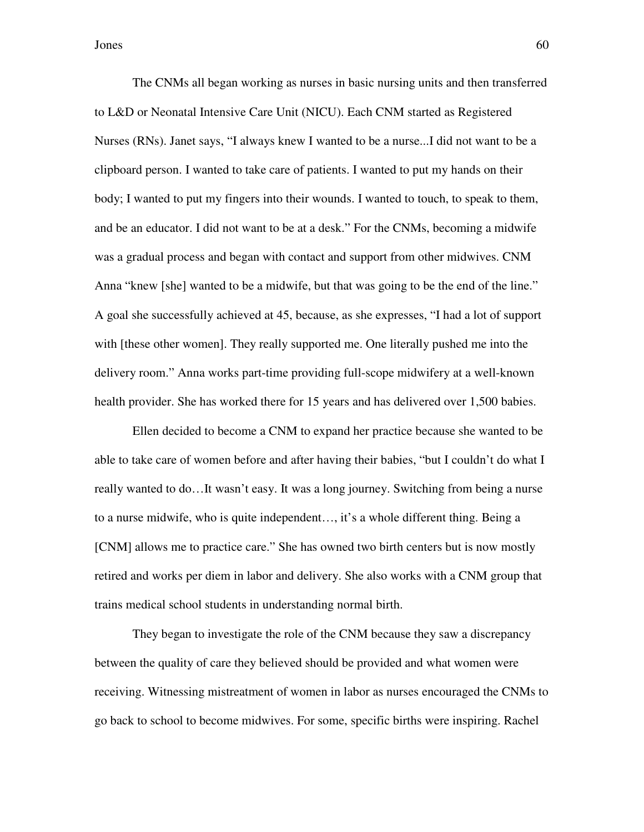The CNMs all began working as nurses in basic nursing units and then transferred to L&D or Neonatal Intensive Care Unit (NICU). Each CNM started as Registered Nurses (RNs). Janet says, "I always knew I wanted to be a nurse...I did not want to be a clipboard person. I wanted to take care of patients. I wanted to put my hands on their body; I wanted to put my fingers into their wounds. I wanted to touch, to speak to them, and be an educator. I did not want to be at a desk." For the CNMs, becoming a midwife was a gradual process and began with contact and support from other midwives. CNM Anna "knew [she] wanted to be a midwife, but that was going to be the end of the line." A goal she successfully achieved at 45, because, as she expresses, "I had a lot of support with [these other women]. They really supported me. One literally pushed me into the delivery room." Anna works part-time providing full-scope midwifery at a well-known health provider. She has worked there for 15 years and has delivered over 1,500 babies.

Ellen decided to become a CNM to expand her practice because she wanted to be able to take care of women before and after having their babies, "but I couldn't do what I really wanted to do…It wasn't easy. It was a long journey. Switching from being a nurse to a nurse midwife, who is quite independent…, it's a whole different thing. Being a [CNM] allows me to practice care." She has owned two birth centers but is now mostly retired and works per diem in labor and delivery. She also works with a CNM group that trains medical school students in understanding normal birth.

They began to investigate the role of the CNM because they saw a discrepancy between the quality of care they believed should be provided and what women were receiving. Witnessing mistreatment of women in labor as nurses encouraged the CNMs to go back to school to become midwives. For some, specific births were inspiring. Rachel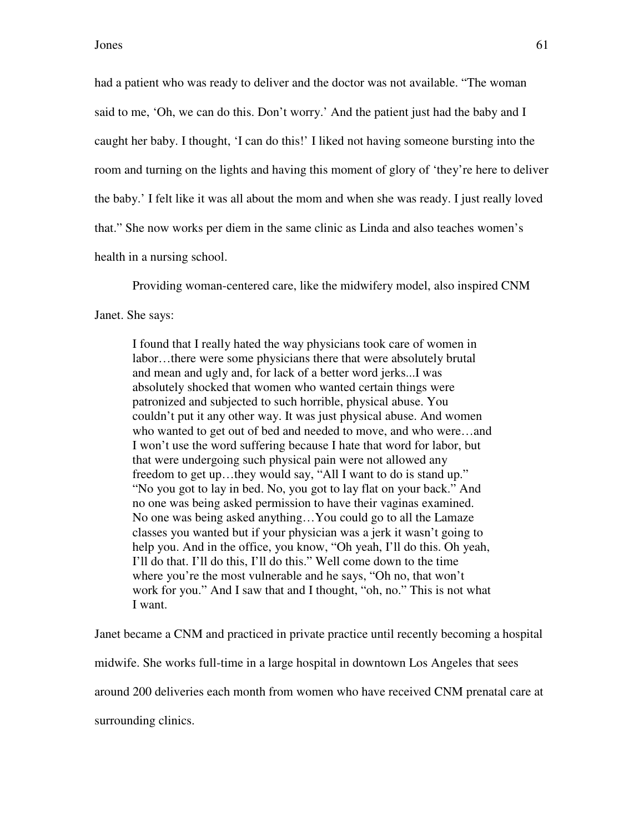had a patient who was ready to deliver and the doctor was not available. "The woman said to me, 'Oh, we can do this. Don't worry.' And the patient just had the baby and I caught her baby. I thought, 'I can do this!' I liked not having someone bursting into the room and turning on the lights and having this moment of glory of 'they're here to deliver the baby.' I felt like it was all about the mom and when she was ready. I just really loved that." She now works per diem in the same clinic as Linda and also teaches women's health in a nursing school.

Providing woman-centered care, like the midwifery model, also inspired CNM

Janet. She says:

I found that I really hated the way physicians took care of women in labor…there were some physicians there that were absolutely brutal and mean and ugly and, for lack of a better word jerks...I was absolutely shocked that women who wanted certain things were patronized and subjected to such horrible, physical abuse. You couldn't put it any other way. It was just physical abuse. And women who wanted to get out of bed and needed to move, and who were…and I won't use the word suffering because I hate that word for labor, but that were undergoing such physical pain were not allowed any freedom to get up…they would say, "All I want to do is stand up." "No you got to lay in bed. No, you got to lay flat on your back." And no one was being asked permission to have their vaginas examined. No one was being asked anything…You could go to all the Lamaze classes you wanted but if your physician was a jerk it wasn't going to help you. And in the office, you know, "Oh yeah, I'll do this. Oh yeah, I'll do that. I'll do this, I'll do this." Well come down to the time where you're the most vulnerable and he says, "Oh no, that won't work for you." And I saw that and I thought, "oh, no." This is not what I want.

Janet became a CNM and practiced in private practice until recently becoming a hospital midwife. She works full-time in a large hospital in downtown Los Angeles that sees around 200 deliveries each month from women who have received CNM prenatal care at surrounding clinics.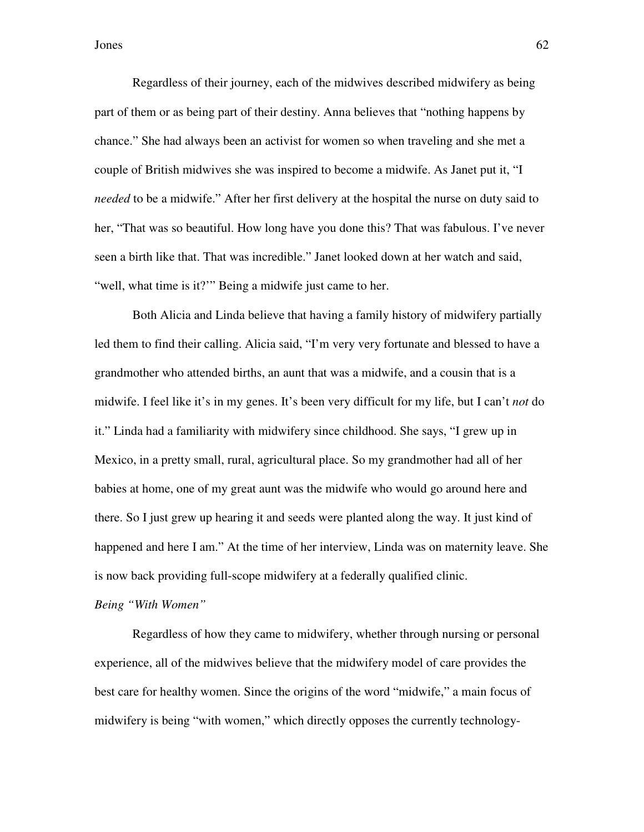Regardless of their journey, each of the midwives described midwifery as being part of them or as being part of their destiny. Anna believes that "nothing happens by chance." She had always been an activist for women so when traveling and she met a couple of British midwives she was inspired to become a midwife. As Janet put it, "I *needed* to be a midwife." After her first delivery at the hospital the nurse on duty said to her, "That was so beautiful. How long have you done this? That was fabulous. I've never seen a birth like that. That was incredible." Janet looked down at her watch and said, "well, what time is it?"" Being a midwife just came to her.

Both Alicia and Linda believe that having a family history of midwifery partially led them to find their calling. Alicia said, "I'm very very fortunate and blessed to have a grandmother who attended births, an aunt that was a midwife, and a cousin that is a midwife. I feel like it's in my genes. It's been very difficult for my life, but I can't *not* do it." Linda had a familiarity with midwifery since childhood. She says, "I grew up in Mexico, in a pretty small, rural, agricultural place. So my grandmother had all of her babies at home, one of my great aunt was the midwife who would go around here and there. So I just grew up hearing it and seeds were planted along the way. It just kind of happened and here I am." At the time of her interview, Linda was on maternity leave. She is now back providing full-scope midwifery at a federally qualified clinic.

*Being "With Women"* 

Regardless of how they came to midwifery, whether through nursing or personal experience, all of the midwives believe that the midwifery model of care provides the best care for healthy women. Since the origins of the word "midwife," a main focus of midwifery is being "with women," which directly opposes the currently technology-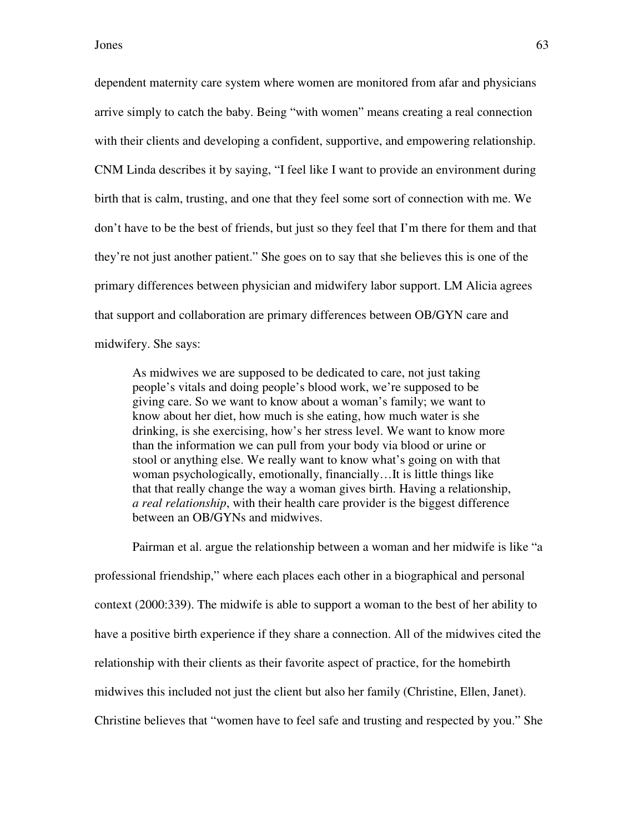dependent maternity care system where women are monitored from afar and physicians arrive simply to catch the baby. Being "with women" means creating a real connection with their clients and developing a confident, supportive, and empowering relationship. CNM Linda describes it by saying, "I feel like I want to provide an environment during birth that is calm, trusting, and one that they feel some sort of connection with me. We don't have to be the best of friends, but just so they feel that I'm there for them and that they're not just another patient." She goes on to say that she believes this is one of the primary differences between physician and midwifery labor support. LM Alicia agrees that support and collaboration are primary differences between OB/GYN care and midwifery. She says:

As midwives we are supposed to be dedicated to care, not just taking people's vitals and doing people's blood work, we're supposed to be giving care. So we want to know about a woman's family; we want to know about her diet, how much is she eating, how much water is she drinking, is she exercising, how's her stress level. We want to know more than the information we can pull from your body via blood or urine or stool or anything else. We really want to know what's going on with that woman psychologically, emotionally, financially…It is little things like that that really change the way a woman gives birth. Having a relationship, *a real relationship*, with their health care provider is the biggest difference between an OB/GYNs and midwives.

 Pairman et al. argue the relationship between a woman and her midwife is like "a professional friendship," where each places each other in a biographical and personal context (2000:339). The midwife is able to support a woman to the best of her ability to have a positive birth experience if they share a connection. All of the midwives cited the relationship with their clients as their favorite aspect of practice, for the homebirth midwives this included not just the client but also her family (Christine, Ellen, Janet). Christine believes that "women have to feel safe and trusting and respected by you." She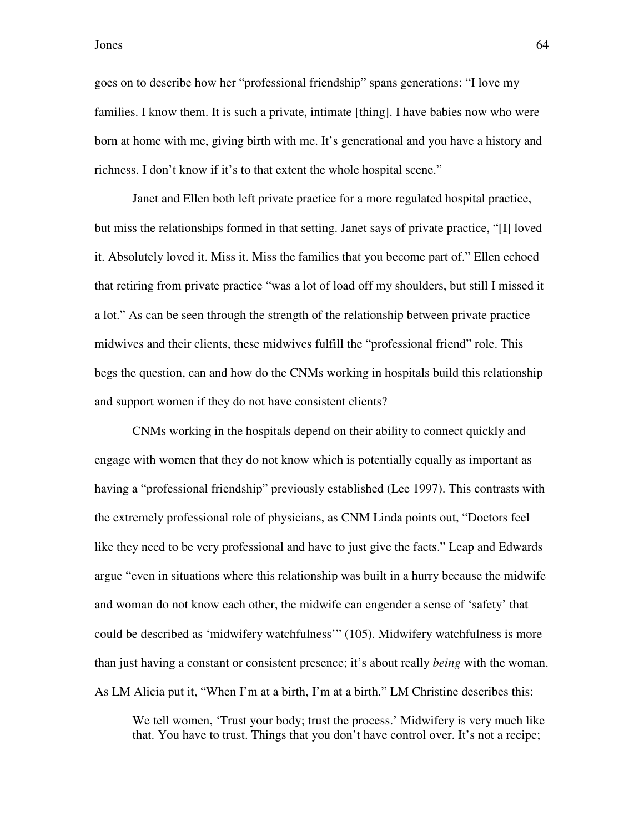goes on to describe how her "professional friendship" spans generations: "I love my families. I know them. It is such a private, intimate [thing]. I have babies now who were born at home with me, giving birth with me. It's generational and you have a history and richness. I don't know if it's to that extent the whole hospital scene."

Janet and Ellen both left private practice for a more regulated hospital practice, but miss the relationships formed in that setting. Janet says of private practice, "[I] loved it. Absolutely loved it. Miss it. Miss the families that you become part of." Ellen echoed that retiring from private practice "was a lot of load off my shoulders, but still I missed it a lot." As can be seen through the strength of the relationship between private practice midwives and their clients, these midwives fulfill the "professional friend" role. This begs the question, can and how do the CNMs working in hospitals build this relationship and support women if they do not have consistent clients?

 CNMs working in the hospitals depend on their ability to connect quickly and engage with women that they do not know which is potentially equally as important as having a "professional friendship" previously established (Lee 1997). This contrasts with the extremely professional role of physicians, as CNM Linda points out, "Doctors feel like they need to be very professional and have to just give the facts." Leap and Edwards argue "even in situations where this relationship was built in a hurry because the midwife and woman do not know each other, the midwife can engender a sense of 'safety' that could be described as 'midwifery watchfulness'" (105). Midwifery watchfulness is more than just having a constant or consistent presence; it's about really *being* with the woman. As LM Alicia put it, "When I'm at a birth, I'm at a birth." LM Christine describes this:

We tell women, 'Trust your body; trust the process.' Midwifery is very much like that. You have to trust. Things that you don't have control over. It's not a recipe;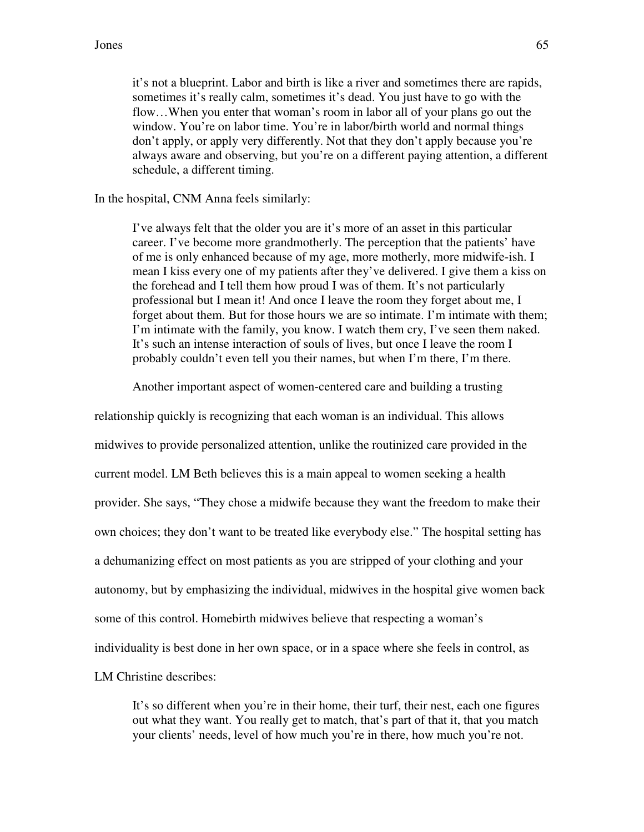it's not a blueprint. Labor and birth is like a river and sometimes there are rapids, sometimes it's really calm, sometimes it's dead. You just have to go with the flow…When you enter that woman's room in labor all of your plans go out the window. You're on labor time. You're in labor/birth world and normal things don't apply, or apply very differently. Not that they don't apply because you're always aware and observing, but you're on a different paying attention, a different schedule, a different timing.

#### In the hospital, CNM Anna feels similarly:

I've always felt that the older you are it's more of an asset in this particular career. I've become more grandmotherly. The perception that the patients' have of me is only enhanced because of my age, more motherly, more midwife-ish. I mean I kiss every one of my patients after they've delivered. I give them a kiss on the forehead and I tell them how proud I was of them. It's not particularly professional but I mean it! And once I leave the room they forget about me, I forget about them. But for those hours we are so intimate. I'm intimate with them; I'm intimate with the family, you know. I watch them cry, I've seen them naked. It's such an intense interaction of souls of lives, but once I leave the room I probably couldn't even tell you their names, but when I'm there, I'm there.

Another important aspect of women-centered care and building a trusting

relationship quickly is recognizing that each woman is an individual. This allows midwives to provide personalized attention, unlike the routinized care provided in the current model. LM Beth believes this is a main appeal to women seeking a health provider. She says, "They chose a midwife because they want the freedom to make their own choices; they don't want to be treated like everybody else." The hospital setting has a dehumanizing effect on most patients as you are stripped of your clothing and your autonomy, but by emphasizing the individual, midwives in the hospital give women back some of this control. Homebirth midwives believe that respecting a woman's individuality is best done in her own space, or in a space where she feels in control, as LM Christine describes:

It's so different when you're in their home, their turf, their nest, each one figures out what they want. You really get to match, that's part of that it, that you match your clients' needs, level of how much you're in there, how much you're not.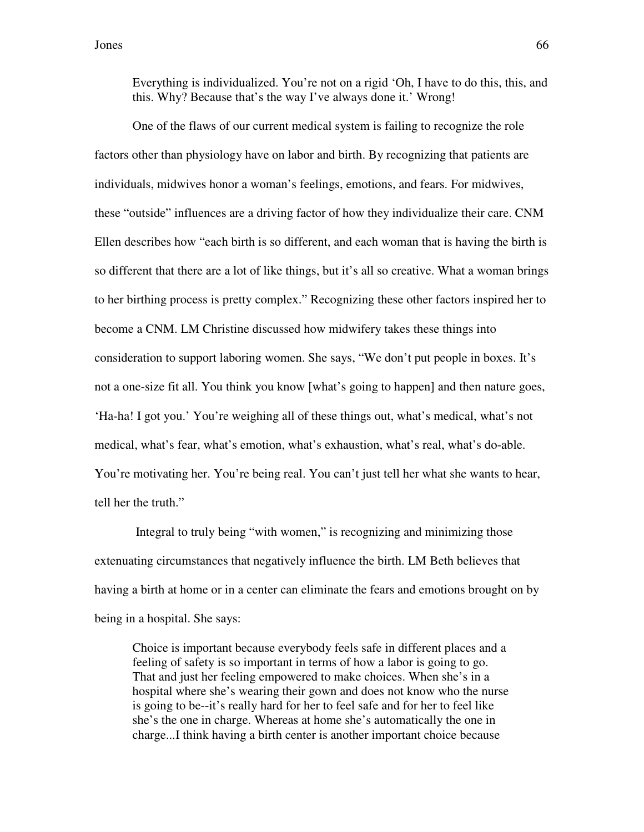Everything is individualized. You're not on a rigid 'Oh, I have to do this, this, and this. Why? Because that's the way I've always done it.' Wrong!

One of the flaws of our current medical system is failing to recognize the role factors other than physiology have on labor and birth. By recognizing that patients are individuals, midwives honor a woman's feelings, emotions, and fears. For midwives, these "outside" influences are a driving factor of how they individualize their care. CNM Ellen describes how "each birth is so different, and each woman that is having the birth is so different that there are a lot of like things, but it's all so creative. What a woman brings to her birthing process is pretty complex." Recognizing these other factors inspired her to become a CNM. LM Christine discussed how midwifery takes these things into consideration to support laboring women. She says, "We don't put people in boxes. It's not a one-size fit all. You think you know [what's going to happen] and then nature goes, 'Ha-ha! I got you.' You're weighing all of these things out, what's medical, what's not medical, what's fear, what's emotion, what's exhaustion, what's real, what's do-able. You're motivating her. You're being real. You can't just tell her what she wants to hear, tell her the truth."

 Integral to truly being "with women," is recognizing and minimizing those extenuating circumstances that negatively influence the birth. LM Beth believes that having a birth at home or in a center can eliminate the fears and emotions brought on by being in a hospital. She says:

Choice is important because everybody feels safe in different places and a feeling of safety is so important in terms of how a labor is going to go. That and just her feeling empowered to make choices. When she's in a hospital where she's wearing their gown and does not know who the nurse is going to be--it's really hard for her to feel safe and for her to feel like she's the one in charge. Whereas at home she's automatically the one in charge...I think having a birth center is another important choice because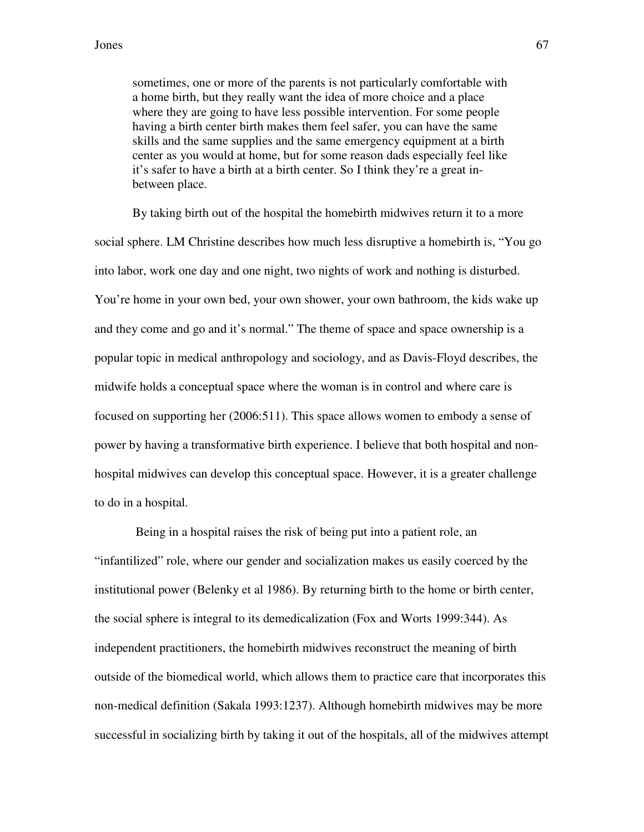sometimes, one or more of the parents is not particularly comfortable with a home birth, but they really want the idea of more choice and a place where they are going to have less possible intervention. For some people having a birth center birth makes them feel safer, you can have the same skills and the same supplies and the same emergency equipment at a birth center as you would at home, but for some reason dads especially feel like it's safer to have a birth at a birth center. So I think they're a great inbetween place.

By taking birth out of the hospital the homebirth midwives return it to a more social sphere. LM Christine describes how much less disruptive a homebirth is, "You go into labor, work one day and one night, two nights of work and nothing is disturbed. You're home in your own bed, your own shower, your own bathroom, the kids wake up and they come and go and it's normal." The theme of space and space ownership is a popular topic in medical anthropology and sociology, and as Davis-Floyd describes, the midwife holds a conceptual space where the woman is in control and where care is focused on supporting her (2006:511). This space allows women to embody a sense of power by having a transformative birth experience. I believe that both hospital and nonhospital midwives can develop this conceptual space. However, it is a greater challenge to do in a hospital.

 Being in a hospital raises the risk of being put into a patient role, an "infantilized" role, where our gender and socialization makes us easily coerced by the institutional power (Belenky et al 1986). By returning birth to the home or birth center, the social sphere is integral to its demedicalization (Fox and Worts 1999:344). As independent practitioners, the homebirth midwives reconstruct the meaning of birth outside of the biomedical world, which allows them to practice care that incorporates this non-medical definition (Sakala 1993:1237). Although homebirth midwives may be more successful in socializing birth by taking it out of the hospitals, all of the midwives attempt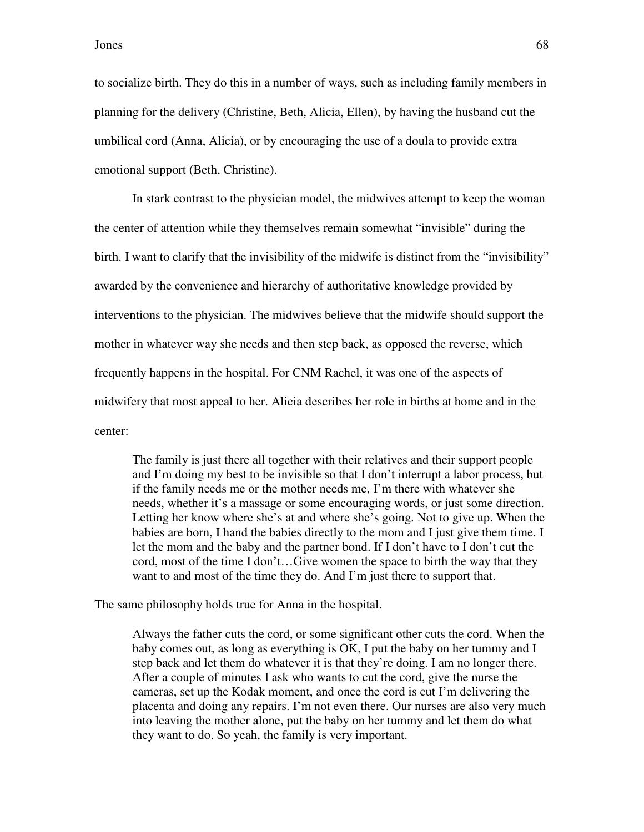to socialize birth. They do this in a number of ways, such as including family members in planning for the delivery (Christine, Beth, Alicia, Ellen), by having the husband cut the umbilical cord (Anna, Alicia), or by encouraging the use of a doula to provide extra emotional support (Beth, Christine).

In stark contrast to the physician model, the midwives attempt to keep the woman the center of attention while they themselves remain somewhat "invisible" during the birth. I want to clarify that the invisibility of the midwife is distinct from the "invisibility" awarded by the convenience and hierarchy of authoritative knowledge provided by interventions to the physician. The midwives believe that the midwife should support the mother in whatever way she needs and then step back, as opposed the reverse, which frequently happens in the hospital. For CNM Rachel, it was one of the aspects of midwifery that most appeal to her. Alicia describes her role in births at home and in the center:

The family is just there all together with their relatives and their support people and I'm doing my best to be invisible so that I don't interrupt a labor process, but if the family needs me or the mother needs me, I'm there with whatever she needs, whether it's a massage or some encouraging words, or just some direction. Letting her know where she's at and where she's going. Not to give up. When the babies are born, I hand the babies directly to the mom and I just give them time. I let the mom and the baby and the partner bond. If I don't have to I don't cut the cord, most of the time I don't…Give women the space to birth the way that they want to and most of the time they do. And I'm just there to support that.

The same philosophy holds true for Anna in the hospital.

Always the father cuts the cord, or some significant other cuts the cord. When the baby comes out, as long as everything is OK, I put the baby on her tummy and I step back and let them do whatever it is that they're doing. I am no longer there. After a couple of minutes I ask who wants to cut the cord, give the nurse the cameras, set up the Kodak moment, and once the cord is cut I'm delivering the placenta and doing any repairs. I'm not even there. Our nurses are also very much into leaving the mother alone, put the baby on her tummy and let them do what they want to do. So yeah, the family is very important.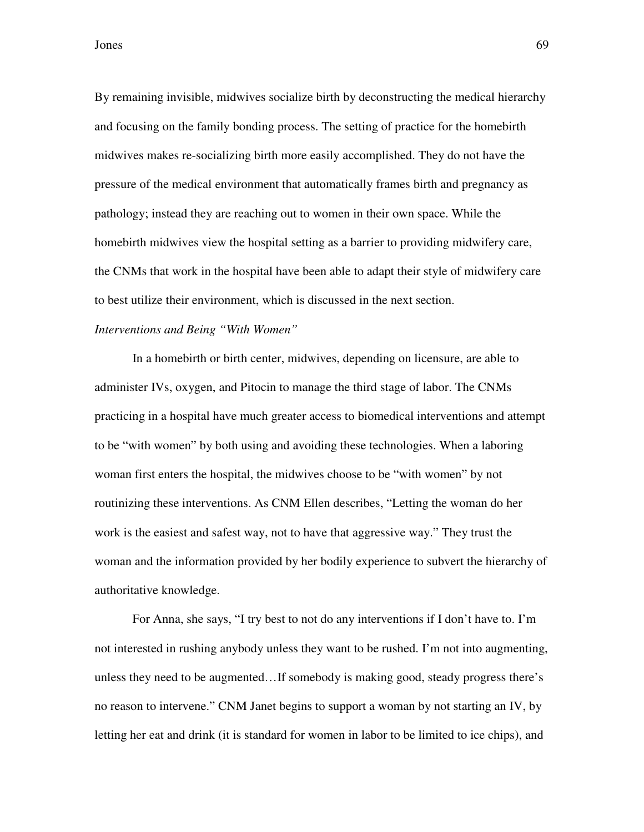By remaining invisible, midwives socialize birth by deconstructing the medical hierarchy and focusing on the family bonding process. The setting of practice for the homebirth midwives makes re-socializing birth more easily accomplished. They do not have the pressure of the medical environment that automatically frames birth and pregnancy as pathology; instead they are reaching out to women in their own space. While the homebirth midwives view the hospital setting as a barrier to providing midwifery care, the CNMs that work in the hospital have been able to adapt their style of midwifery care to best utilize their environment, which is discussed in the next section.

## *Interventions and Being "With Women"*

In a homebirth or birth center, midwives, depending on licensure, are able to administer IVs, oxygen, and Pitocin to manage the third stage of labor. The CNMs practicing in a hospital have much greater access to biomedical interventions and attempt to be "with women" by both using and avoiding these technologies. When a laboring woman first enters the hospital, the midwives choose to be "with women" by not routinizing these interventions. As CNM Ellen describes, "Letting the woman do her work is the easiest and safest way, not to have that aggressive way." They trust the woman and the information provided by her bodily experience to subvert the hierarchy of authoritative knowledge.

For Anna, she says, "I try best to not do any interventions if I don't have to. I'm not interested in rushing anybody unless they want to be rushed. I'm not into augmenting, unless they need to be augmented…If somebody is making good, steady progress there's no reason to intervene." CNM Janet begins to support a woman by not starting an IV, by letting her eat and drink (it is standard for women in labor to be limited to ice chips), and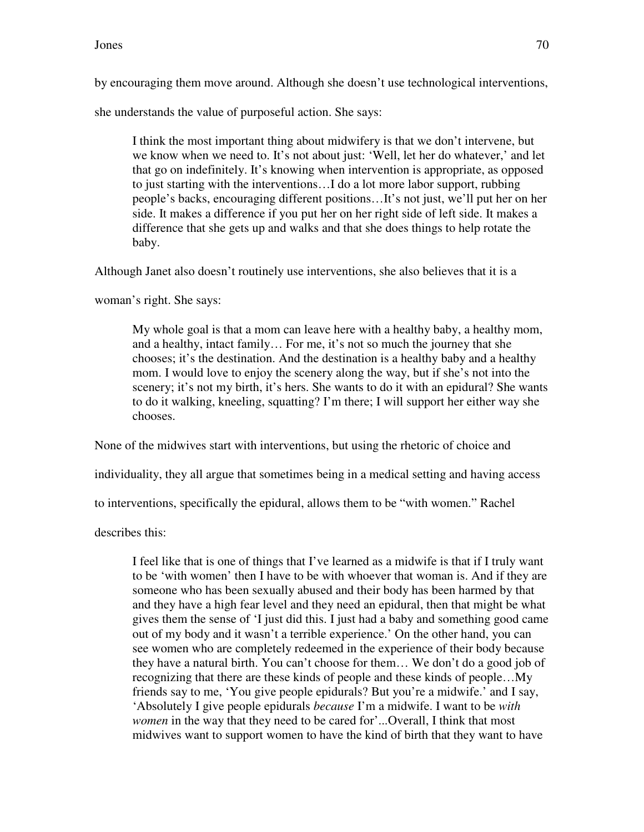by encouraging them move around. Although she doesn't use technological interventions,

she understands the value of purposeful action. She says:

I think the most important thing about midwifery is that we don't intervene, but we know when we need to. It's not about just: 'Well, let her do whatever,' and let that go on indefinitely. It's knowing when intervention is appropriate, as opposed to just starting with the interventions…I do a lot more labor support, rubbing people's backs, encouraging different positions…It's not just, we'll put her on her side. It makes a difference if you put her on her right side of left side. It makes a difference that she gets up and walks and that she does things to help rotate the baby.

Although Janet also doesn't routinely use interventions, she also believes that it is a

woman's right. She says:

My whole goal is that a mom can leave here with a healthy baby, a healthy mom, and a healthy, intact family… For me, it's not so much the journey that she chooses; it's the destination. And the destination is a healthy baby and a healthy mom. I would love to enjoy the scenery along the way, but if she's not into the scenery; it's not my birth, it's hers. She wants to do it with an epidural? She wants to do it walking, kneeling, squatting? I'm there; I will support her either way she chooses.

None of the midwives start with interventions, but using the rhetoric of choice and

individuality, they all argue that sometimes being in a medical setting and having access

to interventions, specifically the epidural, allows them to be "with women." Rachel

describes this:

I feel like that is one of things that I've learned as a midwife is that if I truly want to be 'with women' then I have to be with whoever that woman is. And if they are someone who has been sexually abused and their body has been harmed by that and they have a high fear level and they need an epidural, then that might be what gives them the sense of 'I just did this. I just had a baby and something good came out of my body and it wasn't a terrible experience.' On the other hand, you can see women who are completely redeemed in the experience of their body because they have a natural birth. You can't choose for them… We don't do a good job of recognizing that there are these kinds of people and these kinds of people…My friends say to me, 'You give people epidurals? But you're a midwife.' and I say, 'Absolutely I give people epidurals *because* I'm a midwife. I want to be *with women* in the way that they need to be cared for'...Overall, I think that most midwives want to support women to have the kind of birth that they want to have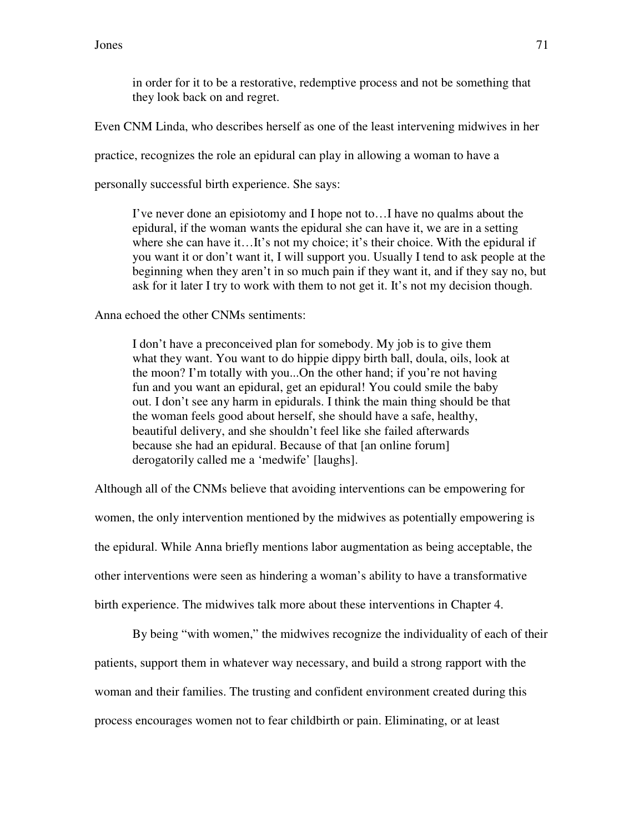in order for it to be a restorative, redemptive process and not be something that they look back on and regret.

Even CNM Linda, who describes herself as one of the least intervening midwives in her

practice, recognizes the role an epidural can play in allowing a woman to have a

personally successful birth experience. She says:

I've never done an episiotomy and I hope not to…I have no qualms about the epidural, if the woman wants the epidural she can have it, we are in a setting where she can have it...It's not my choice; it's their choice. With the epidural if you want it or don't want it, I will support you. Usually I tend to ask people at the beginning when they aren't in so much pain if they want it, and if they say no, but ask for it later I try to work with them to not get it. It's not my decision though.

Anna echoed the other CNMs sentiments:

I don't have a preconceived plan for somebody. My job is to give them what they want. You want to do hippie dippy birth ball, doula, oils, look at the moon? I'm totally with you...On the other hand; if you're not having fun and you want an epidural, get an epidural! You could smile the baby out. I don't see any harm in epidurals. I think the main thing should be that the woman feels good about herself, she should have a safe, healthy, beautiful delivery, and she shouldn't feel like she failed afterwards because she had an epidural. Because of that [an online forum] derogatorily called me a 'medwife' [laughs].

Although all of the CNMs believe that avoiding interventions can be empowering for women, the only intervention mentioned by the midwives as potentially empowering is the epidural. While Anna briefly mentions labor augmentation as being acceptable, the other interventions were seen as hindering a woman's ability to have a transformative birth experience. The midwives talk more about these interventions in Chapter 4.

By being "with women," the midwives recognize the individuality of each of their patients, support them in whatever way necessary, and build a strong rapport with the woman and their families. The trusting and confident environment created during this process encourages women not to fear childbirth or pain. Eliminating, or at least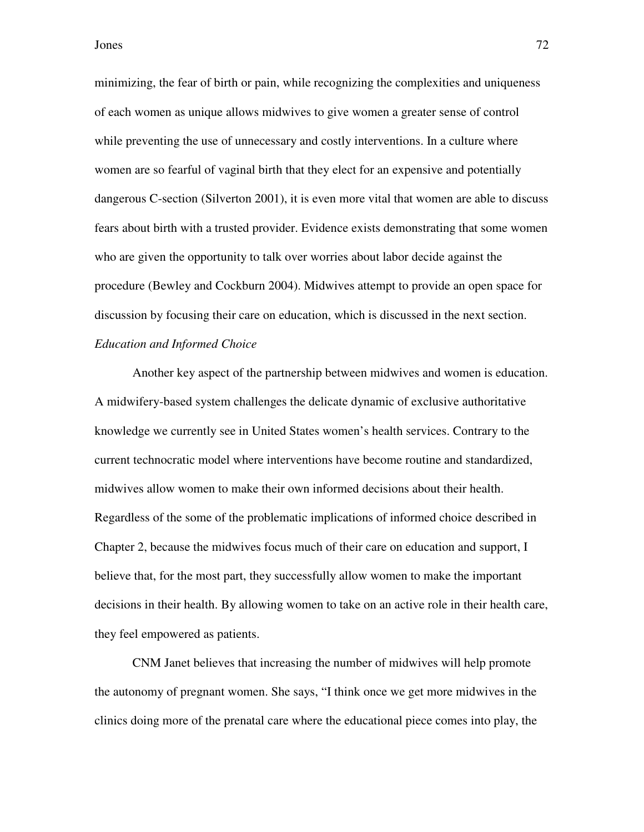minimizing, the fear of birth or pain, while recognizing the complexities and uniqueness of each women as unique allows midwives to give women a greater sense of control while preventing the use of unnecessary and costly interventions. In a culture where women are so fearful of vaginal birth that they elect for an expensive and potentially dangerous C-section (Silverton 2001), it is even more vital that women are able to discuss fears about birth with a trusted provider. Evidence exists demonstrating that some women who are given the opportunity to talk over worries about labor decide against the procedure (Bewley and Cockburn 2004). Midwives attempt to provide an open space for discussion by focusing their care on education, which is discussed in the next section. *Education and Informed Choice* 

 Another key aspect of the partnership between midwives and women is education. A midwifery-based system challenges the delicate dynamic of exclusive authoritative knowledge we currently see in United States women's health services. Contrary to the current technocratic model where interventions have become routine and standardized, midwives allow women to make their own informed decisions about their health. Regardless of the some of the problematic implications of informed choice described in Chapter 2, because the midwives focus much of their care on education and support, I believe that, for the most part, they successfully allow women to make the important decisions in their health. By allowing women to take on an active role in their health care, they feel empowered as patients.

CNM Janet believes that increasing the number of midwives will help promote the autonomy of pregnant women. She says, "I think once we get more midwives in the clinics doing more of the prenatal care where the educational piece comes into play, the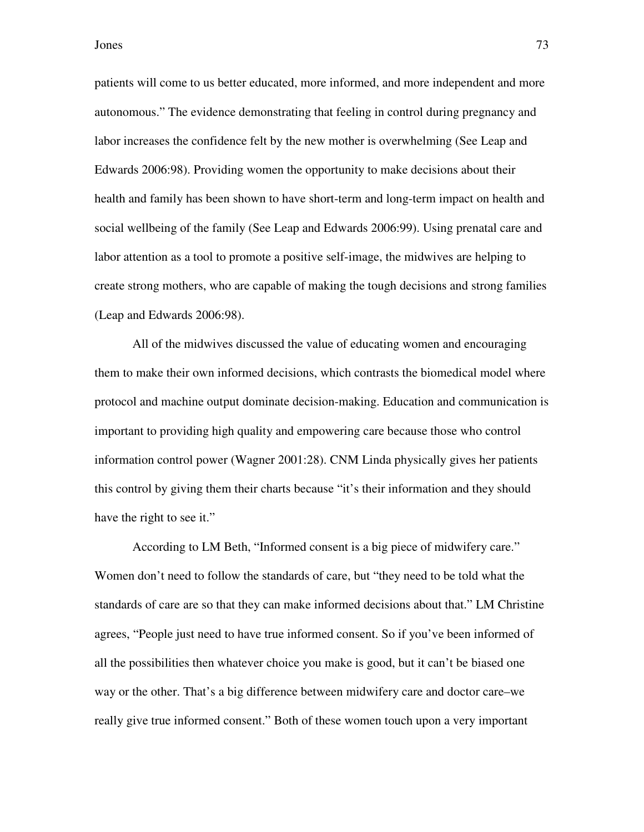patients will come to us better educated, more informed, and more independent and more autonomous." The evidence demonstrating that feeling in control during pregnancy and labor increases the confidence felt by the new mother is overwhelming (See Leap and Edwards 2006:98). Providing women the opportunity to make decisions about their health and family has been shown to have short-term and long-term impact on health and social wellbeing of the family (See Leap and Edwards 2006:99). Using prenatal care and labor attention as a tool to promote a positive self-image, the midwives are helping to create strong mothers, who are capable of making the tough decisions and strong families (Leap and Edwards 2006:98).

All of the midwives discussed the value of educating women and encouraging them to make their own informed decisions, which contrasts the biomedical model where protocol and machine output dominate decision-making. Education and communication is important to providing high quality and empowering care because those who control information control power (Wagner 2001:28). CNM Linda physically gives her patients this control by giving them their charts because "it's their information and they should have the right to see it."

According to LM Beth, "Informed consent is a big piece of midwifery care." Women don't need to follow the standards of care, but "they need to be told what the standards of care are so that they can make informed decisions about that." LM Christine agrees, "People just need to have true informed consent. So if you've been informed of all the possibilities then whatever choice you make is good, but it can't be biased one way or the other. That's a big difference between midwifery care and doctor care–we really give true informed consent." Both of these women touch upon a very important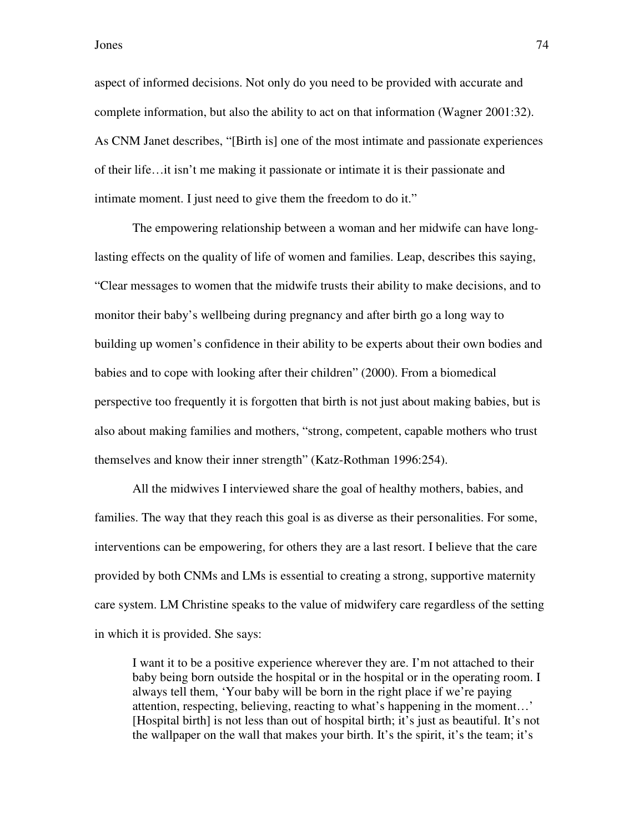aspect of informed decisions. Not only do you need to be provided with accurate and complete information, but also the ability to act on that information (Wagner 2001:32). As CNM Janet describes, "[Birth is] one of the most intimate and passionate experiences of their life…it isn't me making it passionate or intimate it is their passionate and intimate moment. I just need to give them the freedom to do it."

The empowering relationship between a woman and her midwife can have longlasting effects on the quality of life of women and families. Leap, describes this saying, "Clear messages to women that the midwife trusts their ability to make decisions, and to monitor their baby's wellbeing during pregnancy and after birth go a long way to building up women's confidence in their ability to be experts about their own bodies and babies and to cope with looking after their children" (2000). From a biomedical perspective too frequently it is forgotten that birth is not just about making babies, but is also about making families and mothers, "strong, competent, capable mothers who trust themselves and know their inner strength" (Katz-Rothman 1996:254).

All the midwives I interviewed share the goal of healthy mothers, babies, and families. The way that they reach this goal is as diverse as their personalities. For some, interventions can be empowering, for others they are a last resort. I believe that the care provided by both CNMs and LMs is essential to creating a strong, supportive maternity care system. LM Christine speaks to the value of midwifery care regardless of the setting in which it is provided. She says:

I want it to be a positive experience wherever they are. I'm not attached to their baby being born outside the hospital or in the hospital or in the operating room. I always tell them, 'Your baby will be born in the right place if we're paying attention, respecting, believing, reacting to what's happening in the moment…' [Hospital birth] is not less than out of hospital birth; it's just as beautiful. It's not the wallpaper on the wall that makes your birth. It's the spirit, it's the team; it's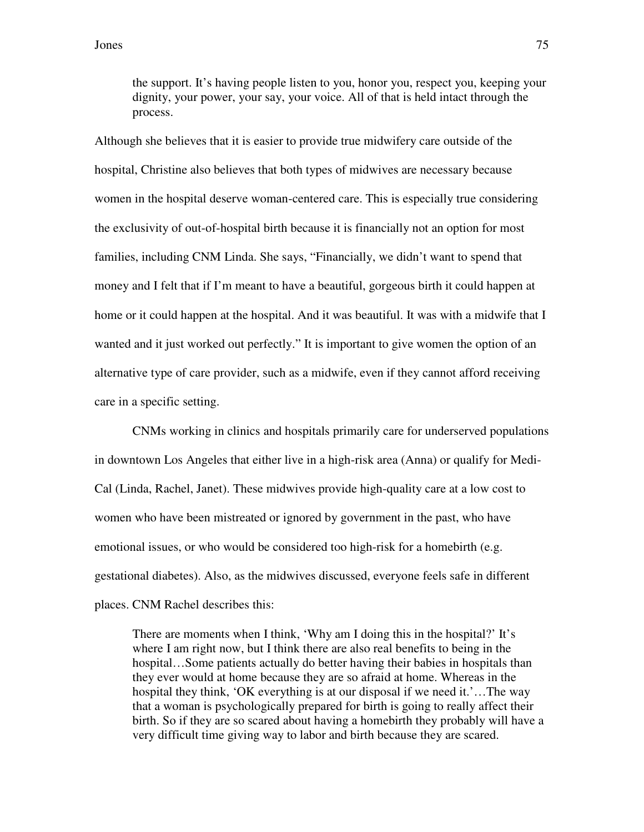the support. It's having people listen to you, honor you, respect you, keeping your dignity, your power, your say, your voice. All of that is held intact through the process.

Although she believes that it is easier to provide true midwifery care outside of the hospital, Christine also believes that both types of midwives are necessary because women in the hospital deserve woman-centered care. This is especially true considering the exclusivity of out-of-hospital birth because it is financially not an option for most families, including CNM Linda. She says, "Financially, we didn't want to spend that money and I felt that if I'm meant to have a beautiful, gorgeous birth it could happen at home or it could happen at the hospital. And it was beautiful. It was with a midwife that I wanted and it just worked out perfectly." It is important to give women the option of an alternative type of care provider, such as a midwife, even if they cannot afford receiving care in a specific setting.

 CNMs working in clinics and hospitals primarily care for underserved populations in downtown Los Angeles that either live in a high-risk area (Anna) or qualify for Medi-Cal (Linda, Rachel, Janet). These midwives provide high-quality care at a low cost to women who have been mistreated or ignored by government in the past, who have emotional issues, or who would be considered too high-risk for a homebirth (e.g. gestational diabetes). Also, as the midwives discussed, everyone feels safe in different places. CNM Rachel describes this:

There are moments when I think, 'Why am I doing this in the hospital?' It's where I am right now, but I think there are also real benefits to being in the hospital…Some patients actually do better having their babies in hospitals than they ever would at home because they are so afraid at home. Whereas in the hospital they think, 'OK everything is at our disposal if we need it.'…The way that a woman is psychologically prepared for birth is going to really affect their birth. So if they are so scared about having a homebirth they probably will have a very difficult time giving way to labor and birth because they are scared.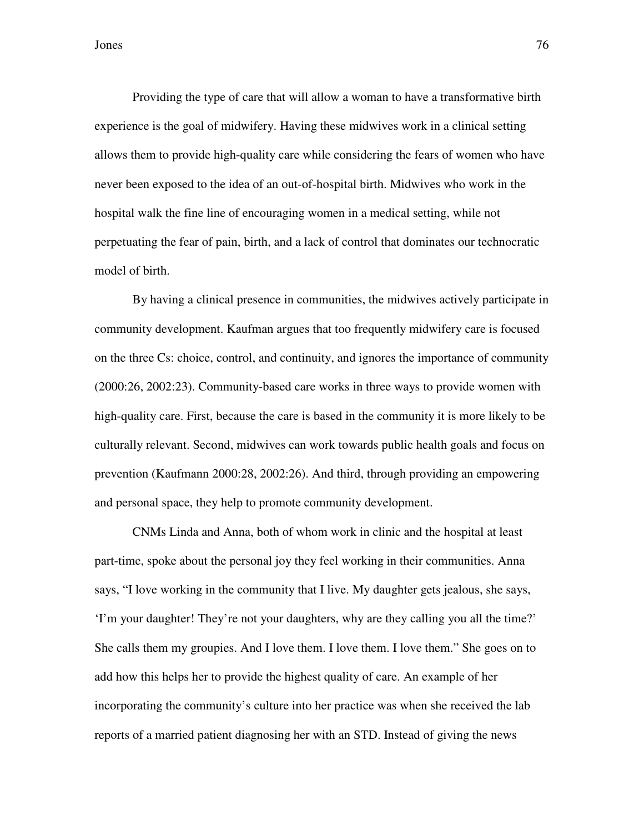Providing the type of care that will allow a woman to have a transformative birth experience is the goal of midwifery. Having these midwives work in a clinical setting allows them to provide high-quality care while considering the fears of women who have never been exposed to the idea of an out-of-hospital birth. Midwives who work in the hospital walk the fine line of encouraging women in a medical setting, while not perpetuating the fear of pain, birth, and a lack of control that dominates our technocratic model of birth.

By having a clinical presence in communities, the midwives actively participate in community development. Kaufman argues that too frequently midwifery care is focused on the three Cs: choice, control, and continuity, and ignores the importance of community (2000:26, 2002:23). Community-based care works in three ways to provide women with high-quality care. First, because the care is based in the community it is more likely to be culturally relevant. Second, midwives can work towards public health goals and focus on prevention (Kaufmann 2000:28, 2002:26). And third, through providing an empowering and personal space, they help to promote community development.

CNMs Linda and Anna, both of whom work in clinic and the hospital at least part-time, spoke about the personal joy they feel working in their communities. Anna says, "I love working in the community that I live. My daughter gets jealous, she says, 'I'm your daughter! They're not your daughters, why are they calling you all the time?' She calls them my groupies. And I love them. I love them. I love them." She goes on to add how this helps her to provide the highest quality of care. An example of her incorporating the community's culture into her practice was when she received the lab reports of a married patient diagnosing her with an STD. Instead of giving the news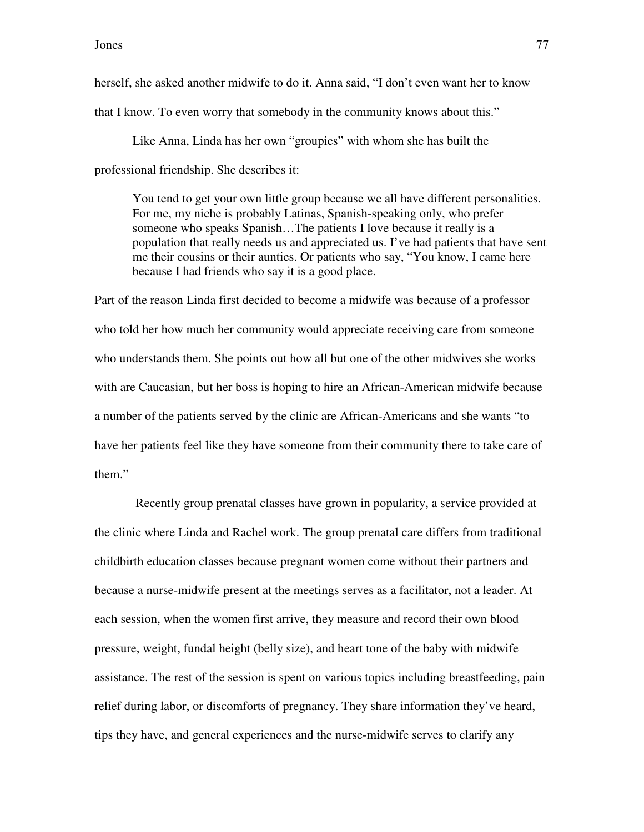herself, she asked another midwife to do it. Anna said, "I don't even want her to know that I know. To even worry that somebody in the community knows about this."

Like Anna, Linda has her own "groupies" with whom she has built the professional friendship. She describes it:

You tend to get your own little group because we all have different personalities. For me, my niche is probably Latinas, Spanish-speaking only, who prefer someone who speaks Spanish…The patients I love because it really is a population that really needs us and appreciated us. I've had patients that have sent me their cousins or their aunties. Or patients who say, "You know, I came here because I had friends who say it is a good place.

Part of the reason Linda first decided to become a midwife was because of a professor who told her how much her community would appreciate receiving care from someone who understands them. She points out how all but one of the other midwives she works with are Caucasian, but her boss is hoping to hire an African-American midwife because a number of the patients served by the clinic are African-Americans and she wants "to have her patients feel like they have someone from their community there to take care of them."

 Recently group prenatal classes have grown in popularity, a service provided at the clinic where Linda and Rachel work. The group prenatal care differs from traditional childbirth education classes because pregnant women come without their partners and because a nurse-midwife present at the meetings serves as a facilitator, not a leader. At each session, when the women first arrive, they measure and record their own blood pressure, weight, fundal height (belly size), and heart tone of the baby with midwife assistance. The rest of the session is spent on various topics including breastfeeding, pain relief during labor, or discomforts of pregnancy. They share information they've heard, tips they have, and general experiences and the nurse-midwife serves to clarify any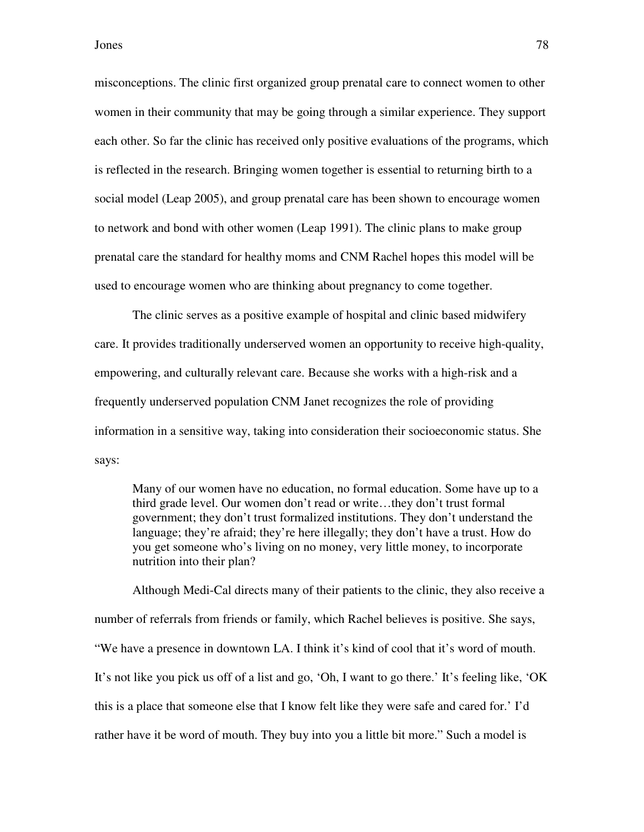misconceptions. The clinic first organized group prenatal care to connect women to other women in their community that may be going through a similar experience. They support each other. So far the clinic has received only positive evaluations of the programs, which is reflected in the research. Bringing women together is essential to returning birth to a social model (Leap 2005), and group prenatal care has been shown to encourage women to network and bond with other women (Leap 1991). The clinic plans to make group prenatal care the standard for healthy moms and CNM Rachel hopes this model will be used to encourage women who are thinking about pregnancy to come together.

The clinic serves as a positive example of hospital and clinic based midwifery care. It provides traditionally underserved women an opportunity to receive high-quality, empowering, and culturally relevant care. Because she works with a high-risk and a frequently underserved population CNM Janet recognizes the role of providing information in a sensitive way, taking into consideration their socioeconomic status. She says:

Many of our women have no education, no formal education. Some have up to a third grade level. Our women don't read or write…they don't trust formal government; they don't trust formalized institutions. They don't understand the language; they're afraid; they're here illegally; they don't have a trust. How do you get someone who's living on no money, very little money, to incorporate nutrition into their plan?

Although Medi-Cal directs many of their patients to the clinic, they also receive a number of referrals from friends or family, which Rachel believes is positive. She says, "We have a presence in downtown LA. I think it's kind of cool that it's word of mouth. It's not like you pick us off of a list and go, 'Oh, I want to go there.' It's feeling like, 'OK this is a place that someone else that I know felt like they were safe and cared for.' I'd rather have it be word of mouth. They buy into you a little bit more." Such a model is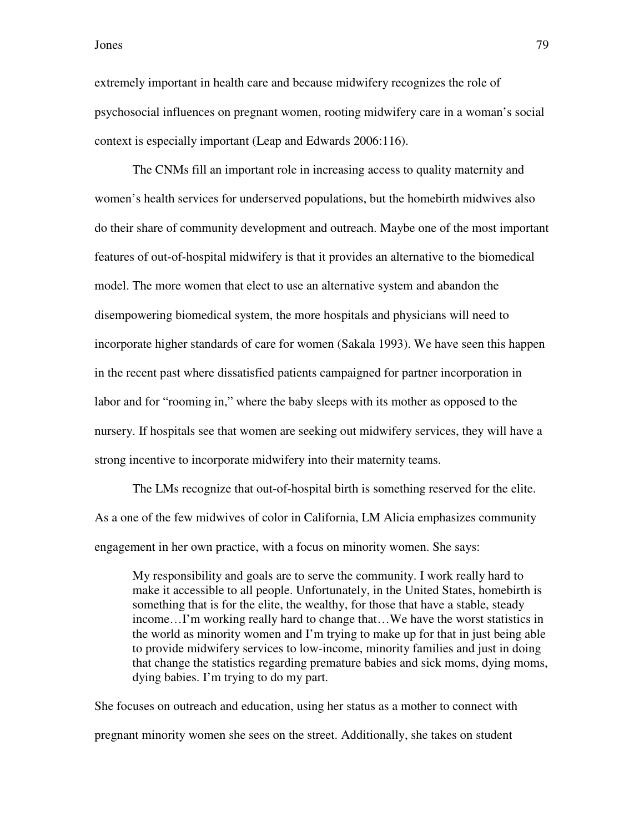extremely important in health care and because midwifery recognizes the role of psychosocial influences on pregnant women, rooting midwifery care in a woman's social context is especially important (Leap and Edwards 2006:116).

The CNMs fill an important role in increasing access to quality maternity and women's health services for underserved populations, but the homebirth midwives also do their share of community development and outreach. Maybe one of the most important features of out-of-hospital midwifery is that it provides an alternative to the biomedical model. The more women that elect to use an alternative system and abandon the disempowering biomedical system, the more hospitals and physicians will need to incorporate higher standards of care for women (Sakala 1993). We have seen this happen in the recent past where dissatisfied patients campaigned for partner incorporation in labor and for "rooming in," where the baby sleeps with its mother as opposed to the nursery. If hospitals see that women are seeking out midwifery services, they will have a strong incentive to incorporate midwifery into their maternity teams.

 The LMs recognize that out-of-hospital birth is something reserved for the elite. As a one of the few midwives of color in California, LM Alicia emphasizes community engagement in her own practice, with a focus on minority women. She says:

My responsibility and goals are to serve the community. I work really hard to make it accessible to all people. Unfortunately, in the United States, homebirth is something that is for the elite, the wealthy, for those that have a stable, steady income…I'm working really hard to change that…We have the worst statistics in the world as minority women and I'm trying to make up for that in just being able to provide midwifery services to low-income, minority families and just in doing that change the statistics regarding premature babies and sick moms, dying moms, dying babies. I'm trying to do my part.

She focuses on outreach and education, using her status as a mother to connect with pregnant minority women she sees on the street. Additionally, she takes on student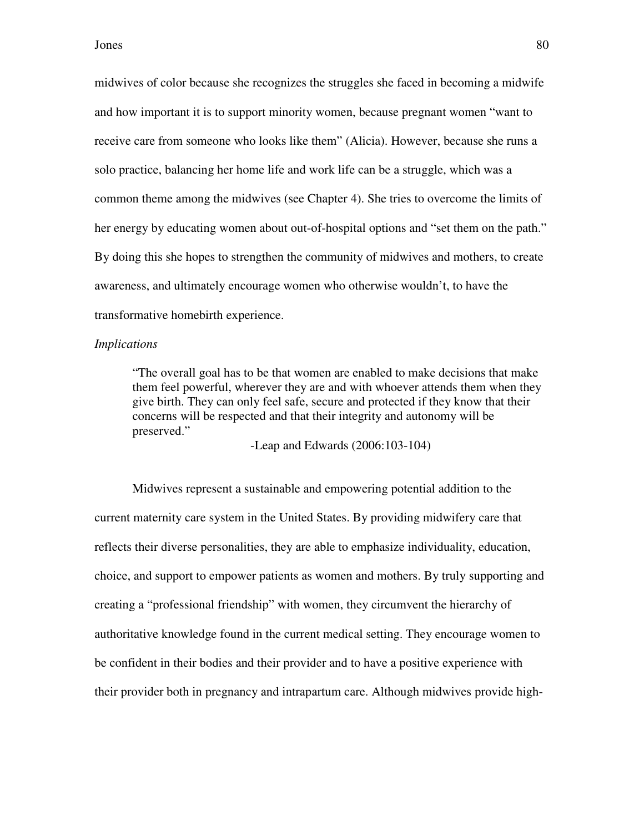midwives of color because she recognizes the struggles she faced in becoming a midwife and how important it is to support minority women, because pregnant women "want to receive care from someone who looks like them" (Alicia). However, because she runs a solo practice, balancing her home life and work life can be a struggle, which was a common theme among the midwives (see Chapter 4). She tries to overcome the limits of her energy by educating women about out-of-hospital options and "set them on the path." By doing this she hopes to strengthen the community of midwives and mothers, to create awareness, and ultimately encourage women who otherwise wouldn't, to have the transformative homebirth experience.

#### *Implications*

"The overall goal has to be that women are enabled to make decisions that make them feel powerful, wherever they are and with whoever attends them when they give birth. They can only feel safe, secure and protected if they know that their concerns will be respected and that their integrity and autonomy will be preserved."

-Leap and Edwards (2006:103-104)

Midwives represent a sustainable and empowering potential addition to the current maternity care system in the United States. By providing midwifery care that reflects their diverse personalities, they are able to emphasize individuality, education, choice, and support to empower patients as women and mothers. By truly supporting and creating a "professional friendship" with women, they circumvent the hierarchy of authoritative knowledge found in the current medical setting. They encourage women to be confident in their bodies and their provider and to have a positive experience with their provider both in pregnancy and intrapartum care. Although midwives provide high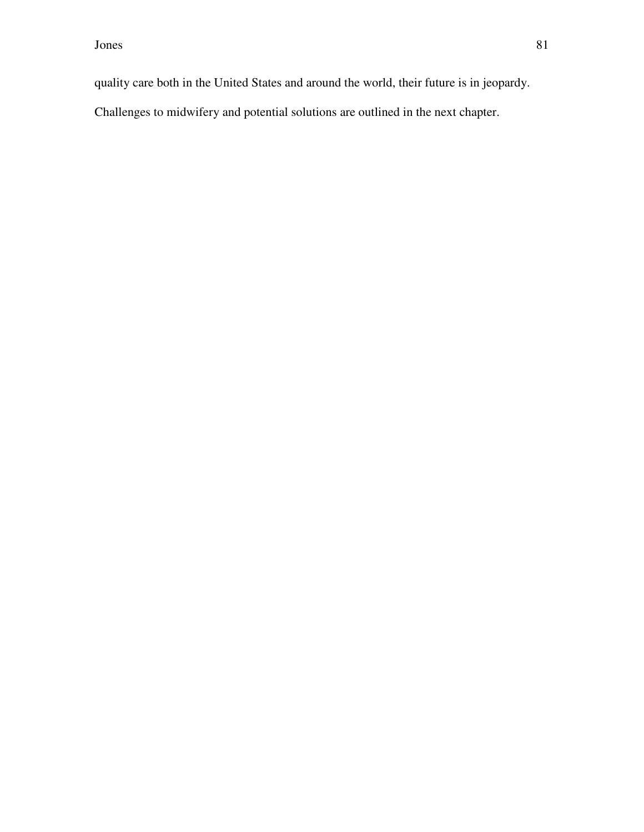quality care both in the United States and around the world, their future is in jeopardy.

Challenges to midwifery and potential solutions are outlined in the next chapter.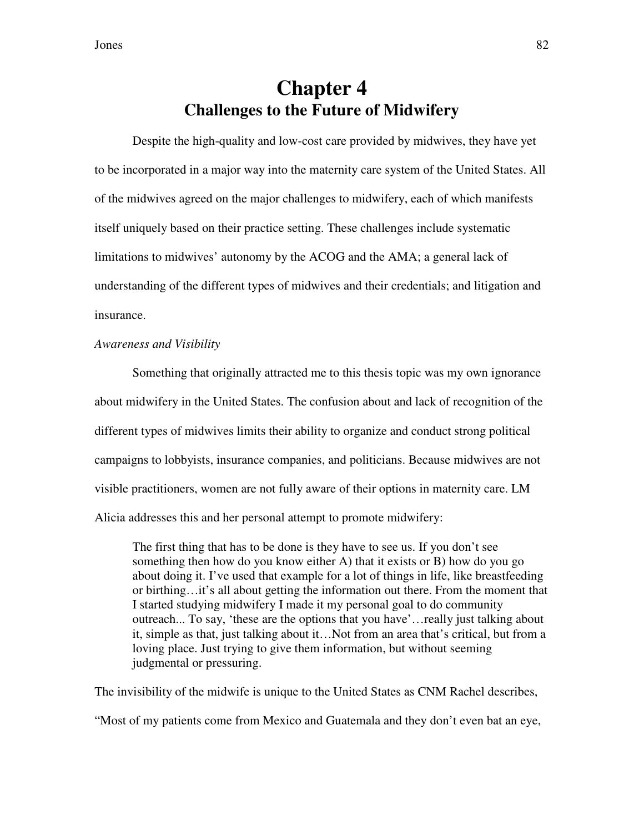# **Chapter 4 Challenges to the Future of Midwifery**

Despite the high-quality and low-cost care provided by midwives, they have yet to be incorporated in a major way into the maternity care system of the United States. All of the midwives agreed on the major challenges to midwifery, each of which manifests itself uniquely based on their practice setting. These challenges include systematic limitations to midwives' autonomy by the ACOG and the AMA; a general lack of understanding of the different types of midwives and their credentials; and litigation and insurance.

### *Awareness and Visibility*

 Something that originally attracted me to this thesis topic was my own ignorance about midwifery in the United States. The confusion about and lack of recognition of the different types of midwives limits their ability to organize and conduct strong political campaigns to lobbyists, insurance companies, and politicians. Because midwives are not visible practitioners, women are not fully aware of their options in maternity care. LM Alicia addresses this and her personal attempt to promote midwifery:

The first thing that has to be done is they have to see us. If you don't see something then how do you know either A) that it exists or B) how do you go about doing it. I've used that example for a lot of things in life, like breastfeeding or birthing…it's all about getting the information out there. From the moment that I started studying midwifery I made it my personal goal to do community outreach... To say, 'these are the options that you have'…really just talking about it, simple as that, just talking about it…Not from an area that's critical, but from a loving place. Just trying to give them information, but without seeming judgmental or pressuring.

The invisibility of the midwife is unique to the United States as CNM Rachel describes, "Most of my patients come from Mexico and Guatemala and they don't even bat an eye,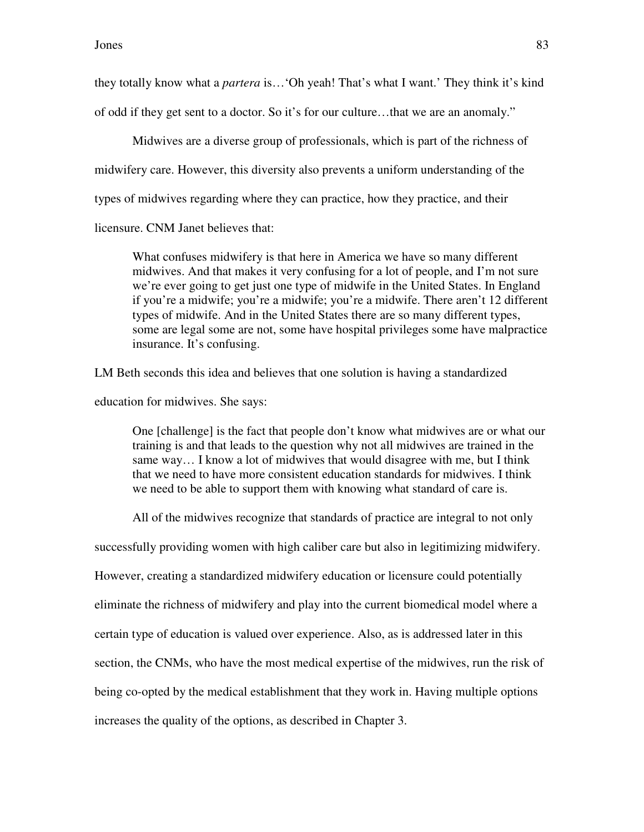they totally know what a *partera* is…'Oh yeah! That's what I want.' They think it's kind of odd if they get sent to a doctor. So it's for our culture…that we are an anomaly."

 Midwives are a diverse group of professionals, which is part of the richness of midwifery care. However, this diversity also prevents a uniform understanding of the types of midwives regarding where they can practice, how they practice, and their

licensure. CNM Janet believes that:

What confuses midwifery is that here in America we have so many different midwives. And that makes it very confusing for a lot of people, and I'm not sure we're ever going to get just one type of midwife in the United States. In England if you're a midwife; you're a midwife; you're a midwife. There aren't 12 different types of midwife. And in the United States there are so many different types, some are legal some are not, some have hospital privileges some have malpractice insurance. It's confusing.

LM Beth seconds this idea and believes that one solution is having a standardized

education for midwives. She says:

One [challenge] is the fact that people don't know what midwives are or what our training is and that leads to the question why not all midwives are trained in the same way… I know a lot of midwives that would disagree with me, but I think that we need to have more consistent education standards for midwives. I think we need to be able to support them with knowing what standard of care is.

All of the midwives recognize that standards of practice are integral to not only

successfully providing women with high caliber care but also in legitimizing midwifery.

However, creating a standardized midwifery education or licensure could potentially

eliminate the richness of midwifery and play into the current biomedical model where a

certain type of education is valued over experience. Also, as is addressed later in this

section, the CNMs, who have the most medical expertise of the midwives, run the risk of

being co-opted by the medical establishment that they work in. Having multiple options

increases the quality of the options, as described in Chapter 3.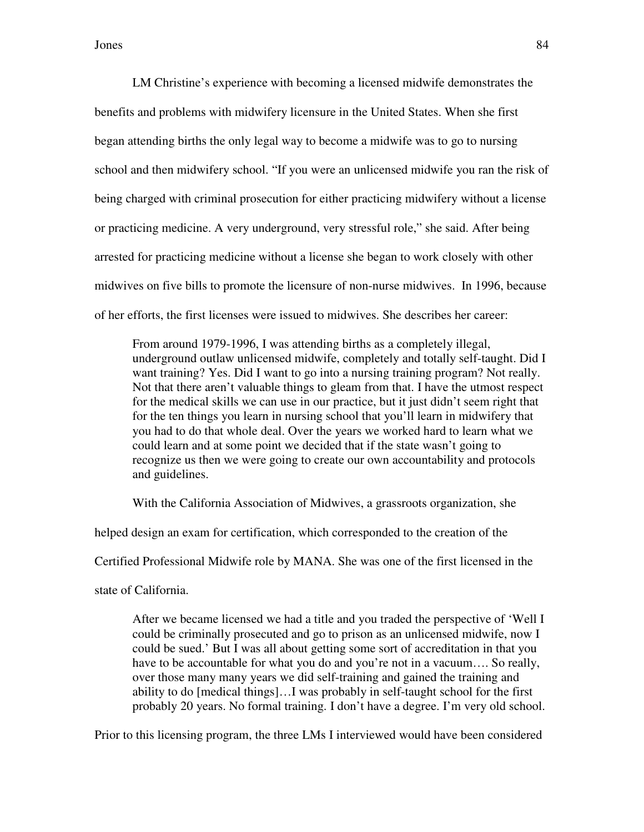LM Christine's experience with becoming a licensed midwife demonstrates the benefits and problems with midwifery licensure in the United States. When she first began attending births the only legal way to become a midwife was to go to nursing school and then midwifery school. "If you were an unlicensed midwife you ran the risk of being charged with criminal prosecution for either practicing midwifery without a license or practicing medicine. A very underground, very stressful role," she said. After being arrested for practicing medicine without a license she began to work closely with other midwives on five bills to promote the licensure of non-nurse midwives. In 1996, because of her efforts, the first licenses were issued to midwives. She describes her career:

From around 1979-1996, I was attending births as a completely illegal, underground outlaw unlicensed midwife, completely and totally self-taught. Did I want training? Yes. Did I want to go into a nursing training program? Not really. Not that there aren't valuable things to gleam from that. I have the utmost respect for the medical skills we can use in our practice, but it just didn't seem right that for the ten things you learn in nursing school that you'll learn in midwifery that you had to do that whole deal. Over the years we worked hard to learn what we could learn and at some point we decided that if the state wasn't going to recognize us then we were going to create our own accountability and protocols and guidelines.

With the California Association of Midwives, a grassroots organization, she

helped design an exam for certification, which corresponded to the creation of the

Certified Professional Midwife role by MANA. She was one of the first licensed in the

state of California.

After we became licensed we had a title and you traded the perspective of 'Well I could be criminally prosecuted and go to prison as an unlicensed midwife, now I could be sued.' But I was all about getting some sort of accreditation in that you have to be accountable for what you do and you're not in a vacuum.... So really, over those many many years we did self-training and gained the training and ability to do [medical things]…I was probably in self-taught school for the first probably 20 years. No formal training. I don't have a degree. I'm very old school.

Prior to this licensing program, the three LMs I interviewed would have been considered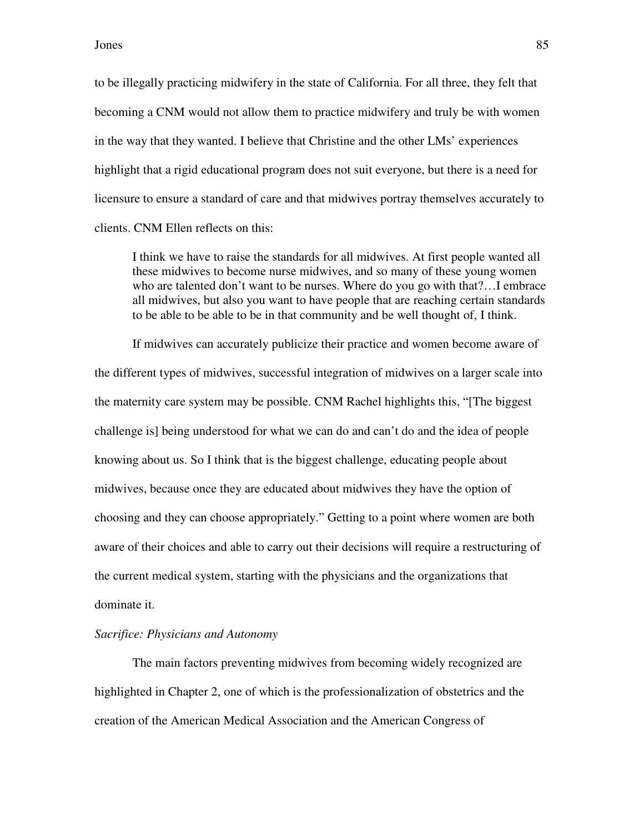to be illegally practicing midwifery in the state of California. For all three, they felt that becoming a CNM would not allow them to practice midwifery and truly be with women in the way that they wanted. I believe that Christine and the other LMs' experiences highlight that a rigid educational program does not suit everyone, but there is a need for licensure to ensure a standard of care and that midwives portray themselves accurately to clients. CNM Ellen reflects on this:

I think we have to raise the standards for all midwives. At first people wanted all these midwives to become nurse midwives, and so many of these young women who are talented don't want to be nurses. Where do you go with that?…I embrace all midwives, but also you want to have people that are reaching certain standards to be able to be able to be in that community and be well thought of, I think.

If midwives can accurately publicize their practice and women become aware of the different types of midwives, successful integration of midwives on a larger scale into the maternity care system may be possible. CNM Rachel highlights this, "[The biggest challenge is] being understood for what we can do and can't do and the idea of people knowing about us. So I think that is the biggest challenge, educating people about midwives, because once they are educated about midwives they have the option of choosing and they can choose appropriately." Getting to a point where women are both aware of their choices and able to carry out their decisions will require a restructuring of the current medical system, starting with the physicians and the organizations that dominate it.

#### *Sacrifice: Physicians and Autonomy*

The main factors preventing midwives from becoming widely recognized are highlighted in Chapter 2, one of which is the professionalization of obstetrics and the creation of the American Medical Association and the American Congress of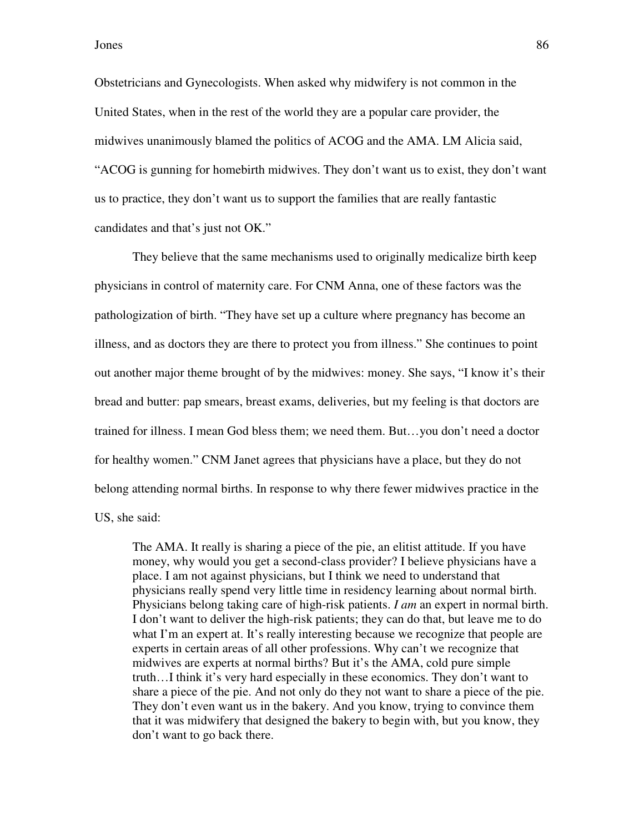Obstetricians and Gynecologists. When asked why midwifery is not common in the United States, when in the rest of the world they are a popular care provider, the midwives unanimously blamed the politics of ACOG and the AMA. LM Alicia said, "ACOG is gunning for homebirth midwives. They don't want us to exist, they don't want us to practice, they don't want us to support the families that are really fantastic candidates and that's just not OK."

They believe that the same mechanisms used to originally medicalize birth keep physicians in control of maternity care. For CNM Anna, one of these factors was the pathologization of birth. "They have set up a culture where pregnancy has become an illness, and as doctors they are there to protect you from illness." She continues to point out another major theme brought of by the midwives: money. She says, "I know it's their bread and butter: pap smears, breast exams, deliveries, but my feeling is that doctors are trained for illness. I mean God bless them; we need them. But…you don't need a doctor for healthy women." CNM Janet agrees that physicians have a place, but they do not belong attending normal births. In response to why there fewer midwives practice in the US, she said:

The AMA. It really is sharing a piece of the pie, an elitist attitude. If you have money, why would you get a second-class provider? I believe physicians have a place. I am not against physicians, but I think we need to understand that physicians really spend very little time in residency learning about normal birth. Physicians belong taking care of high-risk patients. *I am* an expert in normal birth. I don't want to deliver the high-risk patients; they can do that, but leave me to do what I'm an expert at. It's really interesting because we recognize that people are experts in certain areas of all other professions. Why can't we recognize that midwives are experts at normal births? But it's the AMA, cold pure simple truth…I think it's very hard especially in these economics. They don't want to share a piece of the pie. And not only do they not want to share a piece of the pie. They don't even want us in the bakery. And you know, trying to convince them that it was midwifery that designed the bakery to begin with, but you know, they don't want to go back there.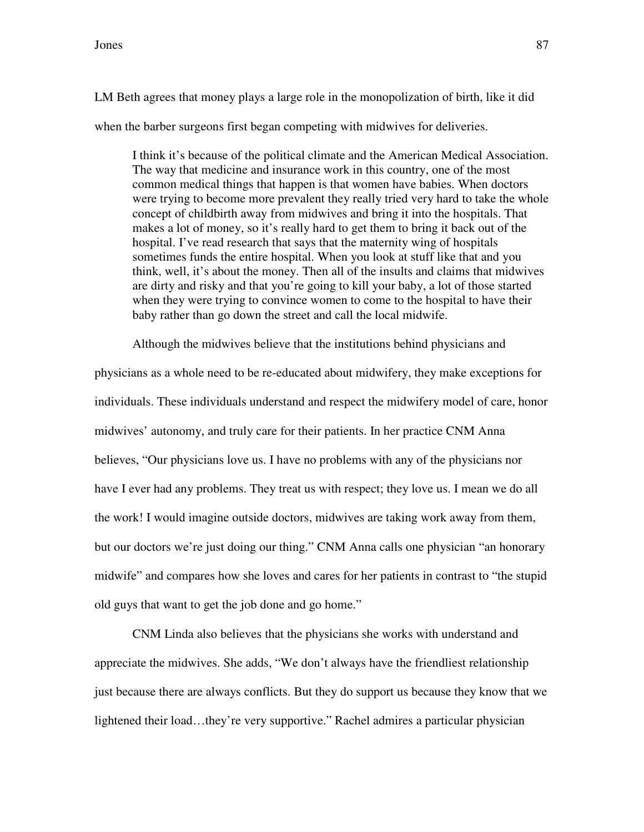LM Beth agrees that money plays a large role in the monopolization of birth, like it did when the barber surgeons first began competing with midwives for deliveries.

I think it's because of the political climate and the American Medical Association. The way that medicine and insurance work in this country, one of the most common medical things that happen is that women have babies. When doctors were trying to become more prevalent they really tried very hard to take the whole concept of childbirth away from midwives and bring it into the hospitals. That makes a lot of money, so it's really hard to get them to bring it back out of the hospital. I've read research that says that the maternity wing of hospitals sometimes funds the entire hospital. When you look at stuff like that and you think, well, it's about the money. Then all of the insults and claims that midwives are dirty and risky and that you're going to kill your baby, a lot of those started when they were trying to convince women to come to the hospital to have their baby rather than go down the street and call the local midwife.

Although the midwives believe that the institutions behind physicians and

physicians as a whole need to be re-educated about midwifery, they make exceptions for individuals. These individuals understand and respect the midwifery model of care, honor midwives' autonomy, and truly care for their patients. In her practice CNM Anna believes, "Our physicians love us. I have no problems with any of the physicians nor have I ever had any problems. They treat us with respect; they love us. I mean we do all the work! I would imagine outside doctors, midwives are taking work away from them, but our doctors we're just doing our thing." CNM Anna calls one physician "an honorary midwife" and compares how she loves and cares for her patients in contrast to "the stupid old guys that want to get the job done and go home."

CNM Linda also believes that the physicians she works with understand and appreciate the midwives. She adds, "We don't always have the friendliest relationship just because there are always conflicts. But they do support us because they know that we lightened their load…they're very supportive." Rachel admires a particular physician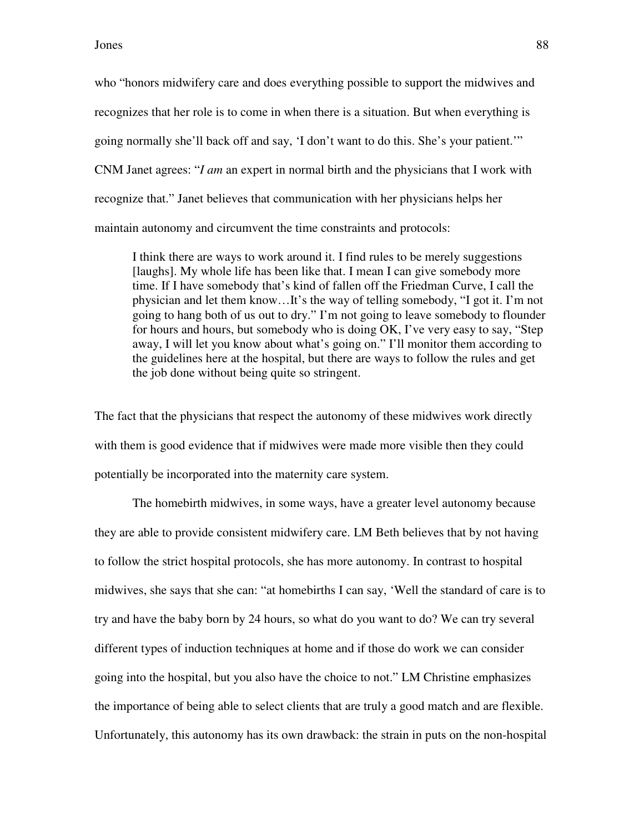who "honors midwifery care and does everything possible to support the midwives and recognizes that her role is to come in when there is a situation. But when everything is going normally she'll back off and say, 'I don't want to do this. She's your patient.'" CNM Janet agrees: "*I am* an expert in normal birth and the physicians that I work with recognize that." Janet believes that communication with her physicians helps her maintain autonomy and circumvent the time constraints and protocols:

I think there are ways to work around it. I find rules to be merely suggestions [laughs]. My whole life has been like that. I mean I can give somebody more time. If I have somebody that's kind of fallen off the Friedman Curve, I call the physician and let them know…It's the way of telling somebody, "I got it. I'm not going to hang both of us out to dry." I'm not going to leave somebody to flounder for hours and hours, but somebody who is doing OK, I've very easy to say, "Step away, I will let you know about what's going on." I'll monitor them according to the guidelines here at the hospital, but there are ways to follow the rules and get the job done without being quite so stringent.

The fact that the physicians that respect the autonomy of these midwives work directly with them is good evidence that if midwives were made more visible then they could potentially be incorporated into the maternity care system.

The homebirth midwives, in some ways, have a greater level autonomy because they are able to provide consistent midwifery care. LM Beth believes that by not having to follow the strict hospital protocols, she has more autonomy. In contrast to hospital midwives, she says that she can: "at homebirths I can say, 'Well the standard of care is to try and have the baby born by 24 hours, so what do you want to do? We can try several different types of induction techniques at home and if those do work we can consider going into the hospital, but you also have the choice to not." LM Christine emphasizes the importance of being able to select clients that are truly a good match and are flexible. Unfortunately, this autonomy has its own drawback: the strain in puts on the non-hospital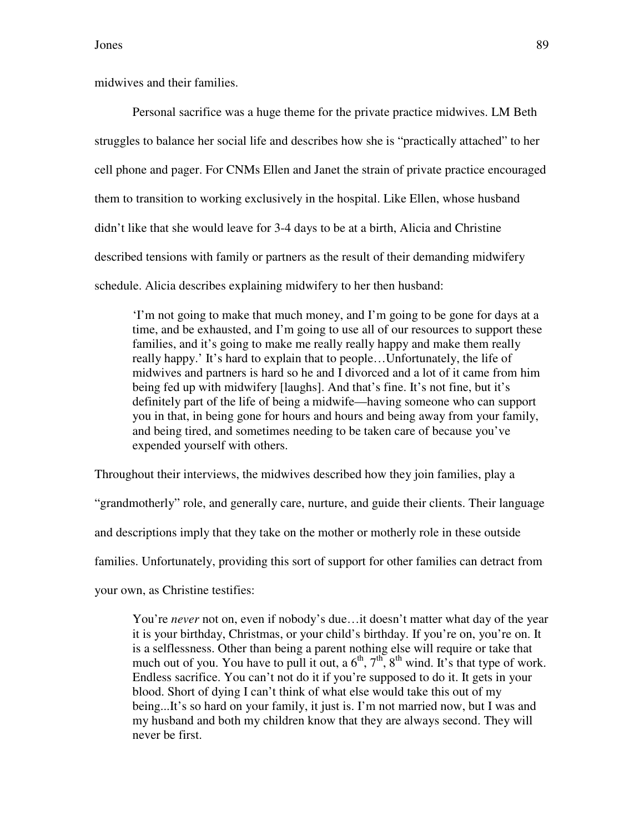midwives and their families.

Personal sacrifice was a huge theme for the private practice midwives. LM Beth struggles to balance her social life and describes how she is "practically attached" to her cell phone and pager. For CNMs Ellen and Janet the strain of private practice encouraged them to transition to working exclusively in the hospital. Like Ellen, whose husband didn't like that she would leave for 3-4 days to be at a birth, Alicia and Christine described tensions with family or partners as the result of their demanding midwifery schedule. Alicia describes explaining midwifery to her then husband:

'I'm not going to make that much money, and I'm going to be gone for days at a time, and be exhausted, and I'm going to use all of our resources to support these families, and it's going to make me really really happy and make them really really happy.' It's hard to explain that to people…Unfortunately, the life of midwives and partners is hard so he and I divorced and a lot of it came from him being fed up with midwifery [laughs]. And that's fine. It's not fine, but it's definitely part of the life of being a midwife—having someone who can support you in that, in being gone for hours and hours and being away from your family, and being tired, and sometimes needing to be taken care of because you've expended yourself with others.

Throughout their interviews, the midwives described how they join families, play a

"grandmotherly" role, and generally care, nurture, and guide their clients. Their language

and descriptions imply that they take on the mother or motherly role in these outside

families. Unfortunately, providing this sort of support for other families can detract from

your own, as Christine testifies:

You're *never* not on, even if nobody's due...it doesn't matter what day of the year it is your birthday, Christmas, or your child's birthday. If you're on, you're on. It is a selflessness. Other than being a parent nothing else will require or take that much out of you. You have to pull it out, a  $6<sup>th</sup>$ ,  $7<sup>th</sup>$ ,  $8<sup>th</sup>$  wind. It's that type of work. Endless sacrifice. You can't not do it if you're supposed to do it. It gets in your blood. Short of dying I can't think of what else would take this out of my being...It's so hard on your family, it just is. I'm not married now, but I was and my husband and both my children know that they are always second. They will never be first.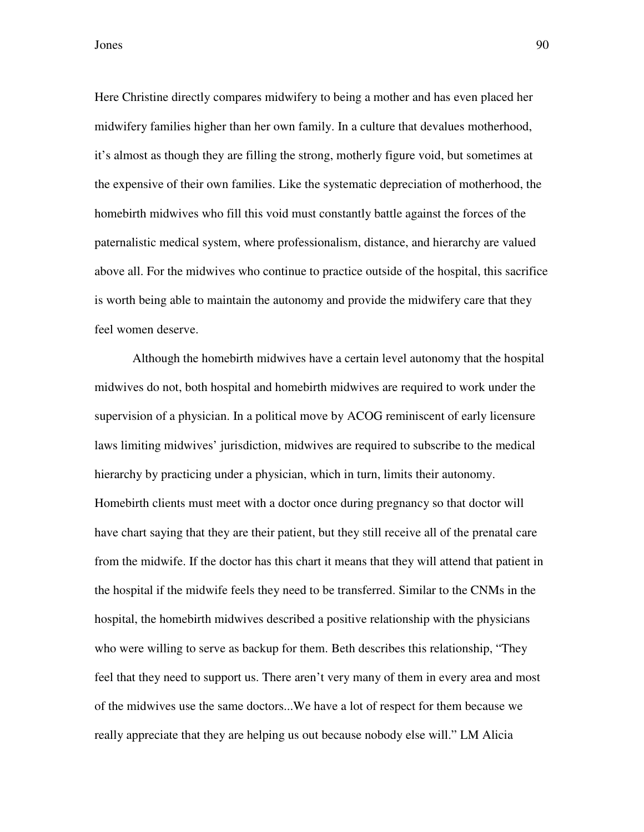Here Christine directly compares midwifery to being a mother and has even placed her midwifery families higher than her own family. In a culture that devalues motherhood, it's almost as though they are filling the strong, motherly figure void, but sometimes at the expensive of their own families. Like the systematic depreciation of motherhood, the homebirth midwives who fill this void must constantly battle against the forces of the paternalistic medical system, where professionalism, distance, and hierarchy are valued above all. For the midwives who continue to practice outside of the hospital, this sacrifice is worth being able to maintain the autonomy and provide the midwifery care that they feel women deserve.

Although the homebirth midwives have a certain level autonomy that the hospital midwives do not, both hospital and homebirth midwives are required to work under the supervision of a physician. In a political move by ACOG reminiscent of early licensure laws limiting midwives' jurisdiction, midwives are required to subscribe to the medical hierarchy by practicing under a physician, which in turn, limits their autonomy. Homebirth clients must meet with a doctor once during pregnancy so that doctor will have chart saying that they are their patient, but they still receive all of the prenatal care from the midwife. If the doctor has this chart it means that they will attend that patient in the hospital if the midwife feels they need to be transferred. Similar to the CNMs in the hospital, the homebirth midwives described a positive relationship with the physicians who were willing to serve as backup for them. Beth describes this relationship, "They feel that they need to support us. There aren't very many of them in every area and most of the midwives use the same doctors...We have a lot of respect for them because we really appreciate that they are helping us out because nobody else will." LM Alicia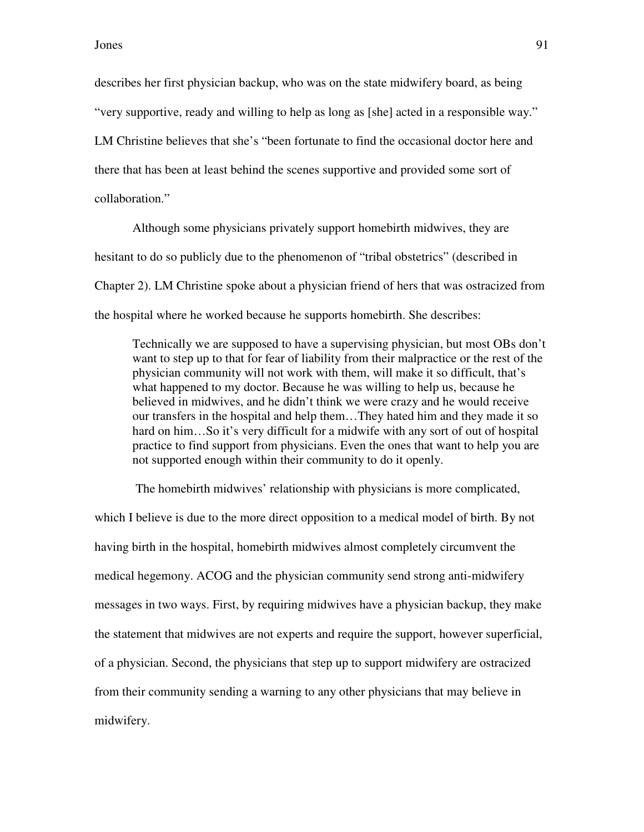describes her first physician backup, who was on the state midwifery board, as being "very supportive, ready and willing to help as long as [she] acted in a responsible way." LM Christine believes that she's "been fortunate to find the occasional doctor here and there that has been at least behind the scenes supportive and provided some sort of collaboration."

Although some physicians privately support homebirth midwives, they are hesitant to do so publicly due to the phenomenon of "tribal obstetrics" (described in Chapter 2). LM Christine spoke about a physician friend of hers that was ostracized from the hospital where he worked because he supports homebirth. She describes:

Technically we are supposed to have a supervising physician, but most OBs don't want to step up to that for fear of liability from their malpractice or the rest of the physician community will not work with them, will make it so difficult, that's what happened to my doctor. Because he was willing to help us, because he believed in midwives, and he didn't think we were crazy and he would receive our transfers in the hospital and help them…They hated him and they made it so hard on him...So it's very difficult for a midwife with any sort of out of hospital practice to find support from physicians. Even the ones that want to help you are not supported enough within their community to do it openly.

 The homebirth midwives' relationship with physicians is more complicated, which I believe is due to the more direct opposition to a medical model of birth. By not having birth in the hospital, homebirth midwives almost completely circumvent the medical hegemony. ACOG and the physician community send strong anti-midwifery messages in two ways. First, by requiring midwives have a physician backup, they make the statement that midwives are not experts and require the support, however superficial, of a physician. Second, the physicians that step up to support midwifery are ostracized from their community sending a warning to any other physicians that may believe in midwifery.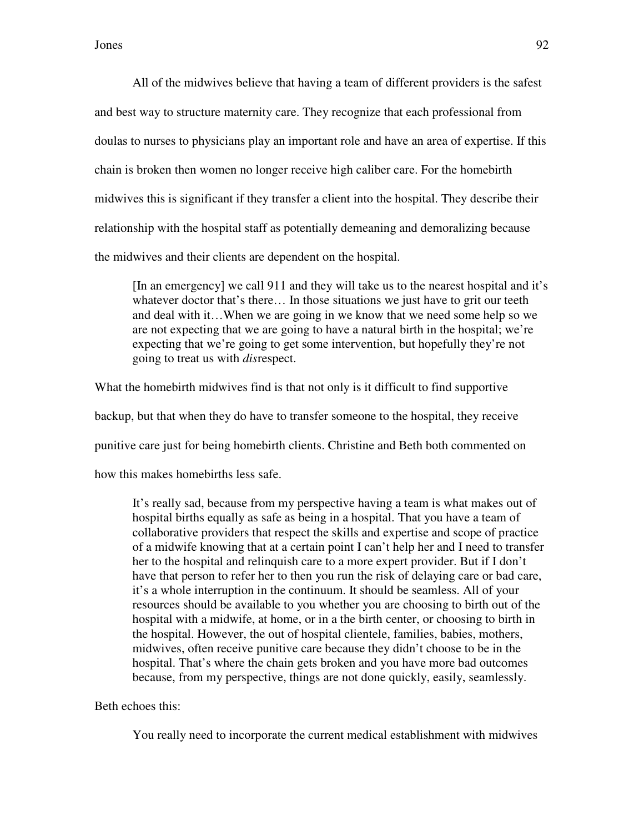All of the midwives believe that having a team of different providers is the safest and best way to structure maternity care. They recognize that each professional from doulas to nurses to physicians play an important role and have an area of expertise. If this chain is broken then women no longer receive high caliber care. For the homebirth midwives this is significant if they transfer a client into the hospital. They describe their relationship with the hospital staff as potentially demeaning and demoralizing because the midwives and their clients are dependent on the hospital.

[In an emergency] we call 911 and they will take us to the nearest hospital and it's whatever doctor that's there... In those situations we just have to grit our teeth and deal with it…When we are going in we know that we need some help so we are not expecting that we are going to have a natural birth in the hospital; we're expecting that we're going to get some intervention, but hopefully they're not going to treat us with *dis*respect.

What the homebirth midwives find is that not only is it difficult to find supportive backup, but that when they do have to transfer someone to the hospital, they receive punitive care just for being homebirth clients. Christine and Beth both commented on how this makes homebirths less safe.

It's really sad, because from my perspective having a team is what makes out of hospital births equally as safe as being in a hospital. That you have a team of collaborative providers that respect the skills and expertise and scope of practice of a midwife knowing that at a certain point I can't help her and I need to transfer her to the hospital and relinquish care to a more expert provider. But if I don't have that person to refer her to then you run the risk of delaying care or bad care, it's a whole interruption in the continuum. It should be seamless. All of your resources should be available to you whether you are choosing to birth out of the hospital with a midwife, at home, or in a the birth center, or choosing to birth in the hospital. However, the out of hospital clientele, families, babies, mothers, midwives, often receive punitive care because they didn't choose to be in the hospital. That's where the chain gets broken and you have more bad outcomes because, from my perspective, things are not done quickly, easily, seamlessly.

Beth echoes this:

You really need to incorporate the current medical establishment with midwives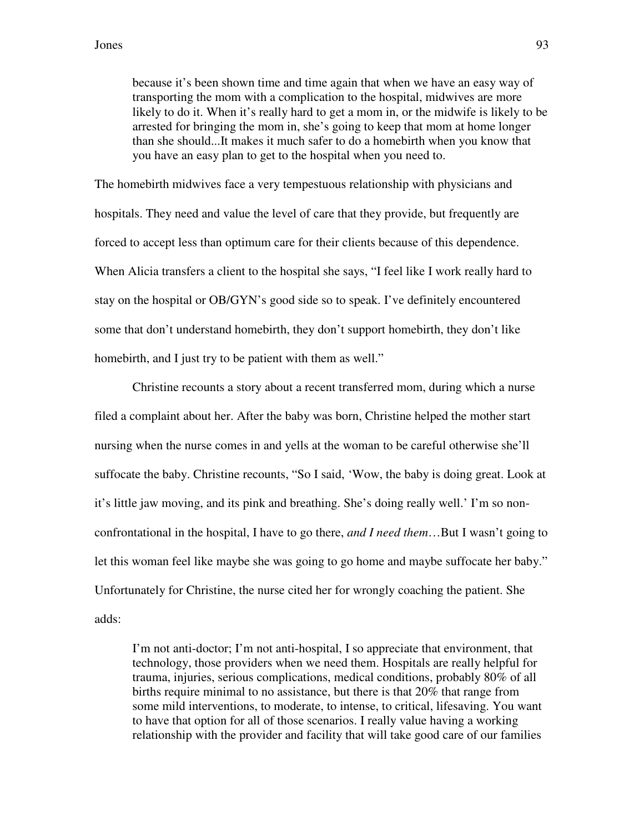because it's been shown time and time again that when we have an easy way of transporting the mom with a complication to the hospital, midwives are more likely to do it. When it's really hard to get a mom in, or the midwife is likely to be arrested for bringing the mom in, she's going to keep that mom at home longer than she should...It makes it much safer to do a homebirth when you know that you have an easy plan to get to the hospital when you need to.

The homebirth midwives face a very tempestuous relationship with physicians and hospitals. They need and value the level of care that they provide, but frequently are forced to accept less than optimum care for their clients because of this dependence. When Alicia transfers a client to the hospital she says, "I feel like I work really hard to stay on the hospital or OB/GYN's good side so to speak. I've definitely encountered some that don't understand homebirth, they don't support homebirth, they don't like homebirth, and I just try to be patient with them as well."

Christine recounts a story about a recent transferred mom, during which a nurse filed a complaint about her. After the baby was born, Christine helped the mother start nursing when the nurse comes in and yells at the woman to be careful otherwise she'll suffocate the baby. Christine recounts, "So I said, 'Wow, the baby is doing great. Look at it's little jaw moving, and its pink and breathing. She's doing really well.' I'm so nonconfrontational in the hospital, I have to go there, *and I need them*…But I wasn't going to let this woman feel like maybe she was going to go home and maybe suffocate her baby." Unfortunately for Christine, the nurse cited her for wrongly coaching the patient. She adds:

I'm not anti-doctor; I'm not anti-hospital, I so appreciate that environment, that technology, those providers when we need them. Hospitals are really helpful for trauma, injuries, serious complications, medical conditions, probably 80% of all births require minimal to no assistance, but there is that 20% that range from some mild interventions, to moderate, to intense, to critical, lifesaving. You want to have that option for all of those scenarios. I really value having a working relationship with the provider and facility that will take good care of our families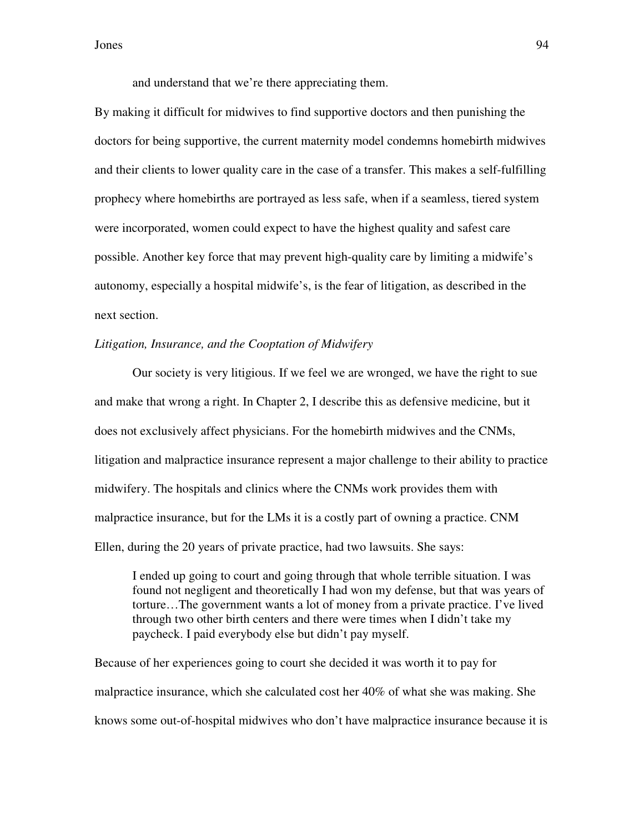and understand that we're there appreciating them.

By making it difficult for midwives to find supportive doctors and then punishing the doctors for being supportive, the current maternity model condemns homebirth midwives and their clients to lower quality care in the case of a transfer. This makes a self-fulfilling prophecy where homebirths are portrayed as less safe, when if a seamless, tiered system were incorporated, women could expect to have the highest quality and safest care possible. Another key force that may prevent high-quality care by limiting a midwife's autonomy, especially a hospital midwife's, is the fear of litigation, as described in the next section.

## *Litigation, Insurance, and the Cooptation of Midwifery*

 Our society is very litigious. If we feel we are wronged, we have the right to sue and make that wrong a right. In Chapter 2, I describe this as defensive medicine, but it does not exclusively affect physicians. For the homebirth midwives and the CNMs, litigation and malpractice insurance represent a major challenge to their ability to practice midwifery. The hospitals and clinics where the CNMs work provides them with malpractice insurance, but for the LMs it is a costly part of owning a practice. CNM Ellen, during the 20 years of private practice, had two lawsuits. She says:

I ended up going to court and going through that whole terrible situation. I was found not negligent and theoretically I had won my defense, but that was years of torture…The government wants a lot of money from a private practice. I've lived through two other birth centers and there were times when I didn't take my paycheck. I paid everybody else but didn't pay myself.

Because of her experiences going to court she decided it was worth it to pay for malpractice insurance, which she calculated cost her 40% of what she was making. She knows some out-of-hospital midwives who don't have malpractice insurance because it is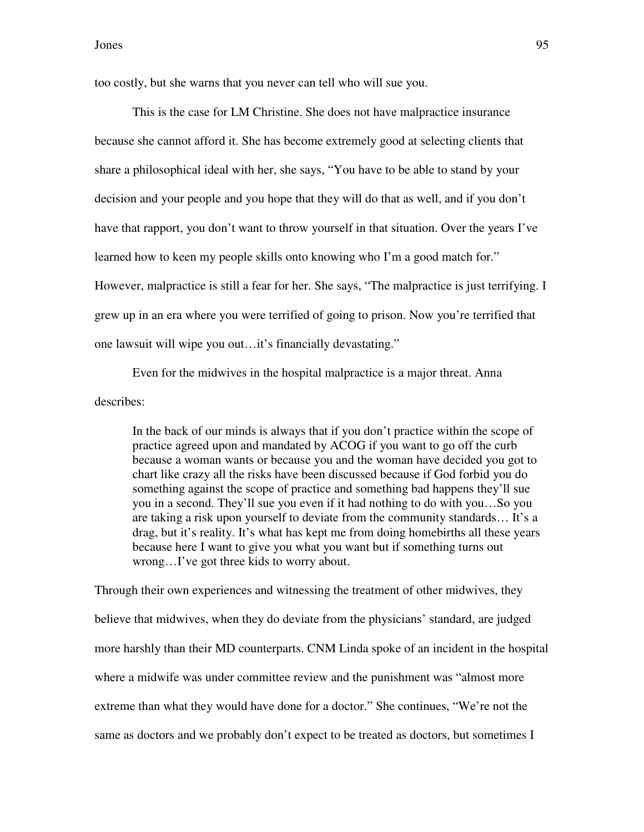too costly, but she warns that you never can tell who will sue you.

 This is the case for LM Christine. She does not have malpractice insurance because she cannot afford it. She has become extremely good at selecting clients that share a philosophical ideal with her, she says, "You have to be able to stand by your decision and your people and you hope that they will do that as well, and if you don't have that rapport, you don't want to throw yourself in that situation. Over the years I've learned how to keen my people skills onto knowing who I'm a good match for." However, malpractice is still a fear for her. She says, "The malpractice is just terrifying. I grew up in an era where you were terrified of going to prison. Now you're terrified that one lawsuit will wipe you out…it's financially devastating."

Even for the midwives in the hospital malpractice is a major threat. Anna describes:

In the back of our minds is always that if you don't practice within the scope of practice agreed upon and mandated by ACOG if you want to go off the curb because a woman wants or because you and the woman have decided you got to chart like crazy all the risks have been discussed because if God forbid you do something against the scope of practice and something bad happens they'll sue you in a second. They'll sue you even if it had nothing to do with you…So you are taking a risk upon yourself to deviate from the community standards… It's a drag, but it's reality. It's what has kept me from doing homebirths all these years because here I want to give you what you want but if something turns out wrong…I've got three kids to worry about.

Through their own experiences and witnessing the treatment of other midwives, they believe that midwives, when they do deviate from the physicians' standard, are judged more harshly than their MD counterparts. CNM Linda spoke of an incident in the hospital where a midwife was under committee review and the punishment was "almost more extreme than what they would have done for a doctor." She continues, "We're not the same as doctors and we probably don't expect to be treated as doctors, but sometimes I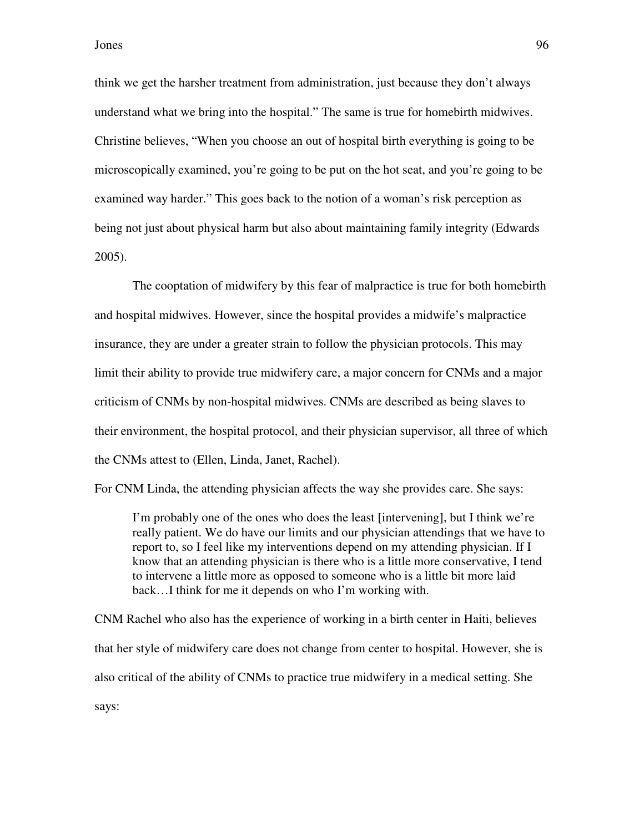think we get the harsher treatment from administration, just because they don't always understand what we bring into the hospital." The same is true for homebirth midwives. Christine believes, "When you choose an out of hospital birth everything is going to be microscopically examined, you're going to be put on the hot seat, and you're going to be examined way harder." This goes back to the notion of a woman's risk perception as being not just about physical harm but also about maintaining family integrity (Edwards 2005).

 The cooptation of midwifery by this fear of malpractice is true for both homebirth and hospital midwives. However, since the hospital provides a midwife's malpractice insurance, they are under a greater strain to follow the physician protocols. This may limit their ability to provide true midwifery care, a major concern for CNMs and a major criticism of CNMs by non-hospital midwives. CNMs are described as being slaves to their environment, the hospital protocol, and their physician supervisor, all three of which the CNMs attest to (Ellen, Linda, Janet, Rachel).

For CNM Linda, the attending physician affects the way she provides care. She says:

I'm probably one of the ones who does the least [intervening], but I think we're really patient. We do have our limits and our physician attendings that we have to report to, so I feel like my interventions depend on my attending physician. If I know that an attending physician is there who is a little more conservative, I tend to intervene a little more as opposed to someone who is a little bit more laid back…I think for me it depends on who I'm working with.

CNM Rachel who also has the experience of working in a birth center in Haiti, believes that her style of midwifery care does not change from center to hospital. However, she is also critical of the ability of CNMs to practice true midwifery in a medical setting. She says: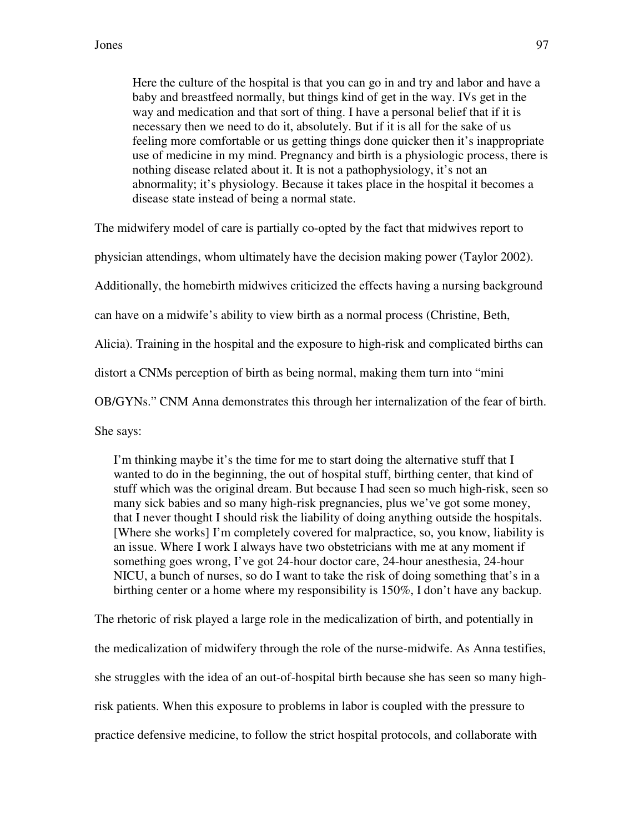Here the culture of the hospital is that you can go in and try and labor and have a baby and breastfeed normally, but things kind of get in the way. IVs get in the way and medication and that sort of thing. I have a personal belief that if it is necessary then we need to do it, absolutely. But if it is all for the sake of us feeling more comfortable or us getting things done quicker then it's inappropriate use of medicine in my mind. Pregnancy and birth is a physiologic process, there is nothing disease related about it. It is not a pathophysiology, it's not an abnormality; it's physiology. Because it takes place in the hospital it becomes a disease state instead of being a normal state.

The midwifery model of care is partially co-opted by the fact that midwives report to

physician attendings, whom ultimately have the decision making power (Taylor 2002).

Additionally, the homebirth midwives criticized the effects having a nursing background

can have on a midwife's ability to view birth as a normal process (Christine, Beth,

Alicia). Training in the hospital and the exposure to high-risk and complicated births can

distort a CNMs perception of birth as being normal, making them turn into "mini

OB/GYNs." CNM Anna demonstrates this through her internalization of the fear of birth.

She says:

I'm thinking maybe it's the time for me to start doing the alternative stuff that I wanted to do in the beginning, the out of hospital stuff, birthing center, that kind of stuff which was the original dream. But because I had seen so much high-risk, seen so many sick babies and so many high-risk pregnancies, plus we've got some money, that I never thought I should risk the liability of doing anything outside the hospitals. [Where she works] I'm completely covered for malpractice, so, you know, liability is an issue. Where I work I always have two obstetricians with me at any moment if something goes wrong, I've got 24-hour doctor care, 24-hour anesthesia, 24-hour NICU, a bunch of nurses, so do I want to take the risk of doing something that's in a birthing center or a home where my responsibility is 150%, I don't have any backup.

The rhetoric of risk played a large role in the medicalization of birth, and potentially in the medicalization of midwifery through the role of the nurse-midwife. As Anna testifies, she struggles with the idea of an out-of-hospital birth because she has seen so many highrisk patients. When this exposure to problems in labor is coupled with the pressure to practice defensive medicine, to follow the strict hospital protocols, and collaborate with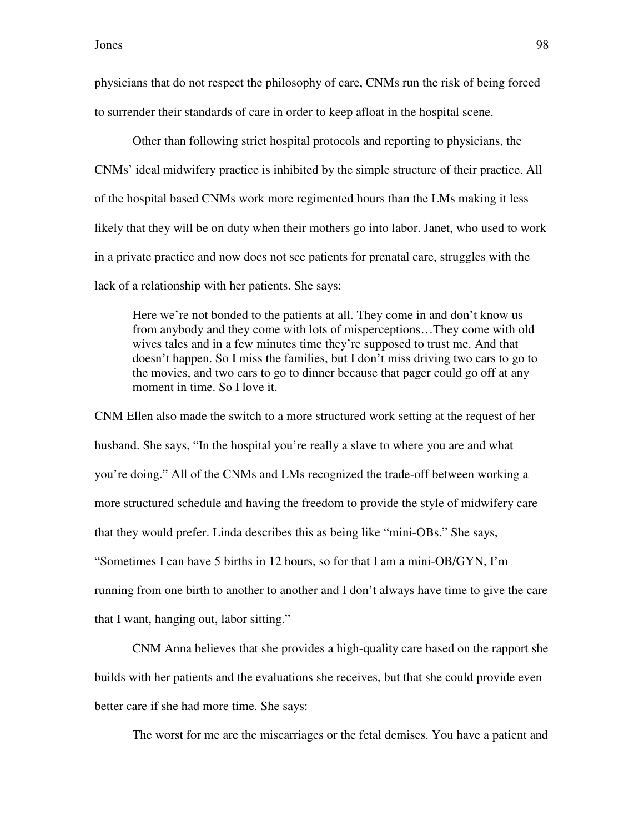physicians that do not respect the philosophy of care, CNMs run the risk of being forced to surrender their standards of care in order to keep afloat in the hospital scene.

Other than following strict hospital protocols and reporting to physicians, the CNMs' ideal midwifery practice is inhibited by the simple structure of their practice. All of the hospital based CNMs work more regimented hours than the LMs making it less likely that they will be on duty when their mothers go into labor. Janet, who used to work in a private practice and now does not see patients for prenatal care, struggles with the lack of a relationship with her patients. She says:

Here we're not bonded to the patients at all. They come in and don't know us from anybody and they come with lots of misperceptions…They come with old wives tales and in a few minutes time they're supposed to trust me. And that doesn't happen. So I miss the families, but I don't miss driving two cars to go to the movies, and two cars to go to dinner because that pager could go off at any moment in time. So I love it.

CNM Ellen also made the switch to a more structured work setting at the request of her husband. She says, "In the hospital you're really a slave to where you are and what you're doing." All of the CNMs and LMs recognized the trade-off between working a more structured schedule and having the freedom to provide the style of midwifery care that they would prefer. Linda describes this as being like "mini-OBs." She says, "Sometimes I can have 5 births in 12 hours, so for that I am a mini-OB/GYN, I'm running from one birth to another to another and I don't always have time to give the care that I want, hanging out, labor sitting."

CNM Anna believes that she provides a high-quality care based on the rapport she builds with her patients and the evaluations she receives, but that she could provide even better care if she had more time. She says:

The worst for me are the miscarriages or the fetal demises. You have a patient and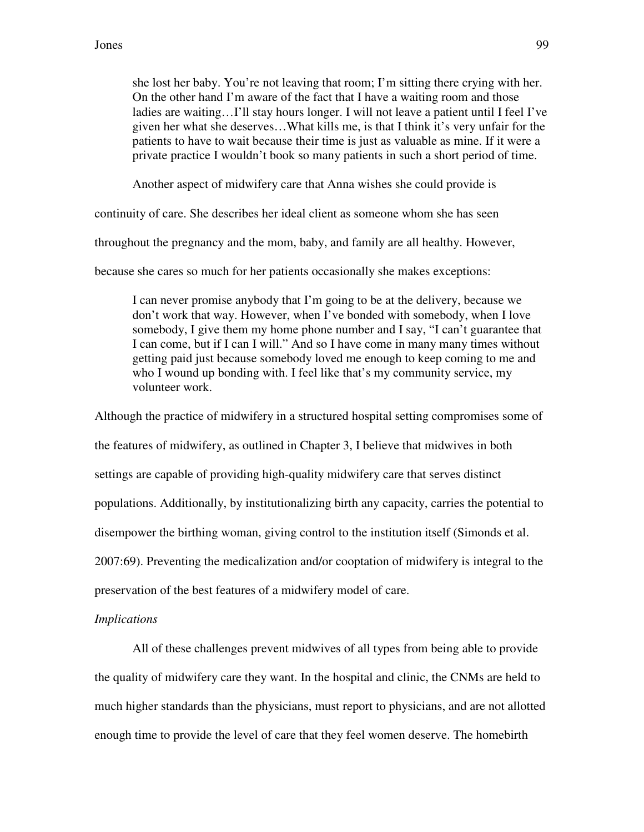she lost her baby. You're not leaving that room; I'm sitting there crying with her. On the other hand I'm aware of the fact that I have a waiting room and those ladies are waiting…I'll stay hours longer. I will not leave a patient until I feel I've given her what she deserves…What kills me, is that I think it's very unfair for the patients to have to wait because their time is just as valuable as mine. If it were a private practice I wouldn't book so many patients in such a short period of time.

Another aspect of midwifery care that Anna wishes she could provide is

continuity of care. She describes her ideal client as someone whom she has seen

throughout the pregnancy and the mom, baby, and family are all healthy. However,

because she cares so much for her patients occasionally she makes exceptions:

I can never promise anybody that I'm going to be at the delivery, because we don't work that way. However, when I've bonded with somebody, when I love somebody, I give them my home phone number and I say, "I can't guarantee that I can come, but if I can I will." And so I have come in many many times without getting paid just because somebody loved me enough to keep coming to me and who I wound up bonding with. I feel like that's my community service, my volunteer work.

Although the practice of midwifery in a structured hospital setting compromises some of the features of midwifery, as outlined in Chapter 3, I believe that midwives in both settings are capable of providing high-quality midwifery care that serves distinct populations. Additionally, by institutionalizing birth any capacity, carries the potential to disempower the birthing woman, giving control to the institution itself (Simonds et al. 2007:69). Preventing the medicalization and/or cooptation of midwifery is integral to the preservation of the best features of a midwifery model of care.

#### *Implications*

 All of these challenges prevent midwives of all types from being able to provide the quality of midwifery care they want. In the hospital and clinic, the CNMs are held to much higher standards than the physicians, must report to physicians, and are not allotted enough time to provide the level of care that they feel women deserve. The homebirth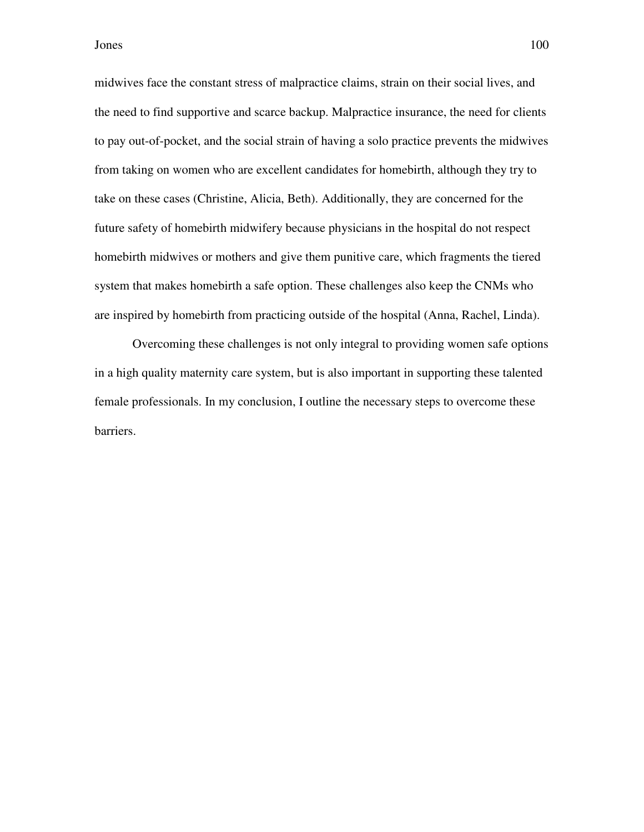midwives face the constant stress of malpractice claims, strain on their social lives, and the need to find supportive and scarce backup. Malpractice insurance, the need for clients to pay out-of-pocket, and the social strain of having a solo practice prevents the midwives from taking on women who are excellent candidates for homebirth, although they try to take on these cases (Christine, Alicia, Beth). Additionally, they are concerned for the future safety of homebirth midwifery because physicians in the hospital do not respect homebirth midwives or mothers and give them punitive care, which fragments the tiered system that makes homebirth a safe option. These challenges also keep the CNMs who are inspired by homebirth from practicing outside of the hospital (Anna, Rachel, Linda).

 Overcoming these challenges is not only integral to providing women safe options in a high quality maternity care system, but is also important in supporting these talented female professionals. In my conclusion, I outline the necessary steps to overcome these barriers.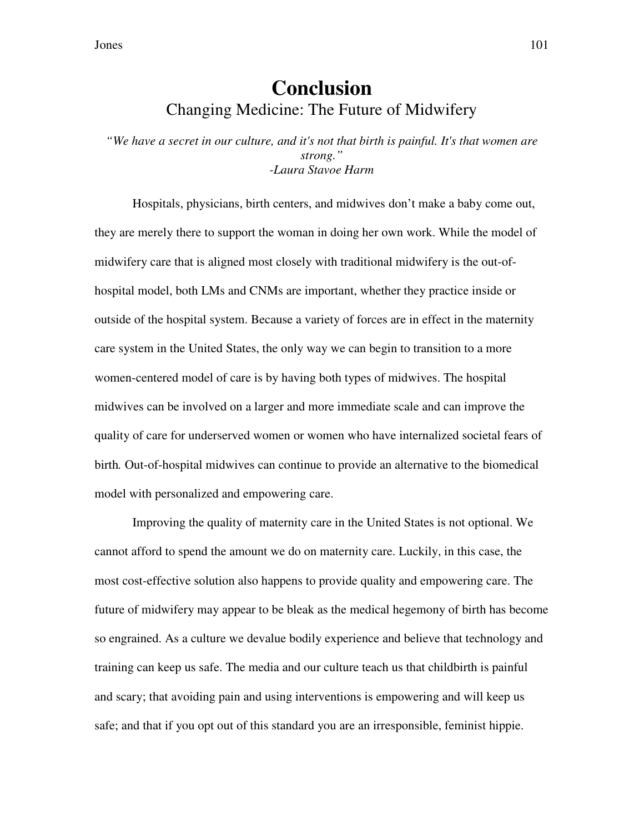# **Conclusion**  Changing Medicine: The Future of Midwifery

*"We have a secret in our culture, and it's not that birth is painful. It's that women are strong." -Laura Stavoe Harm*

Hospitals, physicians, birth centers, and midwives don't make a baby come out, they are merely there to support the woman in doing her own work. While the model of midwifery care that is aligned most closely with traditional midwifery is the out-ofhospital model, both LMs and CNMs are important, whether they practice inside or outside of the hospital system. Because a variety of forces are in effect in the maternity care system in the United States, the only way we can begin to transition to a more women-centered model of care is by having both types of midwives. The hospital midwives can be involved on a larger and more immediate scale and can improve the quality of care for underserved women or women who have internalized societal fears of birth*.* Out-of-hospital midwives can continue to provide an alternative to the biomedical model with personalized and empowering care.

Improving the quality of maternity care in the United States is not optional. We cannot afford to spend the amount we do on maternity care. Luckily, in this case, the most cost-effective solution also happens to provide quality and empowering care. The future of midwifery may appear to be bleak as the medical hegemony of birth has become so engrained. As a culture we devalue bodily experience and believe that technology and training can keep us safe. The media and our culture teach us that childbirth is painful and scary; that avoiding pain and using interventions is empowering and will keep us safe; and that if you opt out of this standard you are an irresponsible, feminist hippie.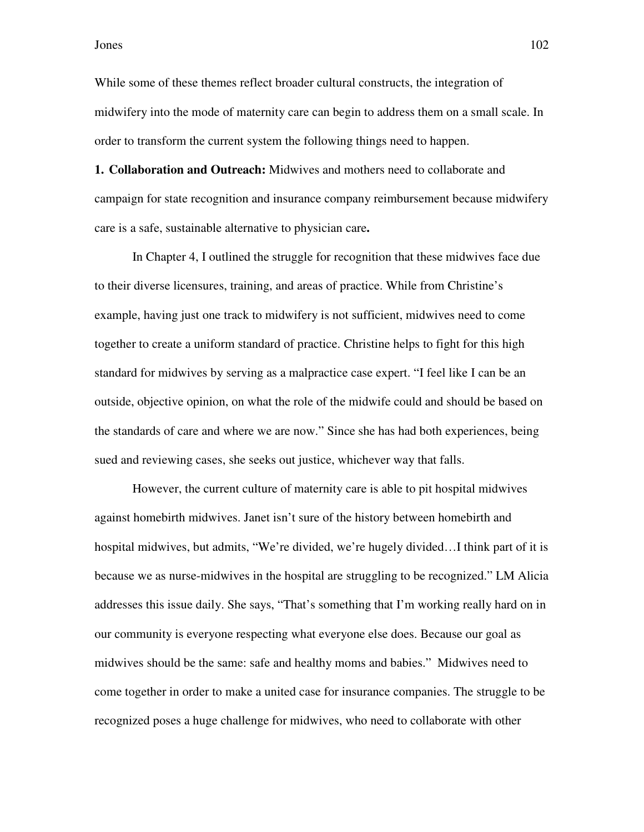While some of these themes reflect broader cultural constructs, the integration of midwifery into the mode of maternity care can begin to address them on a small scale. In order to transform the current system the following things need to happen.

**1. Collaboration and Outreach:** Midwives and mothers need to collaborate and campaign for state recognition and insurance company reimbursement because midwifery care is a safe, sustainable alternative to physician care**.** 

In Chapter 4, I outlined the struggle for recognition that these midwives face due to their diverse licensures, training, and areas of practice. While from Christine's example, having just one track to midwifery is not sufficient, midwives need to come together to create a uniform standard of practice. Christine helps to fight for this high standard for midwives by serving as a malpractice case expert. "I feel like I can be an outside, objective opinion, on what the role of the midwife could and should be based on the standards of care and where we are now." Since she has had both experiences, being sued and reviewing cases, she seeks out justice, whichever way that falls.

 However, the current culture of maternity care is able to pit hospital midwives against homebirth midwives. Janet isn't sure of the history between homebirth and hospital midwives, but admits, "We're divided, we're hugely divided…I think part of it is because we as nurse-midwives in the hospital are struggling to be recognized." LM Alicia addresses this issue daily. She says, "That's something that I'm working really hard on in our community is everyone respecting what everyone else does. Because our goal as midwives should be the same: safe and healthy moms and babies." Midwives need to come together in order to make a united case for insurance companies. The struggle to be recognized poses a huge challenge for midwives, who need to collaborate with other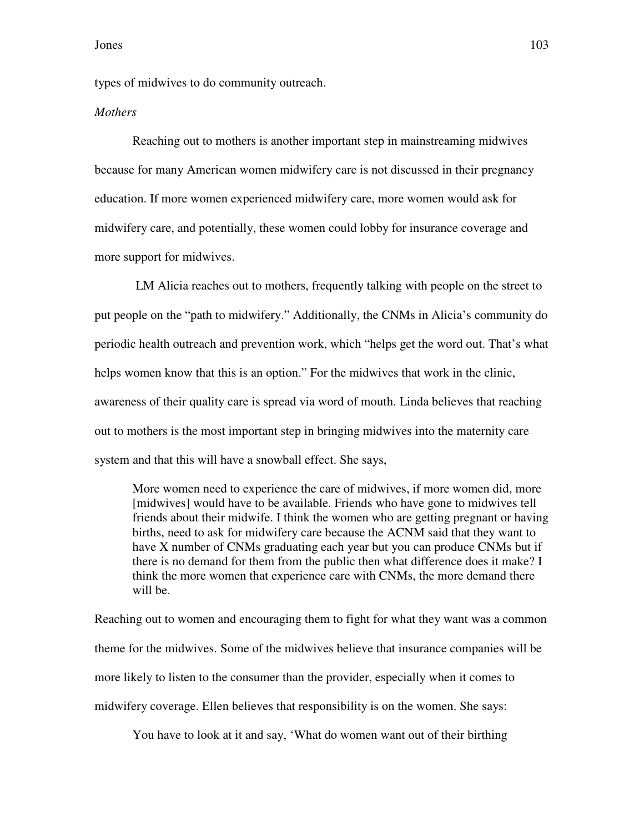types of midwives to do community outreach.

### *Mothers*

Reaching out to mothers is another important step in mainstreaming midwives because for many American women midwifery care is not discussed in their pregnancy education. If more women experienced midwifery care, more women would ask for midwifery care, and potentially, these women could lobby for insurance coverage and more support for midwives.

 LM Alicia reaches out to mothers, frequently talking with people on the street to put people on the "path to midwifery." Additionally, the CNMs in Alicia's community do periodic health outreach and prevention work, which "helps get the word out. That's what helps women know that this is an option." For the midwives that work in the clinic, awareness of their quality care is spread via word of mouth. Linda believes that reaching out to mothers is the most important step in bringing midwives into the maternity care system and that this will have a snowball effect. She says,

More women need to experience the care of midwives, if more women did, more [midwives] would have to be available. Friends who have gone to midwives tell friends about their midwife. I think the women who are getting pregnant or having births, need to ask for midwifery care because the ACNM said that they want to have X number of CNMs graduating each year but you can produce CNMs but if there is no demand for them from the public then what difference does it make? I think the more women that experience care with CNMs, the more demand there will be.

Reaching out to women and encouraging them to fight for what they want was a common theme for the midwives. Some of the midwives believe that insurance companies will be more likely to listen to the consumer than the provider, especially when it comes to midwifery coverage. Ellen believes that responsibility is on the women. She says:

You have to look at it and say, 'What do women want out of their birthing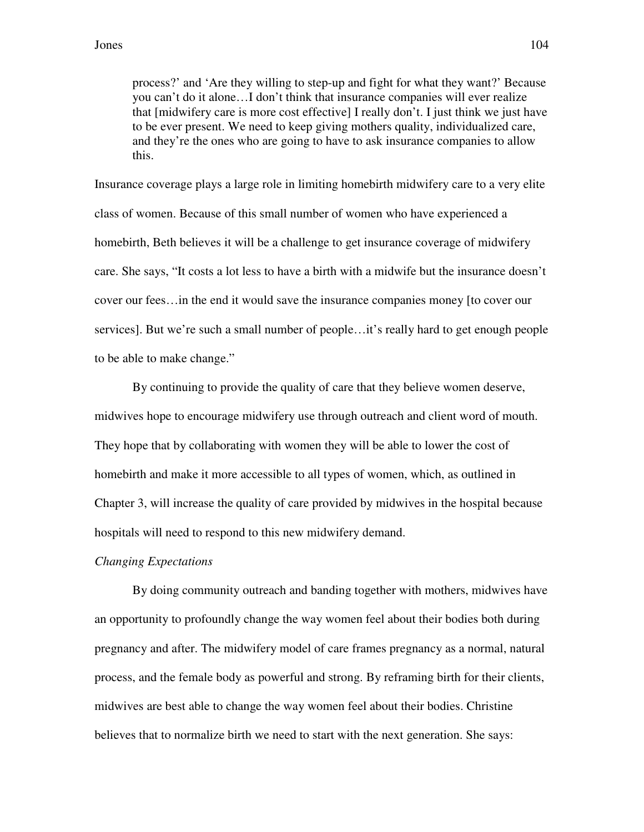process?' and 'Are they willing to step-up and fight for what they want?' Because you can't do it alone…I don't think that insurance companies will ever realize that [midwifery care is more cost effective] I really don't. I just think we just have to be ever present. We need to keep giving mothers quality, individualized care, and they're the ones who are going to have to ask insurance companies to allow this.

Insurance coverage plays a large role in limiting homebirth midwifery care to a very elite class of women. Because of this small number of women who have experienced a homebirth, Beth believes it will be a challenge to get insurance coverage of midwifery care. She says, "It costs a lot less to have a birth with a midwife but the insurance doesn't cover our fees…in the end it would save the insurance companies money [to cover our services]. But we're such a small number of people…it's really hard to get enough people to be able to make change."

 By continuing to provide the quality of care that they believe women deserve, midwives hope to encourage midwifery use through outreach and client word of mouth. They hope that by collaborating with women they will be able to lower the cost of homebirth and make it more accessible to all types of women, which, as outlined in Chapter 3, will increase the quality of care provided by midwives in the hospital because hospitals will need to respond to this new midwifery demand.

#### *Changing Expectations*

 By doing community outreach and banding together with mothers, midwives have an opportunity to profoundly change the way women feel about their bodies both during pregnancy and after. The midwifery model of care frames pregnancy as a normal, natural process, and the female body as powerful and strong. By reframing birth for their clients, midwives are best able to change the way women feel about their bodies. Christine believes that to normalize birth we need to start with the next generation. She says: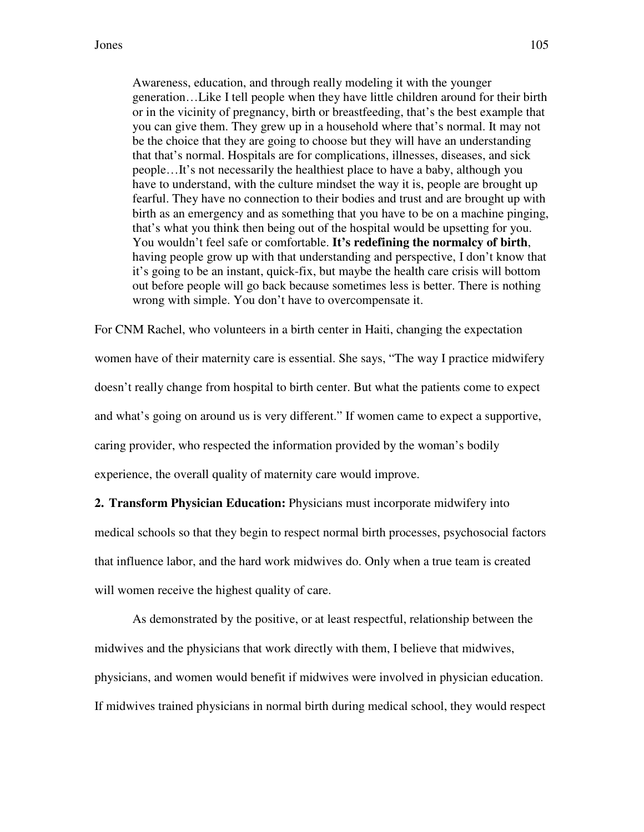Awareness, education, and through really modeling it with the younger generation…Like I tell people when they have little children around for their birth or in the vicinity of pregnancy, birth or breastfeeding, that's the best example that you can give them. They grew up in a household where that's normal. It may not be the choice that they are going to choose but they will have an understanding that that's normal. Hospitals are for complications, illnesses, diseases, and sick people…It's not necessarily the healthiest place to have a baby, although you have to understand, with the culture mindset the way it is, people are brought up fearful. They have no connection to their bodies and trust and are brought up with birth as an emergency and as something that you have to be on a machine pinging, that's what you think then being out of the hospital would be upsetting for you. You wouldn't feel safe or comfortable. **It's redefining the normalcy of birth**, having people grow up with that understanding and perspective, I don't know that it's going to be an instant, quick-fix, but maybe the health care crisis will bottom out before people will go back because sometimes less is better. There is nothing wrong with simple. You don't have to overcompensate it.

For CNM Rachel, who volunteers in a birth center in Haiti, changing the expectation women have of their maternity care is essential. She says, "The way I practice midwifery doesn't really change from hospital to birth center. But what the patients come to expect and what's going on around us is very different." If women came to expect a supportive, caring provider, who respected the information provided by the woman's bodily experience, the overall quality of maternity care would improve.

**2. Transform Physician Education:** Physicians must incorporate midwifery into medical schools so that they begin to respect normal birth processes, psychosocial factors that influence labor, and the hard work midwives do. Only when a true team is created will women receive the highest quality of care.

As demonstrated by the positive, or at least respectful, relationship between the midwives and the physicians that work directly with them, I believe that midwives, physicians, and women would benefit if midwives were involved in physician education. If midwives trained physicians in normal birth during medical school, they would respect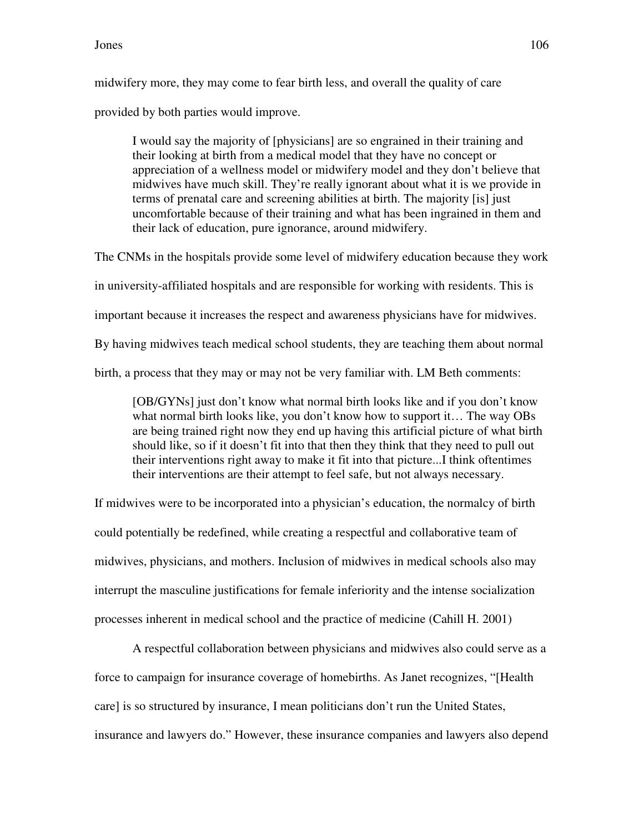midwifery more, they may come to fear birth less, and overall the quality of care provided by both parties would improve.

I would say the majority of [physicians] are so engrained in their training and their looking at birth from a medical model that they have no concept or appreciation of a wellness model or midwifery model and they don't believe that midwives have much skill. They're really ignorant about what it is we provide in terms of prenatal care and screening abilities at birth. The majority [is] just uncomfortable because of their training and what has been ingrained in them and their lack of education, pure ignorance, around midwifery.

The CNMs in the hospitals provide some level of midwifery education because they work in university-affiliated hospitals and are responsible for working with residents. This is important because it increases the respect and awareness physicians have for midwives. By having midwives teach medical school students, they are teaching them about normal birth, a process that they may or may not be very familiar with. LM Beth comments:

[OB/GYNs] just don't know what normal birth looks like and if you don't know what normal birth looks like, you don't know how to support it... The way OBs are being trained right now they end up having this artificial picture of what birth should like, so if it doesn't fit into that then they think that they need to pull out their interventions right away to make it fit into that picture...I think oftentimes their interventions are their attempt to feel safe, but not always necessary.

If midwives were to be incorporated into a physician's education, the normalcy of birth could potentially be redefined, while creating a respectful and collaborative team of midwives, physicians, and mothers. Inclusion of midwives in medical schools also may interrupt the masculine justifications for female inferiority and the intense socialization processes inherent in medical school and the practice of medicine (Cahill H. 2001)

 A respectful collaboration between physicians and midwives also could serve as a force to campaign for insurance coverage of homebirths. As Janet recognizes, "[Health care] is so structured by insurance, I mean politicians don't run the United States, insurance and lawyers do." However, these insurance companies and lawyers also depend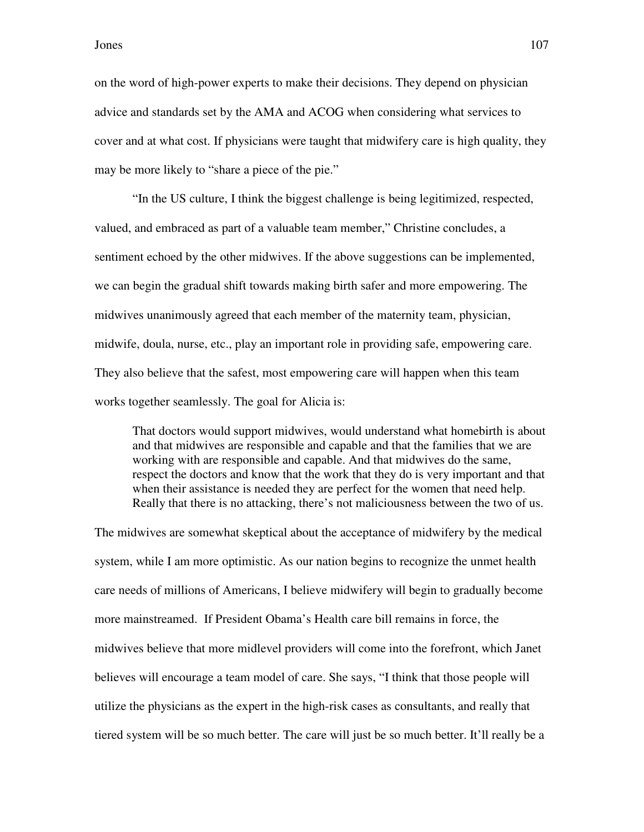on the word of high-power experts to make their decisions. They depend on physician advice and standards set by the AMA and ACOG when considering what services to cover and at what cost. If physicians were taught that midwifery care is high quality, they may be more likely to "share a piece of the pie."

"In the US culture, I think the biggest challenge is being legitimized, respected, valued, and embraced as part of a valuable team member," Christine concludes, a sentiment echoed by the other midwives. If the above suggestions can be implemented, we can begin the gradual shift towards making birth safer and more empowering. The midwives unanimously agreed that each member of the maternity team, physician, midwife, doula, nurse, etc., play an important role in providing safe, empowering care. They also believe that the safest, most empowering care will happen when this team works together seamlessly. The goal for Alicia is:

That doctors would support midwives, would understand what homebirth is about and that midwives are responsible and capable and that the families that we are working with are responsible and capable. And that midwives do the same, respect the doctors and know that the work that they do is very important and that when their assistance is needed they are perfect for the women that need help. Really that there is no attacking, there's not maliciousness between the two of us.

The midwives are somewhat skeptical about the acceptance of midwifery by the medical system, while I am more optimistic. As our nation begins to recognize the unmet health care needs of millions of Americans, I believe midwifery will begin to gradually become more mainstreamed. If President Obama's Health care bill remains in force, the midwives believe that more midlevel providers will come into the forefront, which Janet believes will encourage a team model of care. She says, "I think that those people will utilize the physicians as the expert in the high-risk cases as consultants, and really that tiered system will be so much better. The care will just be so much better. It'll really be a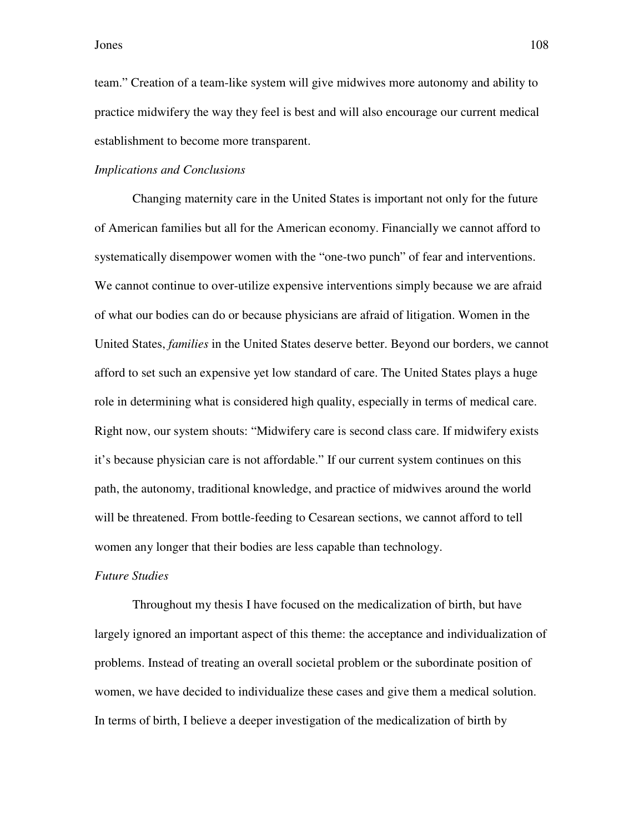team." Creation of a team-like system will give midwives more autonomy and ability to practice midwifery the way they feel is best and will also encourage our current medical establishment to become more transparent.

## *Implications and Conclusions*

Changing maternity care in the United States is important not only for the future of American families but all for the American economy. Financially we cannot afford to systematically disempower women with the "one-two punch" of fear and interventions. We cannot continue to over-utilize expensive interventions simply because we are afraid of what our bodies can do or because physicians are afraid of litigation. Women in the United States, *families* in the United States deserve better. Beyond our borders, we cannot afford to set such an expensive yet low standard of care. The United States plays a huge role in determining what is considered high quality, especially in terms of medical care. Right now, our system shouts: "Midwifery care is second class care. If midwifery exists it's because physician care is not affordable." If our current system continues on this path, the autonomy, traditional knowledge, and practice of midwives around the world will be threatened. From bottle-feeding to Cesarean sections, we cannot afford to tell women any longer that their bodies are less capable than technology.

## *Future Studies*

Throughout my thesis I have focused on the medicalization of birth, but have largely ignored an important aspect of this theme: the acceptance and individualization of problems. Instead of treating an overall societal problem or the subordinate position of women, we have decided to individualize these cases and give them a medical solution. In terms of birth, I believe a deeper investigation of the medicalization of birth by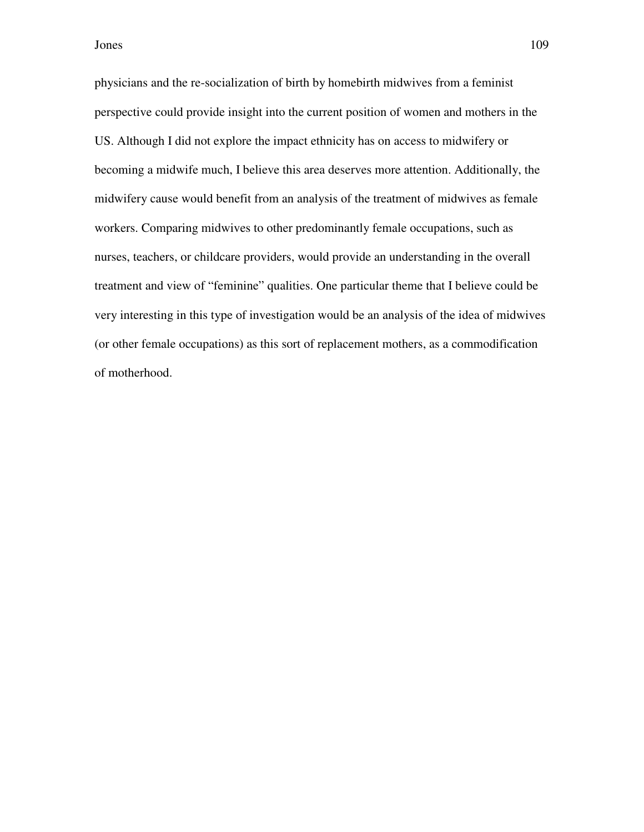Jones 109

physicians and the re-socialization of birth by homebirth midwives from a feminist perspective could provide insight into the current position of women and mothers in the US. Although I did not explore the impact ethnicity has on access to midwifery or becoming a midwife much, I believe this area deserves more attention. Additionally, the midwifery cause would benefit from an analysis of the treatment of midwives as female workers. Comparing midwives to other predominantly female occupations, such as nurses, teachers, or childcare providers, would provide an understanding in the overall treatment and view of "feminine" qualities. One particular theme that I believe could be very interesting in this type of investigation would be an analysis of the idea of midwives (or other female occupations) as this sort of replacement mothers, as a commodification of motherhood.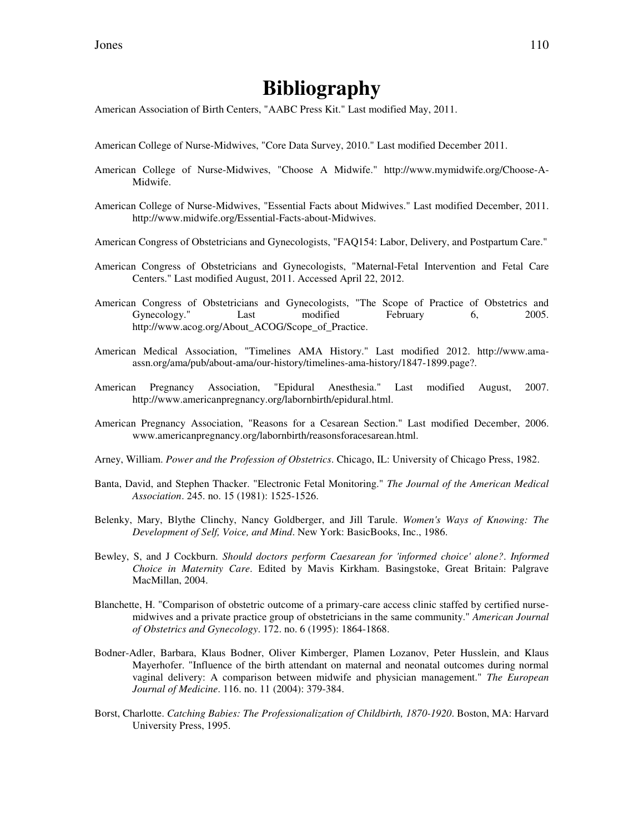## **Bibliography**

American Association of Birth Centers, "AABC Press Kit." Last modified May, 2011.

- American College of Nurse-Midwives, "Core Data Survey, 2010." Last modified December 2011.
- American College of Nurse-Midwives, "Choose A Midwife." http://www.mymidwife.org/Choose-A-Midwife.
- American College of Nurse-Midwives, "Essential Facts about Midwives." Last modified December, 2011. http://www.midwife.org/Essential-Facts-about-Midwives.
- American Congress of Obstetricians and Gynecologists, "FAQ154: Labor, Delivery, and Postpartum Care."
- American Congress of Obstetricians and Gynecologists, "Maternal-Fetal Intervention and Fetal Care Centers." Last modified August, 2011. Accessed April 22, 2012.
- American Congress of Obstetricians and Gynecologists, "The Scope of Practice of Obstetrics and Gynecology." Last modified February 6, 2005. http://www.acog.org/About\_ACOG/Scope\_of\_Practice.
- American Medical Association, "Timelines AMA History." Last modified 2012. http://www.amaassn.org/ama/pub/about-ama/our-history/timelines-ama-history/1847-1899.page?.
- American Pregnancy Association, "Epidural Anesthesia." Last modified August, 2007. http://www.americanpregnancy.org/labornbirth/epidural.html.
- American Pregnancy Association, "Reasons for a Cesarean Section." Last modified December, 2006. www.americanpregnancy.org/labornbirth/reasonsforacesarean.html.
- Arney, William. *Power and the Profession of Obstetrics*. Chicago, IL: University of Chicago Press, 1982.
- Banta, David, and Stephen Thacker. "Electronic Fetal Monitoring." *The Journal of the American Medical Association*. 245. no. 15 (1981): 1525-1526.
- Belenky, Mary, Blythe Clinchy, Nancy Goldberger, and Jill Tarule. *Women's Ways of Knowing: The Development of Self, Voice, and Mind*. New York: BasicBooks, Inc., 1986.
- Bewley, S, and J Cockburn. *Should doctors perform Caesarean for 'informed choice' alone?*. *Informed Choice in Maternity Care*. Edited by Mavis Kirkham. Basingstoke, Great Britain: Palgrave MacMillan, 2004.
- Blanchette, H. "Comparison of obstetric outcome of a primary-care access clinic staffed by certified nursemidwives and a private practice group of obstetricians in the same community." *American Journal of Obstetrics and Gynecology*. 172. no. 6 (1995): 1864-1868.
- Bodner-Adler, Barbara, Klaus Bodner, Oliver Kimberger, Plamen Lozanov, Peter Husslein, and Klaus Mayerhofer. "Influence of the birth attendant on maternal and neonatal outcomes during normal vaginal delivery: A comparison between midwife and physician management." *The European Journal of Medicine*. 116. no. 11 (2004): 379-384.
- Borst, Charlotte. *Catching Babies: The Professionalization of Childbirth, 1870-1920*. Boston, MA: Harvard University Press, 1995.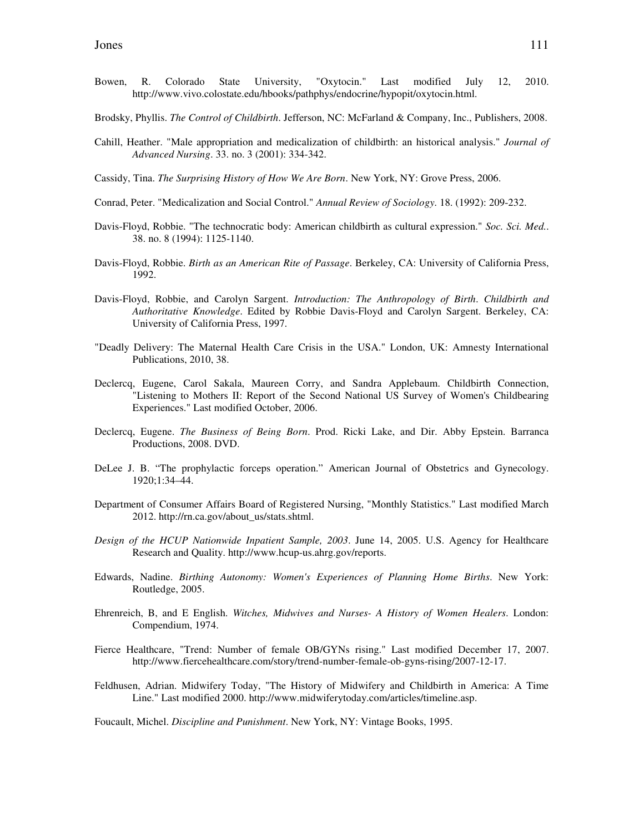- Bowen, R. Colorado State University, "Oxytocin." Last modified July 12, 2010. http://www.vivo.colostate.edu/hbooks/pathphys/endocrine/hypopit/oxytocin.html.
- Brodsky, Phyllis. *The Control of Childbirth*. Jefferson, NC: McFarland & Company, Inc., Publishers, 2008.
- Cahill, Heather. "Male appropriation and medicalization of childbirth: an historical analysis." *Journal of Advanced Nursing*. 33. no. 3 (2001): 334-342.
- Cassidy, Tina. *The Surprising History of How We Are Born*. New York, NY: Grove Press, 2006.
- Conrad, Peter. "Medicalization and Social Control." *Annual Review of Sociology*. 18. (1992): 209-232.
- Davis-Floyd, Robbie. "The technocratic body: American childbirth as cultural expression." *Soc. Sci. Med.*. 38. no. 8 (1994): 1125-1140.
- Davis-Floyd, Robbie. *Birth as an American Rite of Passage*. Berkeley, CA: University of California Press, 1992.
- Davis-Floyd, Robbie, and Carolyn Sargent. *Introduction: The Anthropology of Birth*. *Childbirth and Authoritative Knowledge*. Edited by Robbie Davis-Floyd and Carolyn Sargent. Berkeley, CA: University of California Press, 1997.
- "Deadly Delivery: The Maternal Health Care Crisis in the USA." London, UK: Amnesty International Publications, 2010, 38.
- Declercq, Eugene, Carol Sakala, Maureen Corry, and Sandra Applebaum. Childbirth Connection, "Listening to Mothers II: Report of the Second National US Survey of Women's Childbearing Experiences." Last modified October, 2006.
- Declercq, Eugene. *The Business of Being Born*. Prod. Ricki Lake, and Dir. Abby Epstein. Barranca Productions, 2008. DVD.
- DeLee J. B. "The prophylactic forceps operation." American Journal of Obstetrics and Gynecology. 1920;1:34–44.
- Department of Consumer Affairs Board of Registered Nursing, "Monthly Statistics." Last modified March 2012. http://rn.ca.gov/about\_us/stats.shtml.
- *Design of the HCUP Nationwide Inpatient Sample, 2003*. June 14, 2005. U.S. Agency for Healthcare Research and Quality. http://www.hcup-us.ahrg.gov/reports.
- Edwards, Nadine. *Birthing Autonomy: Women's Experiences of Planning Home Births*. New York: Routledge, 2005.
- Ehrenreich, B, and E English. *Witches, Midwives and Nurses- A History of Women Healers*. London: Compendium, 1974.
- Fierce Healthcare, "Trend: Number of female OB/GYNs rising." Last modified December 17, 2007. http://www.fiercehealthcare.com/story/trend-number-female-ob-gyns-rising/2007-12-17.
- Feldhusen, Adrian. Midwifery Today, "The History of Midwifery and Childbirth in America: A Time Line." Last modified 2000. http://www.midwiferytoday.com/articles/timeline.asp.

Foucault, Michel. *Discipline and Punishment*. New York, NY: Vintage Books, 1995.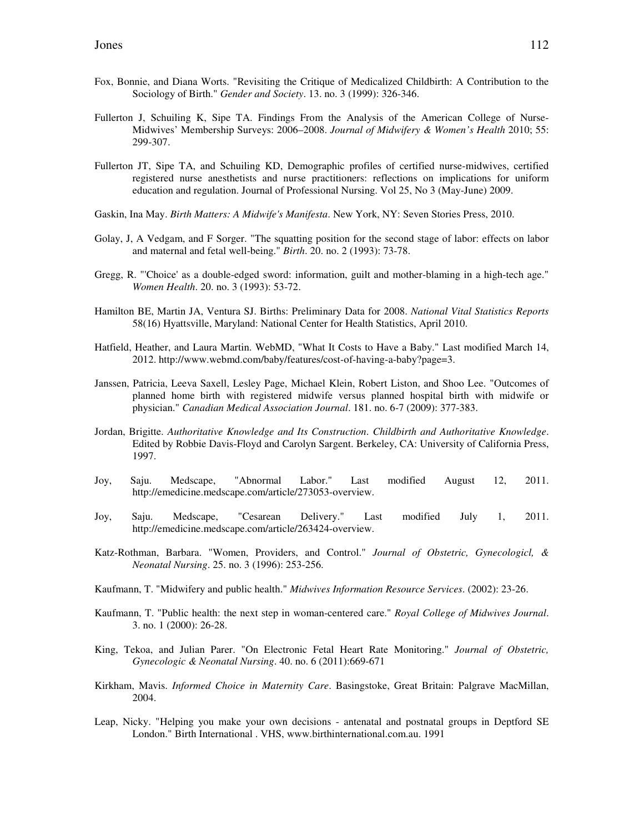- Fox, Bonnie, and Diana Worts. "Revisiting the Critique of Medicalized Childbirth: A Contribution to the Sociology of Birth." *Gender and Society*. 13. no. 3 (1999): 326-346.
- Fullerton J, Schuiling K, Sipe TA. Findings From the Analysis of the American College of Nurse-Midwives' Membership Surveys: 2006–2008. *Journal of Midwifery & Women's Health* 2010; 55: 299-307.
- Fullerton JT, Sipe TA, and Schuiling KD, Demographic profiles of certified nurse-midwives, certified registered nurse anesthetists and nurse practitioners: reflections on implications for uniform education and regulation. Journal of Professional Nursing. Vol 25, No 3 (May-June) 2009.
- Gaskin, Ina May. *Birth Matters: A Midwife's Manifesta*. New York, NY: Seven Stories Press, 2010.
- Golay, J, A Vedgam, and F Sorger. "The squatting position for the second stage of labor: effects on labor and maternal and fetal well-being." *Birth*. 20. no. 2 (1993): 73-78.
- Gregg, R. "'Choice' as a double-edged sword: information, guilt and mother-blaming in a high-tech age." *Women Health*. 20. no. 3 (1993): 53-72.
- Hamilton BE, Martin JA, Ventura SJ. Births: Preliminary Data for 2008. *National Vital Statistics Reports* 58(16) Hyattsville, Maryland: National Center for Health Statistics, April 2010.
- Hatfield, Heather, and Laura Martin. WebMD, "What It Costs to Have a Baby." Last modified March 14, 2012. http://www.webmd.com/baby/features/cost-of-having-a-baby?page=3.
- Janssen, Patricia, Leeva Saxell, Lesley Page, Michael Klein, Robert Liston, and Shoo Lee. "Outcomes of planned home birth with registered midwife versus planned hospital birth with midwife or physician." *Canadian Medical Association Journal*. 181. no. 6-7 (2009): 377-383.
- Jordan, Brigitte. *Authoritative Knowledge and Its Construction*. *Childbirth and Authoritative Knowledge*. Edited by Robbie Davis-Floyd and Carolyn Sargent. Berkeley, CA: University of California Press, 1997.
- Joy, Saju. Medscape, "Abnormal Labor." Last modified August 12, 2011. http://emedicine.medscape.com/article/273053-overview.
- Joy, Saju. Medscape, "Cesarean Delivery." Last modified July 1, 2011. http://emedicine.medscape.com/article/263424-overview.
- Katz-Rothman, Barbara. "Women, Providers, and Control." *Journal of Obstetric, Gynecologicl, & Neonatal Nursing*. 25. no. 3 (1996): 253-256.
- Kaufmann, T. "Midwifery and public health." *Midwives Information Resource Services*. (2002): 23-26.
- Kaufmann, T. "Public health: the next step in woman-centered care." *Royal College of Midwives Journal*. 3. no. 1 (2000): 26-28.
- King, Tekoa, and Julian Parer. "On Electronic Fetal Heart Rate Monitoring." *Journal of Obstetric, Gynecologic & Neonatal Nursing*. 40. no. 6 (2011):669-671
- Kirkham, Mavis. *Informed Choice in Maternity Care*. Basingstoke, Great Britain: Palgrave MacMillan, 2004.
- Leap, Nicky. "Helping you make your own decisions antenatal and postnatal groups in Deptford SE London." Birth International . VHS, www.birthinternational.com.au. 1991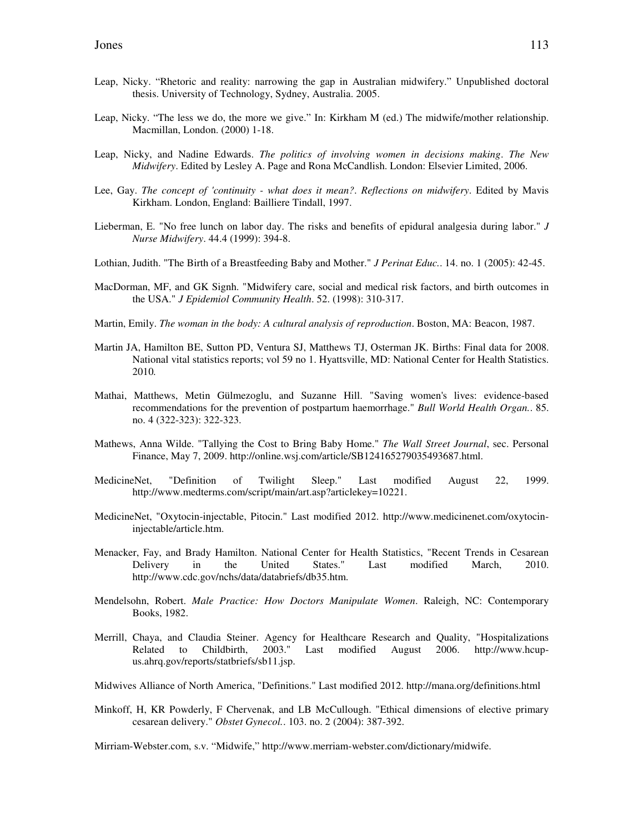- Leap, Nicky. "Rhetoric and reality: narrowing the gap in Australian midwifery." Unpublished doctoral thesis. University of Technology, Sydney, Australia. 2005.
- Leap, Nicky. "The less we do, the more we give." In: Kirkham M (ed.) The midwife/mother relationship. Macmillan, London. (2000) 1-18.
- Leap, Nicky, and Nadine Edwards. *The politics of involving women in decisions making*. *The New Midwifery*. Edited by Lesley A. Page and Rona McCandlish. London: Elsevier Limited, 2006.
- Lee, Gay. *The concept of 'continuity what does it mean?*. *Reflections on midwifery*. Edited by Mavis Kirkham. London, England: Bailliere Tindall, 1997.
- Lieberman, E. "No free lunch on labor day. The risks and benefits of epidural analgesia during labor." *J Nurse Midwifery*. 44.4 (1999): 394-8.
- Lothian, Judith. "The Birth of a Breastfeeding Baby and Mother." *J Perinat Educ.*. 14. no. 1 (2005): 42-45.
- MacDorman, MF, and GK Signh. "Midwifery care, social and medical risk factors, and birth outcomes in the USA." *J Epidemiol Community Health*. 52. (1998): 310-317.
- Martin, Emily. *The woman in the body: A cultural analysis of reproduction*. Boston, MA: Beacon, 1987.
- Martin JA, Hamilton BE, Sutton PD, Ventura SJ, Matthews TJ, Osterman JK. Births: Final data for 2008. National vital statistics reports; vol 59 no 1. Hyattsville, MD: National Center for Health Statistics. 2010*.*
- Mathai, Matthews, Metin Gülmezoglu, and Suzanne Hill. "Saving women's lives: evidence-based recommendations for the prevention of postpartum haemorrhage." *Bull World Health Organ.*. 85. no. 4 (322-323): 322-323.
- Mathews, Anna Wilde. "Tallying the Cost to Bring Baby Home." *The Wall Street Journal*, sec. Personal Finance, May 7, 2009. http://online.wsj.com/article/SB124165279035493687.html.
- MedicineNet, "Definition of Twilight Sleep." Last modified August 22, 1999. http://www.medterms.com/script/main/art.asp?articlekey=10221.
- MedicineNet, "Oxytocin-injectable, Pitocin." Last modified 2012. http://www.medicinenet.com/oxytocininjectable/article.htm.
- Menacker, Fay, and Brady Hamilton. National Center for Health Statistics, "Recent Trends in Cesarean Delivery in the United States." Last modified March, 2010. http://www.cdc.gov/nchs/data/databriefs/db35.htm.
- Mendelsohn, Robert. *Male Practice: How Doctors Manipulate Women*. Raleigh, NC: Contemporary Books, 1982.
- Merrill, Chaya, and Claudia Steiner. Agency for Healthcare Research and Quality, "Hospitalizations Related to Childbirth, 2003." Last modified August 2006. http://www.hcup-Related to Childbirth, 2003." Last modified August 2006. http://www.hcupus.ahrq.gov/reports/statbriefs/sb11.jsp.
- Midwives Alliance of North America, "Definitions." Last modified 2012. http://mana.org/definitions.html
- Minkoff, H, KR Powderly, F Chervenak, and LB McCullough. "Ethical dimensions of elective primary cesarean delivery." *Obstet Gynecol.*. 103. no. 2 (2004): 387-392.

Mirriam-Webster.com, s.v. "Midwife," http://www.merriam-webster.com/dictionary/midwife.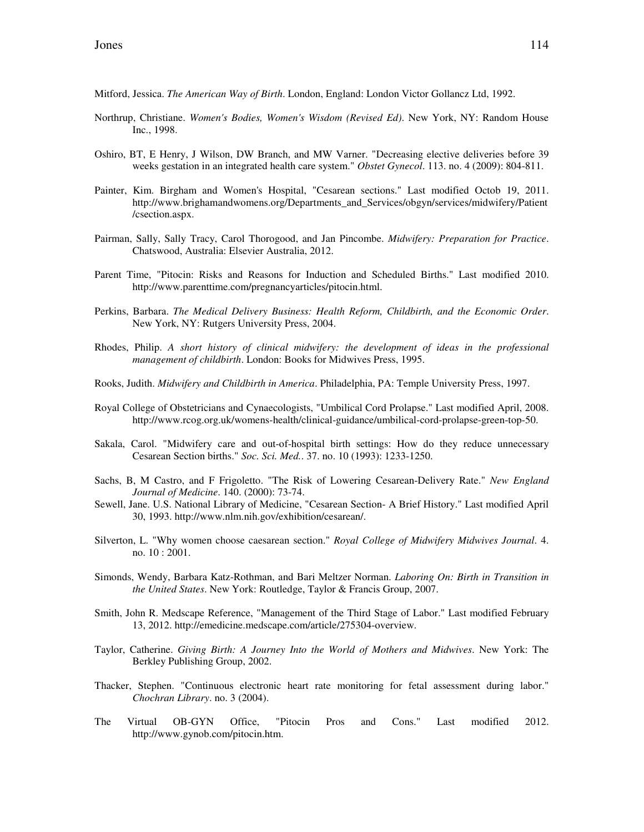Mitford, Jessica. *The American Way of Birth*. London, England: London Victor Gollancz Ltd, 1992.

- Northrup, Christiane. *Women's Bodies, Women's Wisdom (Revised Ed)*. New York, NY: Random House Inc., 1998.
- Oshiro, BT, E Henry, J Wilson, DW Branch, and MW Varner. "Decreasing elective deliveries before 39 weeks gestation in an integrated health care system." *Obstet Gynecol*. 113. no. 4 (2009): 804-811.
- Painter, Kim. Birgham and Women's Hospital, "Cesarean sections." Last modified Octob 19, 2011. http://www.brighamandwomens.org/Departments\_and\_Services/obgyn/services/midwifery/Patient /csection.aspx.
- Pairman, Sally, Sally Tracy, Carol Thorogood, and Jan Pincombe. *Midwifery: Preparation for Practice*. Chatswood, Australia: Elsevier Australia, 2012.
- Parent Time, "Pitocin: Risks and Reasons for Induction and Scheduled Births." Last modified 2010. http://www.parenttime.com/pregnancyarticles/pitocin.html.
- Perkins, Barbara. *The Medical Delivery Business: Health Reform, Childbirth, and the Economic Order*. New York, NY: Rutgers University Press, 2004.
- Rhodes, Philip. *A short history of clinical midwifery: the development of ideas in the professional management of childbirth*. London: Books for Midwives Press, 1995.
- Rooks, Judith. *Midwifery and Childbirth in America*. Philadelphia, PA: Temple University Press, 1997.
- Royal College of Obstetricians and Cynaecologists, "Umbilical Cord Prolapse." Last modified April, 2008. http://www.rcog.org.uk/womens-health/clinical-guidance/umbilical-cord-prolapse-green-top-50.
- Sakala, Carol. "Midwifery care and out-of-hospital birth settings: How do they reduce unnecessary Cesarean Section births." *Soc. Sci. Med.*. 37. no. 10 (1993): 1233-1250.
- Sachs, B, M Castro, and F Frigoletto. "The Risk of Lowering Cesarean-Delivery Rate." *New England Journal of Medicine*. 140. (2000): 73-74.
- Sewell, Jane. U.S. National Library of Medicine, "Cesarean Section- A Brief History." Last modified April 30, 1993. http://www.nlm.nih.gov/exhibition/cesarean/.
- Silverton, L. "Why women choose caesarean section." *Royal College of Midwifery Midwives Journal*. 4. no. 10 : 2001.
- Simonds, Wendy, Barbara Katz-Rothman, and Bari Meltzer Norman. *Laboring On: Birth in Transition in the United States*. New York: Routledge, Taylor & Francis Group, 2007.
- Smith, John R. Medscape Reference, "Management of the Third Stage of Labor." Last modified February 13, 2012. http://emedicine.medscape.com/article/275304-overview.
- Taylor, Catherine. *Giving Birth: A Journey Into the World of Mothers and Midwives*. New York: The Berkley Publishing Group, 2002.
- Thacker, Stephen. "Continuous electronic heart rate monitoring for fetal assessment during labor." *Chochran Library*. no. 3 (2004).
- The Virtual OB-GYN Office, "Pitocin Pros and Cons." Last modified 2012. http://www.gynob.com/pitocin.htm.